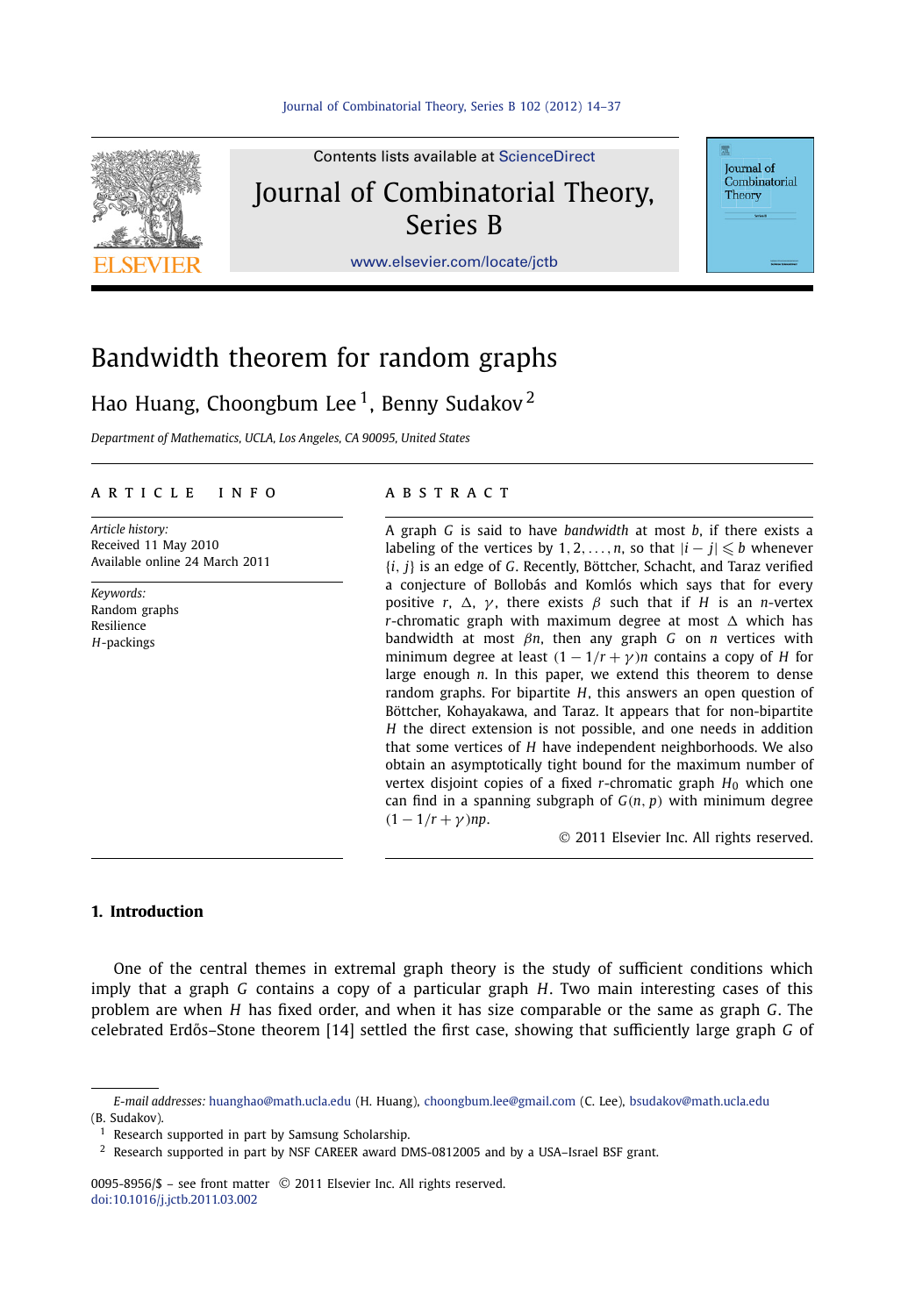

Contents lists available at [ScienceDirect](http://www.ScienceDirect.com/) Journal of Combinatorial Theory, Series B

**Journal** of Combinatorial Theory

[www.elsevier.com/locate/jctb](http://www.elsevier.com/locate/jctb)

# Bandwidth theorem for random graphs

## Hao Huang, Choongbum Lee<sup>1</sup>, Benny Sudakov<sup>2</sup>

*Department of Mathematics, UCLA, Los Angeles, CA 90095, United States*

#### article info abstract

*Article history:* Received 11 May 2010 Available online 24 March 2011

*Keywords:* Random graphs Resilience *H*-packings

A graph *G* is said to have *bandwidth* at most *b*, if there exists a labeling of the vertices by 1, 2,  $\dots$ , *n*, so that  $|i - j| \leqslant b$  whenever {*i, j*} is an edge of *G*. Recently, Böttcher, Schacht, and Taraz verified a conjecture of Bollobás and Komlós which says that for every *positive r,*  $\Delta$ *, γ, there exists*  $\beta$  *such that if <i>H* is an *n*-vertex *r*-chromatic graph with maximum degree at most  $\Delta$  which has bandwidth at most *βn*, then any graph *G* on *n* vertices with minimum degree at least  $(1 - 1/r + \gamma)n$  contains a copy of *H* for large enough *n*. In this paper, we extend this theorem to dense random graphs. For bipartite *H*, this answers an open question of Böttcher, Kohayakawa, and Taraz. It appears that for non-bipartite *H* the direct extension is not possible, and one needs in addition that some vertices of *H* have independent neighborhoods. We also obtain an asymptotically tight bound for the maximum number of vertex disjoint copies of a fixed *r*-chromatic graph  $H_0$  which one can find in a spanning subgraph of *G(n, p)* with minimum degree  $(1 - 1/r + \gamma)$ *np*.

© 2011 Elsevier Inc. All rights reserved.

### **1. Introduction**

One of the central themes in extremal graph theory is the study of sufficient conditions which imply that a graph *G* contains a copy of a particular graph *H*. Two main interesting cases of this problem are when *H* has fixed order, and when it has size comparable or the same as graph *G*. The celebrated Erdos–Stone theorem [14] settled the first case, showing that sufficiently large graph ˝ *G* of

0095-8956/\$ – see front matter © 2011 Elsevier Inc. All rights reserved. [doi:10.1016/j.jctb.2011.03.002](http://dx.doi.org/10.1016/j.jctb.2011.03.002)

*E-mail addresses:* [huanghao@math.ucla.edu](mailto:huanghao@math.ucla.edu) (H. Huang), [choongbum.lee@gmail.com](mailto:choongbum.lee@gmail.com) (C. Lee), [bsudakov@math.ucla.edu](mailto:bsudakov@math.ucla.edu) (B. Sudakov).

 $1$  Research supported in part by Samsung Scholarship.

<sup>2</sup> Research supported in part by NSF CAREER award DMS-0812005 and by a USA–Israel BSF grant.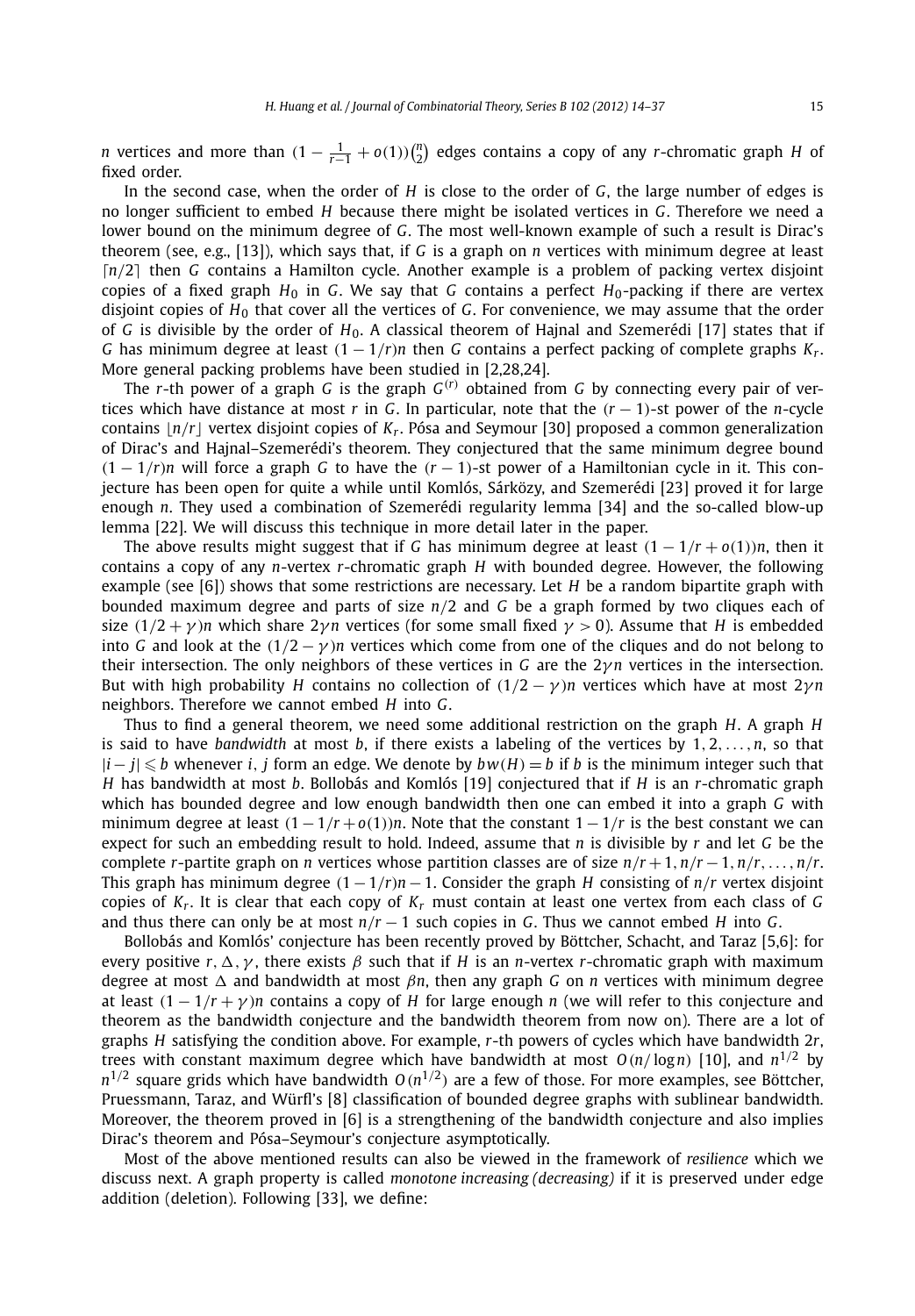*n* vertices and more than  $(1 - \frac{1}{r-1} + o(1))\binom{n}{2}$  edges contains a copy of any *r*-chromatic graph *H* of fixed order.

In the second case, when the order of *H* is close to the order of *G*, the large number of edges is no longer sufficient to embed *H* because there might be isolated vertices in *G*. Therefore we need a lower bound on the minimum degree of *G*. The most well-known example of such a result is Dirac's theorem (see, e.g., [13]), which says that, if *G* is a graph on *n* vertices with minimum degree at least [n/2] then *G* contains a Hamilton cycle. Another example is a problem of packing vertex disjoint copies of a fixed graph  $H_0$  in *G*. We say that *G* contains a perfect  $H_0$ -packing if there are vertex disjoint copies of *H*<sup>0</sup> that cover all the vertices of *G*. For convenience, we may assume that the order of *G* is divisible by the order of *H*0. A classical theorem of Hajnal and Szemerédi [17] states that if *G* has minimum degree at least  $(1 - 1/r)n$  then *G* contains a perfect packing of complete graphs  $K_r$ . More general packing problems have been studied in [2,28,24].

The *r*-th power of a graph *G* is the graph  $G^{(r)}$  obtained from *G* by connecting every pair of vertices which have distance at most *r* in *G*. In particular, note that the *(r* − 1*)*-st power of the *n*-cycle contains  $|n/r|$  vertex disjoint copies of  $K_r$ . Pósa and Seymour [30] proposed a common generalization of Dirac's and Hajnal–Szemerédi's theorem. They conjectured that the same minimum degree bound  $(1 - 1/r)n$  will force a graph *G* to have the  $(r - 1)$ -st power of a Hamiltonian cycle in it. This conjecture has been open for quite a while until Komlós, Sárközy, and Szemerédi [23] proved it for large enough *n*. They used a combination of Szemerédi regularity lemma [34] and the so-called blow-up lemma [22]. We will discuss this technique in more detail later in the paper.

The above results might suggest that if *G* has minimum degree at least  $(1 - 1/r + o(1))n$ , then it contains a copy of any *n*-vertex *r*-chromatic graph *H* with bounded degree. However, the following example (see [6]) shows that some restrictions are necessary. Let *H* be a random bipartite graph with bounded maximum degree and parts of size *n/*2 and *G* be a graph formed by two cliques each of size  $(1/2 + \gamma)n$  which share  $2\gamma n$  vertices (for some small fixed  $\gamma > 0$ ). Assume that *H* is embedded into *G* and look at the  $(1/2 - \gamma)n$  vertices which come from one of the cliques and do not belong to their intersection. The only neighbors of these vertices in *G* are the 2*γn* vertices in the intersection. But with high probability *H* contains no collection of  $(1/2 - \gamma)n$  vertices which have at most  $2\gamma n$ neighbors. Therefore we cannot embed *H* into *G*.

Thus to find a general theorem, we need some additional restriction on the graph *H*. A graph *H* is said to have *bandwidth* at most *b*, if there exists a labeling of the vertices by 1*,* 2*,...,n*, so that |*i*− *j*| - *b* whenever *i, j* form an edge. We denote by *bw(H)* = *b* if *b* is the minimum integer such that *H* has bandwidth at most *b*. Bollobás and Komlós [19] conjectured that if *H* is an *r*-chromatic graph which has bounded degree and low enough bandwidth then one can embed it into a graph *G* with minimum degree at least  $(1 - 1/r + o(1))n$ . Note that the constant  $1 - 1/r$  is the best constant we can expect for such an embedding result to hold. Indeed, assume that *n* is divisible by *r* and let *G* be the complete *r*-partite graph on *n* vertices whose partition classes are of size  $n/r + 1$ ,  $n/r - 1$ ,  $n/r$ , ...,  $n/r$ . This graph has minimum degree  $(1 - 1/r)n - 1$ . Consider the graph *H* consisting of *n*/*r* vertex disjoint copies of *Kr*. It is clear that each copy of *Kr* must contain at least one vertex from each class of *G* and thus there can only be at most  $n/r - 1$  such copies in *G*. Thus we cannot embed *H* into *G*.

Bollobás and Komlós' conjecture has been recently proved by Böttcher, Schacht, and Taraz [5,6]: for every positive  $r, \Delta, \gamma$ , there exists  $\beta$  such that if  $H$  is an *n*-vertex *r*-chromatic graph with maximum degree at most *-* and bandwidth at most *βn*, then any graph *G* on *n* vertices with minimum degree at least  $(1 - 1/r + \gamma)n$  contains a copy of *H* for large enough *n* (we will refer to this conjecture and theorem as the bandwidth conjecture and the bandwidth theorem from now on). There are a lot of graphs *H* satisfying the condition above. For example, *r*-th powers of cycles which have bandwidth 2*r*, trees with constant maximum degree which have bandwidth at most  $O(n/\log n)$  [10], and  $n^{1/2}$  by  $n^{1/2}$  square grids which have bandwidth  $O(n^{1/2})$  are a few of those. For more examples, see Böttcher, Pruessmann, Taraz, and Würfl's [8] classification of bounded degree graphs with sublinear bandwidth. Moreover, the theorem proved in [6] is a strengthening of the bandwidth conjecture and also implies Dirac's theorem and Pósa–Seymour's conjecture asymptotically.

Most of the above mentioned results can also be viewed in the framework of *resilience* which we discuss next. A graph property is called *monotone increasing (decreasing)* if it is preserved under edge addition (deletion). Following [33], we define: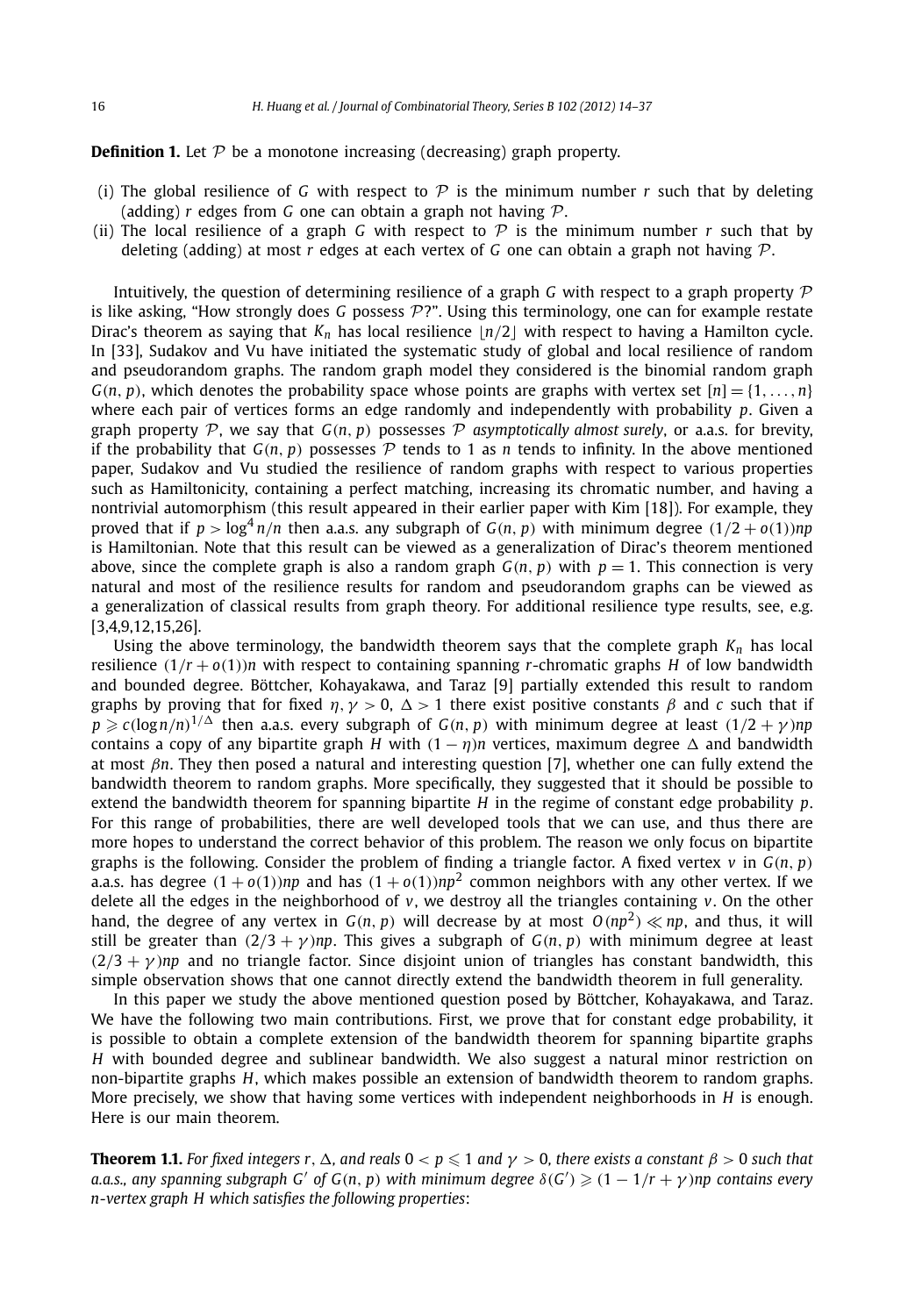#### **Definition 1.** Let  $P$  be a monotone increasing (decreasing) graph property.

- (i) The global resilience of G with respect to  $\mathcal P$  is the minimum number r such that by deleting (adding) *r* edges from *G* one can obtain a graph not having P.
- (ii) The local resilience of a graph *G* with respect to  $P$  is the minimum number *r* such that by deleting (adding) at most *r* edges at each vertex of *G* one can obtain a graph not having P.

Intuitively, the question of determining resilience of a graph *G* with respect to a graph property  $\mathcal P$ is like asking, "How strongly does G possess  $\mathcal{P}$ ?". Using this terminology, one can for example restate Dirac's theorem as saying that  $K_n$  has local resilience  $|n/2|$  with respect to having a Hamilton cycle. In [33], Sudakov and Vu have initiated the systematic study of global and local resilience of random and pseudorandom graphs. The random graph model they considered is the binomial random graph  $G(n, p)$ , which denotes the probability space whose points are graphs with vertex set  $[n] = \{1, \ldots, n\}$ where each pair of vertices forms an edge randomly and independently with probability *p*. Given a graph property P, we say that  $G(n, p)$  possesses P asymptotically almost surely, or a.a.s. for brevity, if the probability that  $G(n, p)$  possesses  $P$  tends to 1 as *n* tends to infinity. In the above mentioned paper, Sudakov and Vu studied the resilience of random graphs with respect to various properties such as Hamiltonicity, containing a perfect matching, increasing its chromatic number, and having a nontrivial automorphism (this result appeared in their earlier paper with Kim [18]). For example, they proved that if  $p > \log^4 n / n$  then a.a.s. any subgraph of  $G(n, p)$  with minimum degree  $(1/2 + o(1))np$ is Hamiltonian. Note that this result can be viewed as a generalization of Dirac's theorem mentioned above, since the complete graph is also a random graph  $G(n, p)$  with  $p = 1$ . This connection is very natural and most of the resilience results for random and pseudorandom graphs can be viewed as a generalization of classical results from graph theory. For additional resilience type results, see, e.g. [3,4,9,12,15,26].

Using the above terminology, the bandwidth theorem says that the complete graph  $K_n$  has local resilience  $(1/r + o(1))n$  with respect to containing spanning *r*-chromatic graphs *H* of low bandwidth and bounded degree. Böttcher, Kohayakawa, and Taraz [9] partially extended this result to random graphs by proving that for fixed  $\eta$ ,  $\gamma > 0$ ,  $\Delta > 1$  there exist positive constants  $\beta$  and  $c$  such that if  $p \geqslant c(\log n/n)^{1/\Delta}$  then a.a.s. every subgraph of  $G(n, p)$  with minimum degree at least  $(1/2 + \gamma)np$ contains a copy of any bipartite graph *H* with  $(1 - \eta)n$  vertices, maximum degree  $\Delta$  and bandwidth at most *βn*. They then posed a natural and interesting question [7], whether one can fully extend the bandwidth theorem to random graphs. More specifically, they suggested that it should be possible to extend the bandwidth theorem for spanning bipartite *H* in the regime of constant edge probability *p*. For this range of probabilities, there are well developed tools that we can use, and thus there are more hopes to understand the correct behavior of this problem. The reason we only focus on bipartite graphs is the following. Consider the problem of finding a triangle factor. A fixed vertex  $v$  in  $G(n, p)$ a.a.s. has degree  $(1 + o(1))np$  and has  $(1 + o(1))np^2$  common neighbors with any other vertex. If we delete all the edges in the neighborhood of *v*, we destroy all the triangles containing *v*. On the other hand, the degree of any vertex in  $G(n, p)$  will decrease by at most  $O(np^2) \ll np$ , and thus, it will still be greater than  $(2/3 + \gamma)np$ . This gives a subgraph of  $G(n, p)$  with minimum degree at least  $(2/3 + \gamma)$ *np* and no triangle factor. Since disjoint union of triangles has constant bandwidth, this simple observation shows that one cannot directly extend the bandwidth theorem in full generality.

In this paper we study the above mentioned question posed by Böttcher, Kohayakawa, and Taraz. We have the following two main contributions. First, we prove that for constant edge probability, it is possible to obtain a complete extension of the bandwidth theorem for spanning bipartite graphs *H* with bounded degree and sublinear bandwidth. We also suggest a natural minor restriction on non-bipartite graphs *H*, which makes possible an extension of bandwidth theorem to random graphs. More precisely, we show that having some vertices with independent neighborhoods in *H* is enough. Here is our main theorem.

**Theorem 1.1.** For fixed integers  $r$  ,  $\Delta$  , and reals  $0 < p \leqslant 1$  and  $\gamma > 0$ , there exists a constant  $\beta > 0$  such that *a.a.s., any spanning subgraph G' of G*(*n*, *p*) *with minimum degree*  $\delta(G') \geqslant (1 - 1/r + \gamma)$ *np contains every n-vertex graph H which satisfies the following properties*: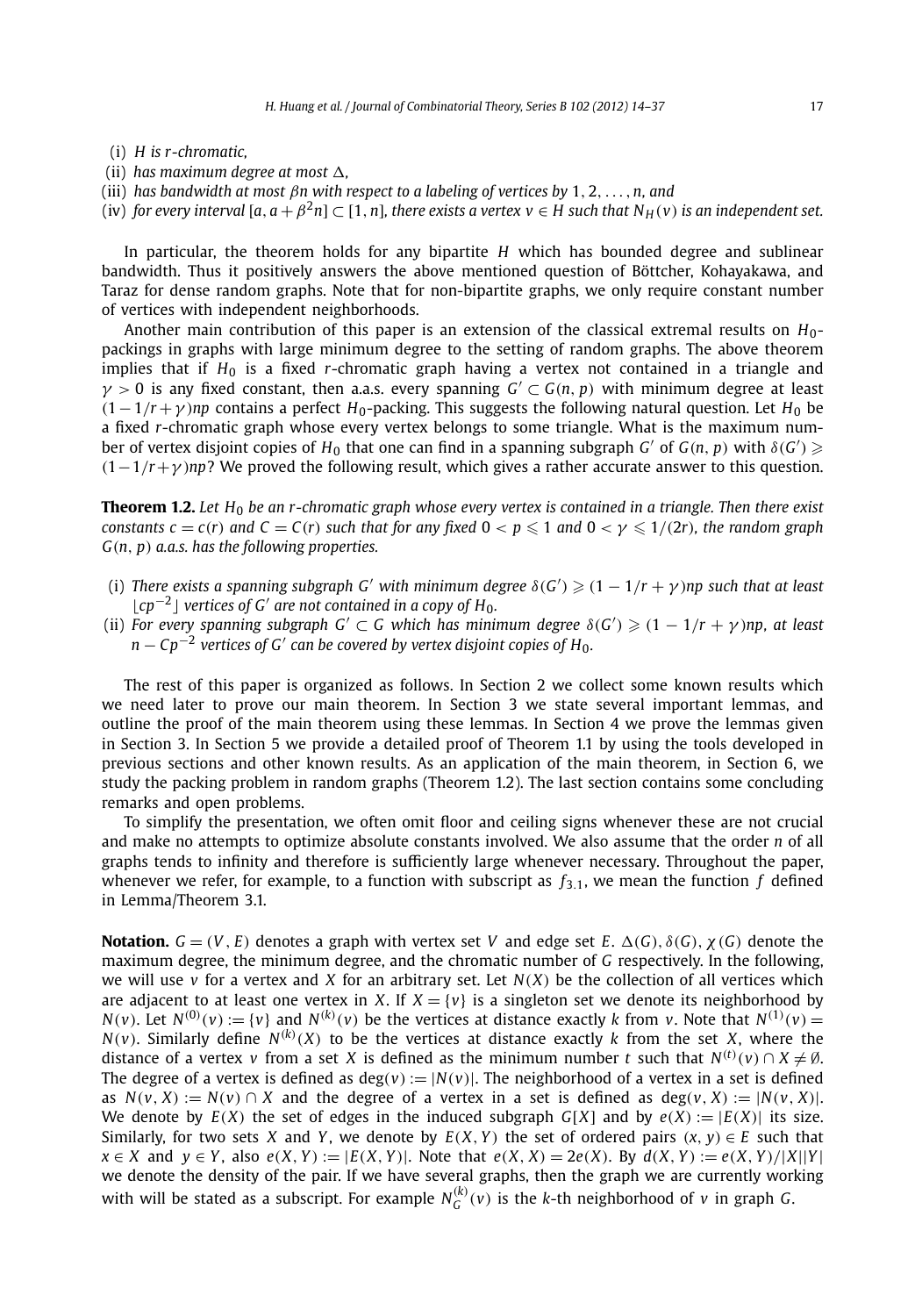- (i) *H is r-chromatic,*
- (ii) has maximum degree at most  $\Delta$ ,
- (iii) *has bandwidth at most βn with respect to a labeling of vertices by* 1*,* 2*,...,n, and*
- (iv) *for every interval*  $[a, a + \beta^2 n] \subset [1, n]$ *, there exists a vertex v*  $\in$  *H* such that  $N_H(v)$  *is an independent set.*

In particular, the theorem holds for any bipartite *H* which has bounded degree and sublinear bandwidth. Thus it positively answers the above mentioned question of Böttcher, Kohayakawa, and Taraz for dense random graphs. Note that for non-bipartite graphs, we only require constant number of vertices with independent neighborhoods.

Another main contribution of this paper is an extension of the classical extremal results on *H*0 packings in graphs with large minimum degree to the setting of random graphs. The above theorem implies that if *H*<sup>0</sup> is a fixed *r*-chromatic graph having a vertex not contained in a triangle and  $\gamma$  > 0 is any fixed constant, then a.a.s. every spanning  $G' \subset G(n, p)$  with minimum degree at least  $(1-1/r + \gamma)$ *np* contains a perfect *H*<sub>0</sub>-packing. This suggests the following natural question. Let *H*<sub>0</sub> be a fixed *r*-chromatic graph whose every vertex belongs to some triangle. What is the maximum number of vertex disjoint copies of  $H_0$  that one can find in a spanning subgraph  $G'$  of  $G(n, p)$  with  $\delta(G') \geqslant$ *(*1−1*/r*+*γ )np*? We proved the following result, which gives a rather accurate answer to this question.

**Theorem 1.2.** *Let H*<sup>0</sup> *be an r-chromatic graph whose every vertex is contained in a triangle. Then there exist* constants  $c = c(r)$  and  $C = C(r)$  such that for any fixed  $0 < p \leqslant 1$  and  $0 < \gamma \leqslant 1/(2r)$ , the random graph *G(n, p) a.a.s. has the following properties.*

- (i) There exists a spanning subgraph G' with minimum degree  $\delta(G') \geqslant (1 1/r + \gamma)$ np such that at least  $|cp^{-2}|$  *vertices of G' are not contained in a copy of H*<sub>0</sub>.
- (ii) *For every spanning subgraph*  $G' \subset G$  *which has minimum degree*  $\delta(G') \geqslant (1 1/r + \gamma)$ *np, at least*  $n - Cp^{-2}$  *vertices of G' can be covered by vertex disjoint copies of H<sub>0</sub>.*

The rest of this paper is organized as follows. In Section 2 we collect some known results which we need later to prove our main theorem. In Section 3 we state several important lemmas, and outline the proof of the main theorem using these lemmas. In Section 4 we prove the lemmas given in Section 3. In Section 5 we provide a detailed proof of Theorem 1.1 by using the tools developed in previous sections and other known results. As an application of the main theorem, in Section 6, we study the packing problem in random graphs (Theorem 1.2). The last section contains some concluding remarks and open problems.

To simplify the presentation, we often omit floor and ceiling signs whenever these are not crucial and make no attempts to optimize absolute constants involved. We also assume that the order *n* of all graphs tends to infinity and therefore is sufficiently large whenever necessary. Throughout the paper, whenever we refer, for example, to a function with subscript as  $f_{3,1}$ , we mean the function  $f$  defined in Lemma/Theorem 3.1.

**Notation.**  $G = (V, E)$  denotes a graph with vertex set *V* and edge set *E*.  $\Delta(G), \delta(G), \chi(G)$  denote the maximum degree, the minimum degree, and the chromatic number of *G* respectively. In the following, we will use  $\nu$  for a vertex and *X* for an arbitrary set. Let  $N(X)$  be the collection of all vertices which are adjacent to at least one vertex in *X*. If  $X = \{v\}$  is a singleton set we denote its neighborhood by  $N(v)$ . Let  $N^{(0)}(v) := \{v\}$  and  $N^{(k)}(v)$  be the vertices at distance exactly k from v. Note that  $N^{(1)}(v)$  = *N*(*v*). Similarly define *N*<sup>(*k*</sup>)(*X*) to be the vertices at distance exactly *k* from the set *X*, where the distance of a vertex *v* from a set *X* is defined as the minimum number *t* such that  $N^{(t)}(v) \cap X \neq \emptyset$ . The degree of a vertex is defined as  $deg(v) := |N(v)|$ . The neighborhood of a vertex in a set is defined as  $N(v, X) := N(v) \cap X$  and the degree of a vertex in a set is defined as  $deg(v, X) := |N(v, X)|$ . We denote by  $E(X)$  the set of edges in the induced subgraph  $G[X]$  and by  $e(X) := |E(X)|$  its size. Similarly, for two sets *X* and *Y*, we denote by  $E(X, Y)$  the set of ordered pairs  $(x, y) \in E$  such that  $x \in X$  and  $y \in Y$ , also  $e(X, Y) := |E(X, Y)|$ . Note that  $e(X, X) = 2e(X)$ . By  $d(X, Y) := e(X, Y)/|X||Y|$ we denote the density of the pair. If we have several graphs, then the graph we are currently working with will be stated as a subscript. For example  $N_G^{(k)}(v)$  is the k-th neighborhood of  $v$  in graph  $G$ .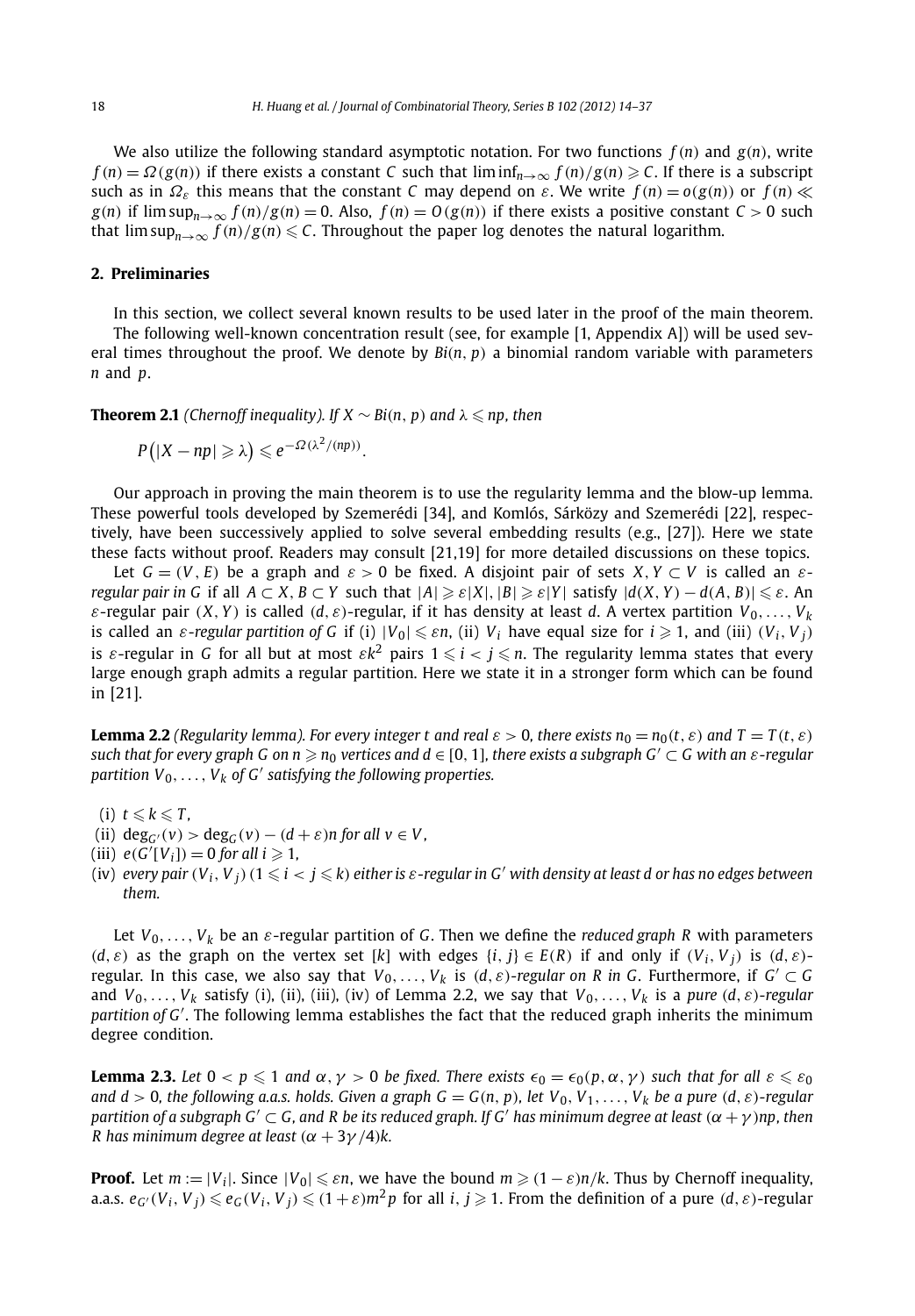We also utilize the following standard asymptotic notation. For two functions  $f(n)$  and  $g(n)$ , write  $f(n) = \Omega(g(n))$  if there exists a constant C such that  $\liminf_{n\to\infty} f(n)/g(n) \geq C$ . If there is a subscript such as in  $\Omega$ <sub>*f*</sub> this means that the constant *C* may depend on *ε*. We write  $f(n) = o(g(n))$  or  $f(n) \ll$  $g(n)$  if  $\limsup_{n\to\infty} f(n)/g(n) = 0$ . Also,  $f(n) = O(g(n))$  if there exists a positive constant  $C > 0$  such that  $\limsup_{n\to\infty}f(n)/g(n)\leqslant C.$  Throughout the paper log denotes the natural logarithm.

#### **2. Preliminaries**

In this section, we collect several known results to be used later in the proof of the main theorem. The following well-known concentration result (see, for example [1, Appendix A]) will be used several times throughout the proof. We denote by *Bi(n, p)* a binomial random variable with parameters *n* and *p*.

**Theorem 2.1** (Chernoff inequality). If  $X \sim Bi(n, p)$  and  $\lambda \leqslant np$ , then

$$
P(|X - np| \geq \lambda) \leq e^{-\Omega(\lambda^2/(np))}.
$$

Our approach in proving the main theorem is to use the regularity lemma and the blow-up lemma. These powerful tools developed by Szemerédi [34], and Komlós, Sárközy and Szemerédi [22], respectively, have been successively applied to solve several embedding results (e.g., [27]). Here we state these facts without proof. Readers may consult [21,19] for more detailed discussions on these topics.

Let  $G = (V, E)$  be a graph and  $\varepsilon > 0$  be fixed. A disjoint pair of sets  $X, Y \subset V$  is called an  $\varepsilon$ regular pair in G if all  $A \subset X$ ,  $B \subset Y$  such that  $|A| \geqslant \varepsilon |X|$ ,  $|B| \geqslant \varepsilon |Y|$  satisfy  $|d(X, Y) - d(A, B)| \leqslant \varepsilon$ . An *ε*-regular pair  $(X, Y)$  is called  $(d, \varepsilon)$ -regular, if it has density at least *d*. A vertex partition  $V_0, \ldots, V_k$ is called an  $\varepsilon$ -regular partition of G if (i)  $|V_0| \leqslant \varepsilon n$ , (ii)  $V_i$  have equal size for  $i \geqslant 1$ , and (iii)  $(V_i, V_j)$ is  $\varepsilon$ -regular in G for all but at most  $\varepsilon k^2$  pairs  $1\leqslant i < j \leqslant n.$  The regularity lemma states that every large enough graph admits a regular partition. Here we state it in a stronger form which can be found in [21].

**Lemma 2.2** (Regularity lemma). For every integer t and real  $\varepsilon > 0$ , there exists  $n_0 = n_0(t, \varepsilon)$  and  $T = T(t, \varepsilon)$ *such that for every graph G on n*  $\geq$  *n*<sub>0</sub> *vertices and d*  $\in$  [0, 1]*, there exists a subgraph G'*  $\subset$  G *with an*  $\varepsilon$ -regular *partition*  $V_0, \ldots, V_k$  *of*  $G'$  *satisfying the following properties.* 

- $(i)$   $t \leq k \leq T$ ,
- (ii)  $\deg_{C'}(v) > \deg_C(v) (d + \varepsilon)n$  for all  $v \in V$ ,
- (iii)  $e(G'[V_i]) = 0$  *for all i*  $\geq 1$ *,*
- (iv) every pair (V $_i$ , V $_j$ ) ( $1\leqslant i < j \leqslant k$ ) either is  $\varepsilon$ -regular in G $'$  with density at least d or has no edges between *them.*

Let  $V_0, \ldots, V_k$  be an  $\varepsilon$ -regular partition of *G*. Then we define the *reduced graph R* with parameters  $(d, \varepsilon)$  as the graph on the vertex set [k] with edges  $\{i, j\} \in E(R)$  if and only if  $(V_i, V_j)$  is  $(d, \varepsilon)$ regular. In this case, we also say that  $V_0, \ldots, V_k$  is  $(d, \varepsilon)$ -regular on R in G. Furthermore, if  $G' \subset G$ and  $V_0, \ldots, V_k$  satisfy (i), (ii), (iii), (iv) of Lemma 2.2, we say that  $V_0, \ldots, V_k$  is a *pure*  $(d, \varepsilon)$ *-regular partition of G* . The following lemma establishes the fact that the reduced graph inherits the minimum degree condition.

**Lemma 2.3.** Let  $0 < p \le 1$  and  $\alpha, \gamma > 0$  be fixed. There exists  $\epsilon_0 = \epsilon_0(p, \alpha, \gamma)$  such that for all  $\varepsilon \le \varepsilon_0$ and  $d > 0$ , the following a.a.s. holds. Given a graph  $G = G(n, p)$ , let  $V_0, V_1, \ldots, V_k$  be a pure  $(d, \varepsilon)$ -regular *partition of a subgraph G* ⊂ *G, and R be its reduced graph. If G has minimum degree at least (α* +*γ )np, then R* has minimum degree at least  $(\alpha + 3\gamma/4)$ *k.* 

**Proof.** Let  $m := |V_i|$ . Since  $|V_0| \leq \varepsilon n$ , we have the bound  $m \geqslant (1 - \varepsilon)n/k$ . Thus by Chernoff inequality, a.a.s.  $e_{G'}(V_i,V_j)\leqslant e_G(V_i,V_j)\leqslant (1+\varepsilon)m^2p$  for all  $i,j\geqslant 1.$  From the definition of a pure  $(d,\varepsilon)$ -regular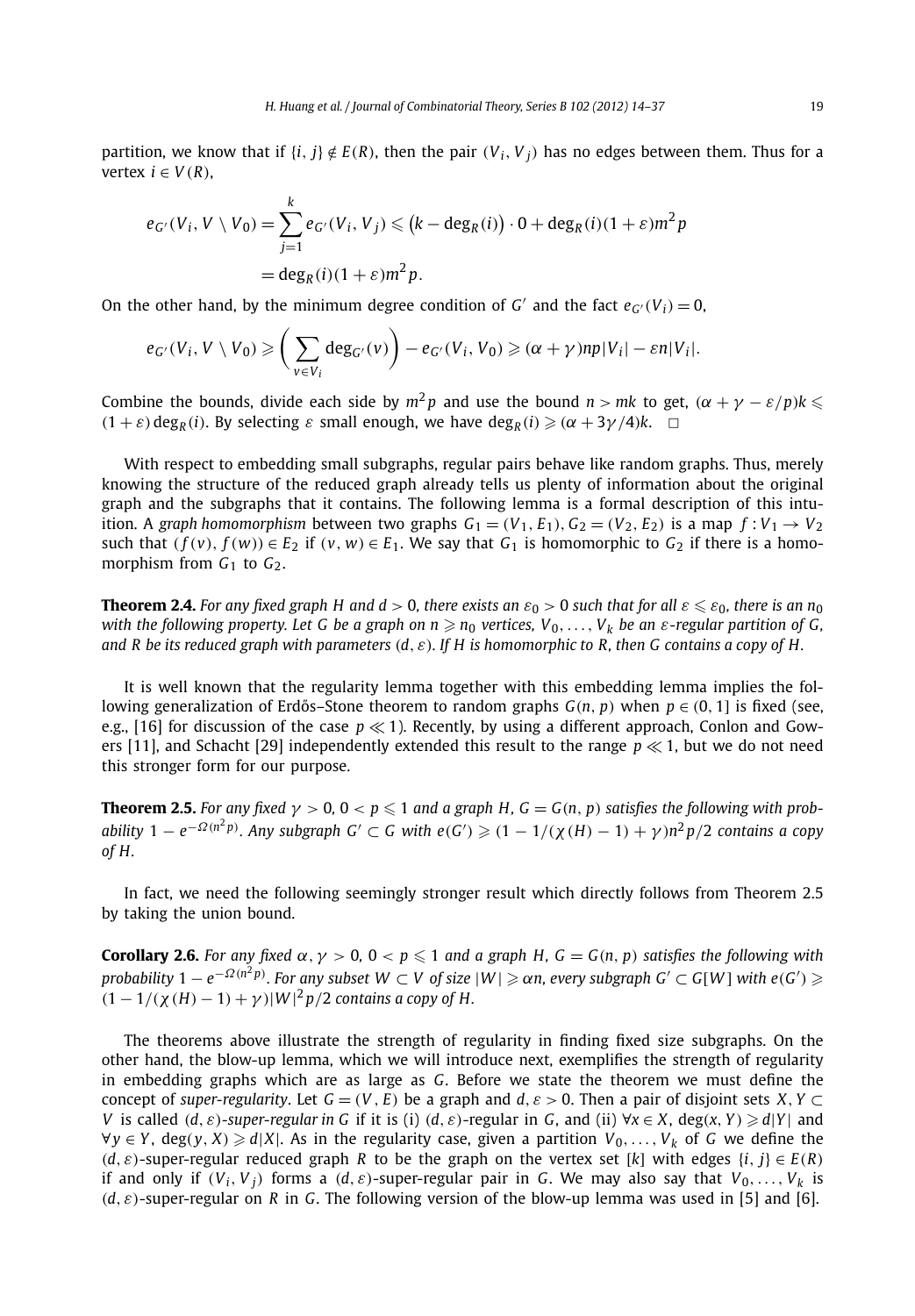partition, we know that if  $\{i, j\} \notin E(R)$ , then the pair  $(V_i, V_j)$  has no edges between them. Thus for a vertex  $i \in V(R)$ ,

$$
e_{G'}(V_i, V \setminus V_0) = \sum_{j=1}^k e_{G'}(V_i, V_j) \leq (k - \deg_R(i)) \cdot 0 + \deg_R(i)(1 + \varepsilon)m^2 p
$$
  
= deg<sub>R</sub>(i)(1 + \varepsilon)m<sup>2</sup> p.

On the other hand, by the minimum degree condition of *G'* and the fact  $e_{G'}(V_i) = 0$ ,

$$
e_{G'}(V_i, V \setminus V_0) \geqslant \bigg(\sum_{v \in V_i} \deg_{G'}(v)\bigg) - e_{G'}(V_i, V_0) \geqslant (\alpha + \gamma) np|V_i| - \varepsilon n|V_i|.
$$

Combine the bounds, divide each side by  $m^2p$  and use the bound  $n > mk$  to get,  $(\alpha + \gamma - \varepsilon/p)k \leqslant$  $(1 + \varepsilon)$  deg<sub>*R*</sub> $(i)$ . By selecting  $\varepsilon$  small enough, we have deg<sub>*R*</sub> $(i) \geq (\alpha + 3\gamma/4)k$ .  $\Box$ 

With respect to embedding small subgraphs, regular pairs behave like random graphs. Thus, merely knowing the structure of the reduced graph already tells us plenty of information about the original graph and the subgraphs that it contains. The following lemma is a formal description of this intuition. A graph homomorphism between two graphs  $G_1 = (V_1, E_1), G_2 = (V_2, E_2)$  is a map  $f: V_1 \rightarrow V_2$ such that  $(f(v), f(w)) \in E_2$  if  $(v, w) \in E_1$ . We say that  $G_1$  is homomorphic to  $G_2$  if there is a homomorphism from  $G_1$  to  $G_2$ .

**Theorem 2.4.** For any fixed graph H and  $d > 0$ , there exists an  $\varepsilon_0 > 0$  such that for all  $\varepsilon \leqslant \varepsilon_0$ , there is an  $n_0$ *with the following property. Let G be a graph on*  $n \geq n_0$  *vertices,*  $V_0, \ldots, V_k$  *be an*  $\varepsilon$ *-regular partition of G, and R be its reduced graph with parameters (d, ε). If H is homomorphic to R, then G contains a copy of H.*

It is well known that the regularity lemma together with this embedding lemma implies the following generalization of Erdős–Stone theorem to random graphs  $G(n, p)$  when  $p \in (0, 1]$  is fixed (see, e.g., [16] for discussion of the case  $p \ll 1$ ). Recently, by using a different approach, Conlon and Gowers [11], and Schacht [29] independently extended this result to the range  $p \ll 1$ , but we do not need this stronger form for our purpose.

**Theorem 2.5.** *For any fixed*  $\gamma > 0$ ,  $0 < p \leqslant 1$  *and a graph H, G* = *G*(*n*, *p*) *satisfies the following with prob*ability 1 —  $e^{-\Omega(n^2p)}$ . Any subgraph G'  $\subset$  G with  $e(G')\geqslant (1-1/(\chi(H)-1)+\gamma)n^2p/2$  contains a copy *of H.*

In fact, we need the following seemingly stronger result which directly follows from Theorem 2.5 by taking the union bound.

**Corollary 2.6.** For any fixed  $\alpha$ ,  $\gamma > 0$ ,  $0 < p \leq 1$  and a graph H, G = G(n, p) satisfies the following with *probability*  $1-e^{-\Omega(n^2p)}$ . For any subset  $W\subset V$  of size  $|W|\geqslant \alpha n$ , every subgraph  $G'\subset G[W]$  with  $e(G')\geqslant \alpha n$  $(1 - 1/(\chi(H) - 1) + \gamma)|W|^2 p/2$  *contains a copy of H.* 

The theorems above illustrate the strength of regularity in finding fixed size subgraphs. On the other hand, the blow-up lemma, which we will introduce next, exemplifies the strength of regularity in embedding graphs which are as large as *G*. Before we state the theorem we must define the concept of *super-regularity*. Let  $G = (V, E)$  be a graph and  $d, \varepsilon > 0$ . Then a pair of disjoint sets *X*, *Y* ⊂ V is called  $(d, \varepsilon)$ -super-regular in G if it is (i)  $(d, \varepsilon)$ -regular in G, and (ii)  $\forall x \in X$ , deg(x, Y)  $\ge d|Y|$  and  $∀y ∈ Y$ , deg(*y*, *X*)  $\ge d|X|$ . As in the regularity case, given a partition  $V_0, \ldots, V_k$  of *G* we define the  $(d, \varepsilon)$ -super-regular reduced graph *R* to be the graph on the vertex set [*k*] with edges  $\{i, j\} \in E(R)$ if and only if  $(V_i, V_j)$  forms a  $(d, \varepsilon)$ -super-regular pair in G. We may also say that  $V_0, \ldots, V_k$  is  $(d, \varepsilon)$ -super-regular on *R* in *G*. The following version of the blow-up lemma was used in [5] and [6].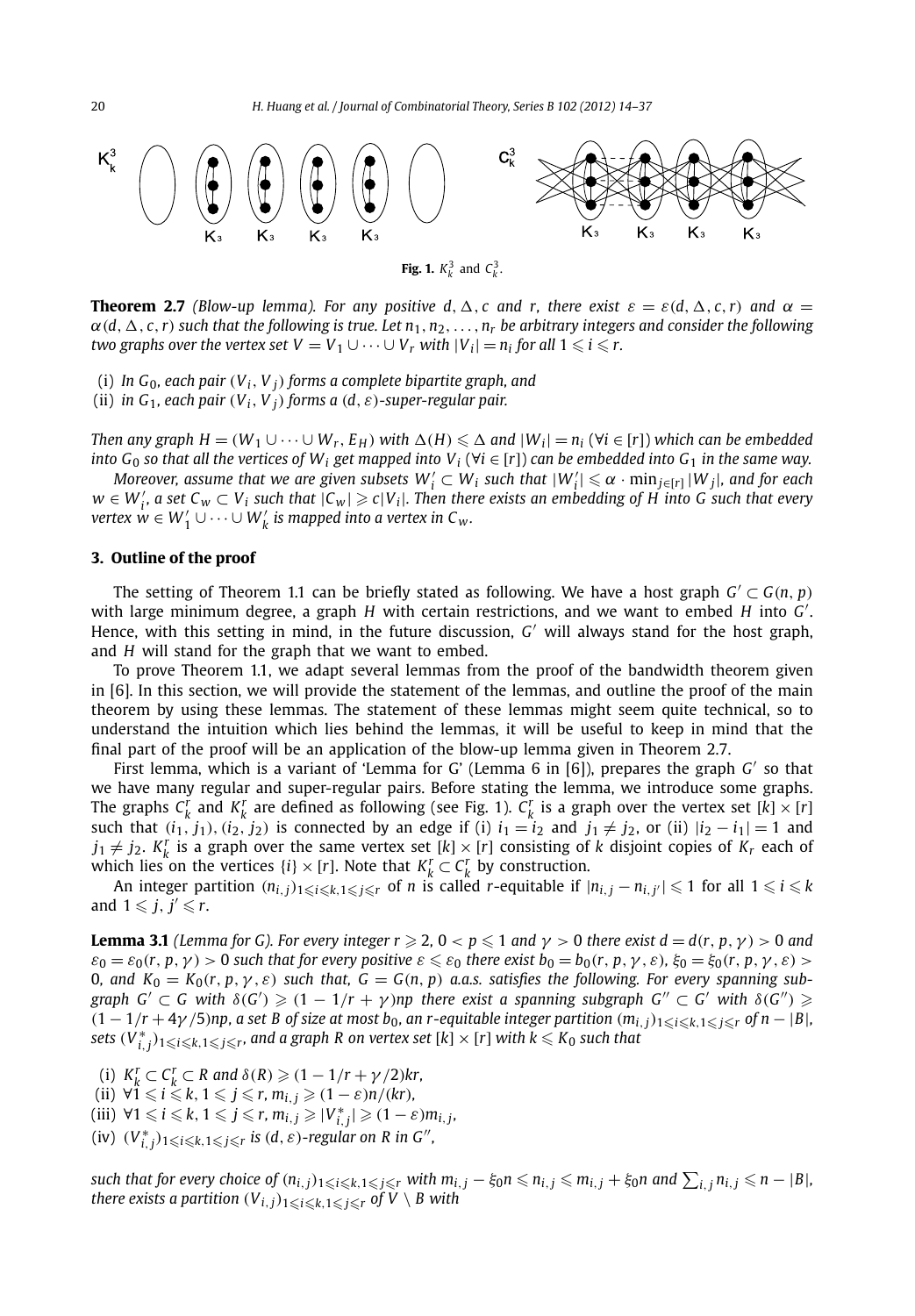

**Theorem 2.7** *(Blow-up lemma). For any positive d,*  $\Delta$ *, c and r, there exist*  $\varepsilon = \varepsilon(d, \Delta, c, r)$  *and*  $\alpha =$  $\alpha$ (d,  $\Delta$ , c, r) such that the following is true. Let  $n_1, n_2, \ldots, n_r$  be arbitrary integers and consider the following *two graphs over the vertex set*  $V = V_1 \cup \cdots \cup V_r$  *with*  $|V_i| = n_i$  for all  $1 \leqslant i \leqslant r$ .

(i) *In*  $G_0$ *, each pair*  $(V_i, V_j)$  *forms a complete bipartite graph, and* 

(ii) *in*  $G_1$ *, each pair*  $(V_i, V_j)$  *forms a*  $(d, \varepsilon)$ *-super-regular pair.* 

Then any graph  $H = (W_1 \cup \cdots \cup W_r, E_H)$  with  $\Delta(H) \leq \Delta$  and  $|W_i| = n_i$   $(\forall i \in [r])$  which can be embedded *into*  $G_0$  *so that all the vertices of*  $W_i$  *get mapped into*  $V_i$  ( $\forall i \in [r]$ ) *can be embedded into*  $G_1$  *in the same way.* 

*Moreover, assume that we are given subsets*  $W_i' \subset W_i$  *such that*  $|W_i'| \leq \alpha \cdot \min_{j \in [r]} |W_j|$ *, and for each*  $w \in W'_i$ , a set  $C_w \subset V_i$  such that  $|C_w| \geqslant c|V_i|$ . Then there exists an embedding of H into G such that every  $\forall x$   $w \in W'_{1} \cup \cdots \cup W'_{k}$  is mapped into a vertex in C<sub>w</sub>.

#### **3. Outline of the proof**

The setting of Theorem 1.1 can be briefly stated as following. We have a host graph  $G' \subset G(n, p)$ with large minimum degree, a graph *H* with certain restrictions, and we want to embed *H* into *G* . Hence, with this setting in mind, in the future discussion, *G* will always stand for the host graph, and *H* will stand for the graph that we want to embed.

To prove Theorem 1.1, we adapt several lemmas from the proof of the bandwidth theorem given in [6]. In this section, we will provide the statement of the lemmas, and outline the proof of the main theorem by using these lemmas. The statement of these lemmas might seem quite technical, so to understand the intuition which lies behind the lemmas, it will be useful to keep in mind that the final part of the proof will be an application of the blow-up lemma given in Theorem 2.7.

First lemma, which is a variant of 'Lemma for G' (Lemma 6 in [6]), prepares the graph *G* so that we have many regular and super-regular pairs. Before stating the lemma, we introduce some graphs. The graphs  $C_k^r$  and  $K_k^r$  are defined as following (see Fig. 1).  $C_k^r$  is a graph over the vertex set  $[k] \times [r]$ such that  $(i_1, j_1), (i_2, j_2)$  is connected by an edge if (i)  $i_1 = i_2$  and  $j_1 \neq j_2$ , or (ii)  $|i_2 - i_1| = 1$  and  $j_1 \neq j_2$ .  $K_k^r$  is a graph over the same vertex set  $[k] \times [r]$  consisting of *k* disjoint copies of  $K_r$  each of which lies on the vertices  $\{i\} \times [r]$ . Note that  $K_k^r \subset C_k^r$  by construction.

An integer partition  $(n_{i,j})_{1\leqslant i\leqslant k,1\leqslant j\leqslant r}$  of  $n$  is called r-equitable if  $|n_{i,j}-n_{i,j'}|\leqslant 1$  for all  $1\leqslant i\leqslant k$ and  $1 \leqslant j, j' \leqslant r$ .

**Lemma 3.1** (Lemma for G). For every integer  $r \geqslant 2$ ,  $0 < p \leqslant 1$  and  $\gamma > 0$  there exist  $d = d(r, p, \gamma) > 0$  and  $\varepsilon_0=\varepsilon_0(r,p,\gamma)>0$  such that for every positive  $\varepsilon\leqslant\varepsilon_0$  there exist  $b_0=b_0(r,p,\gamma,\varepsilon),$   $\xi_0=\xi_0(r,p,\gamma,\varepsilon)>0$ 0, and  $K_0 = K_0(r, p, \gamma, \varepsilon)$  such that,  $G = G(n, p)$  a.a.s. satisfies the following. For every spanning sub*graph*  $G' \subset G$  with  $\delta(G') \geq (1 - 1/r + \gamma)$ np there exist a spanning subgraph  $G'' \subset G'$  with  $\delta(G'') \geq$  $(1-1/r+4\gamma/5)$ np, a set B of size at most b<sub>0</sub>, an r-equitable integer partition  $(m_{i,j})_{1\leqslant i\leqslant k, 1\leqslant j\leqslant r}$  of  $n-|B|$ ,  $s$ ets  $(V_{i,j}^*)_{1\leqslant i\leqslant k,1\leqslant j\leqslant r}$ , and a graph R on vertex set [k]  $\times$  [r] with  $k\leqslant K_0$  such that

- (i)  $K_k^r \subset C_k^r \subset R$  and  $\delta(R) \geq (1 1/r + \gamma/2)kr$ ,
- $i \leq k, 1 \leq j \leq r, m_{i,j} \geq (1 \varepsilon)n/(kr)$ ,
- $(iii) \ \forall 1 \leq i \leq k, \ 1 \leq j \leq r, \ m_{i,j} \geq |V^*_{i,j}| \geq (1 \varepsilon) m_{i,j}$
- $(iv)$   $(V_{i,j}^*)_{1\leqslant i\leqslant k,1\leqslant j\leqslant r}$  is  $(d,\varepsilon)$ -regular on R in G<sup>11</sup>,

such that for every choice of  $(n_{i,j})_{1\leqslant i\leqslant k,1\leqslant j\leqslant r}$  with  $m_{i,j}-\xi_0 n\leqslant n_{i,j}\leqslant m_{i,j}+\xi_0 n$  and  $\sum_{i,j}n_{i,j}\leqslant n-|B|$ ,  $t$ here exists a partition  $(V_{i,j})_{1\leqslant i\leqslant k,1\leqslant j\leqslant r}$  of  $V\setminus B$  with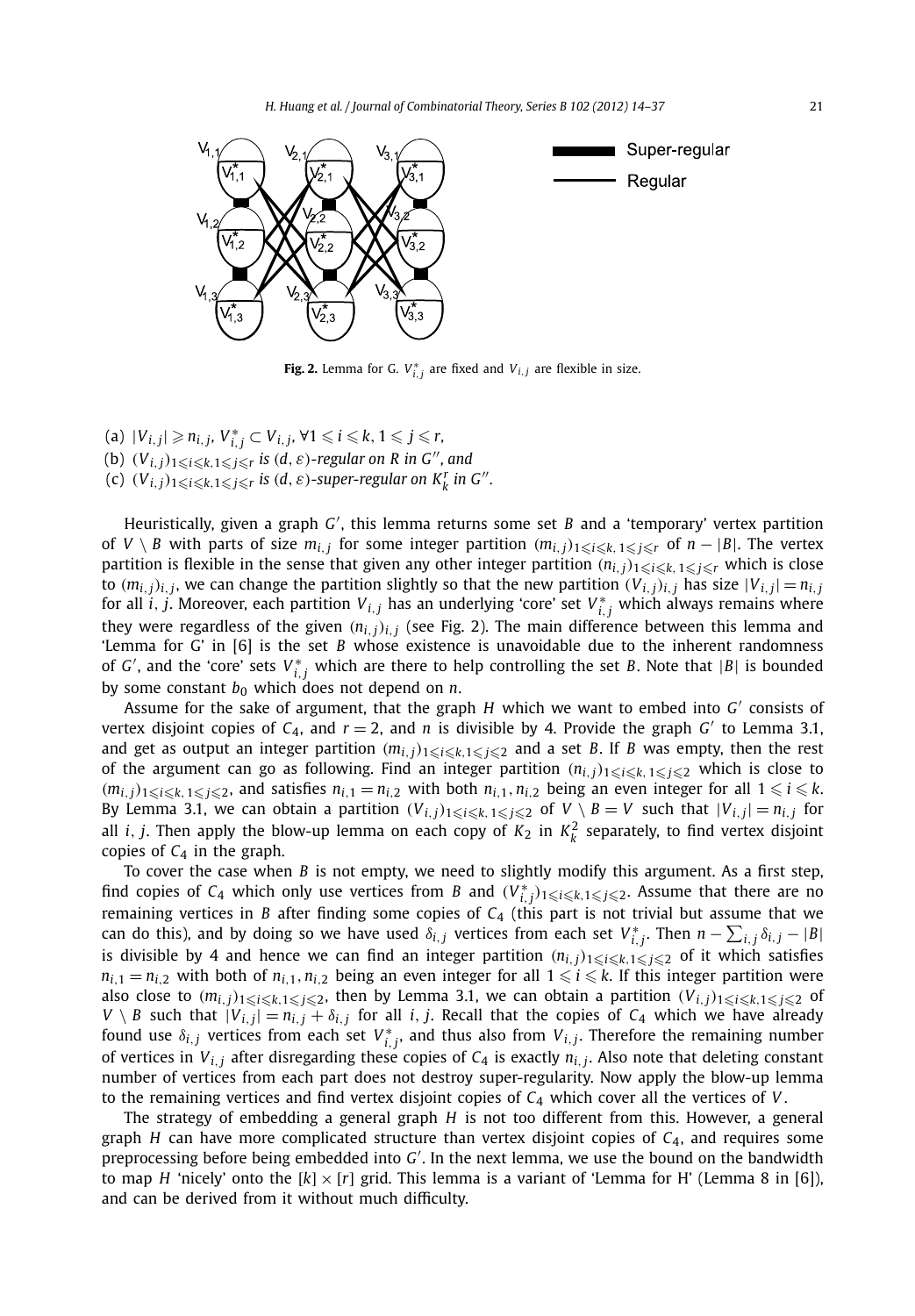

**Fig. 2.** Lemma for G.  $V_{i,j}^*$  are fixed and  $V_{i,j}$  are flexible in size.

- $V_{i,j} \geq n_{i,j}, V_{i,j}^* \subset V_{i,j}, \forall 1 \leq i \leq k, 1 \leq j \leq r$
- (b)  $(V_{i,j})_{1 \leq i \leq k, 1 \leq j \leq r}$  is  $(d, \varepsilon)$ -regular on R in G<sup>*n*</sup>, and
- (c)  $(V_{i,j})_{1 \leqslant i \leqslant k, 1 \leqslant j \leqslant r}$  is  $(d, \varepsilon)$ -super-regular on  $K_{k}^{r}$  in  $G''$ .

Heuristically, given a graph *G'*, this lemma returns some set *B* and a 'temporary' vertex partition of  $V \setminus B$  with parts of size  $m_{i,j}$  for some integer partition  $(m_{i,j})_{1 \leqslant i \leqslant k, 1 \leqslant j \leqslant r}$  of  $n-|B|$ . The vertex partition is flexible in the sense that given any other integer partition  $(n_{i,j})_{1\leqslant i\leqslant k,$   $1\leqslant j\leqslant r}$  which is close to  $(m_{i,j})_{i,j}$ , we can change the partition slightly so that the new partition  $(V_{i,j})_{i,j}$  has size  $|V_{i,j}| = n_{i,j}$ for all  $i$ ,  $j$ . Moreover, each partition  $V_{i,j}$  has an underlying 'core' set  $V_{i,j}^*$  which always remains where they were regardless of the given  $(n_{i,j})_{i,j}$  (see Fig. 2). The main difference between this lemma and 'Lemma for G' in [6] is the set *B* whose existence is unavoidable due to the inherent randomness of *G'*, and the 'core' sets  $V_{i,j}^*$  which are there to help controlling the set *B*. Note that  $|B|$  is bounded by some constant  $b_0$  which does not depend on  $n$ .

Assume for the sake of argument, that the graph  $H$  which we want to embed into  $G'$  consists of vertex disjoint copies of  $C_4$ , and  $r = 2$ , and *n* is divisible by 4. Provide the graph *G'* to Lemma 3.1, and get as output an integer partition  $(m_{i,j})_{1\leqslant i\leqslant k,1\leqslant j\leqslant 2}$  and a set *B*. If *B* was empty, then the rest of the argument can go as following. Find an integer partition  $(n_{i,j})_{1\leqslant i\leqslant k,\,1\leqslant j\leqslant 2}$  which is close to  $(m_{i,j})_{1\leqslant i\leqslant k, 1\leqslant j\leqslant 2}$ , and satisfies  $n_{i,1}=n_{i,2}$  with both  $n_{i,1},n_{i,2}$  being an even integer for all  $1\leqslant i\leqslant k$ . By Lemma 3.1, we can obtain a partition  $(V_{i,j})_{1\leqslant i\leqslant k, 1\leqslant j\leqslant 2}$  of  $V\setminus B=V$  such that  $|V_{i,j}|=n_{i,j}$  for all *i*, *j*. Then apply the blow-up lemma on each copy of  $K_2$  in  $K_k^2$  separately, to find vertex disjoint copies of  $C_4$  in the graph.

To cover the case when *B* is not empty, we need to slightly modify this argument. As a first step, find copies of  $C_4$  which only use vertices from *B* and  $(V_{i,j}^*)_{1\leqslant i\leqslant k, 1\leqslant j\leqslant 2}$ . Assume that there are no remaining vertices in *B* after finding some copies of *C*<sup>4</sup> (this part is not trivial but assume that we can do this), and by doing so we have used  $\delta_{i,j}$  vertices from each set  $V_{i,j}^*$ . Then  $n - \sum_{i,j} \delta_{i,j} - |B|$ is divisible by 4 and hence we can find an integer partition  $(n_{i,j})_{1\leqslant i\leqslant k,1\leqslant j\leqslant 2}$  of it which satisfies  $n_{i,1} = n_{i,2}$  with both of  $n_{i,1}, n_{i,2}$  being an even integer for all  $1 \leq i \leq k$ . If this integer partition were also close to  $(m_{i,j})_{1\leqslant i\leqslant k,1\leqslant j\leqslant 2}$ , then by Lemma 3.1, we can obtain a partition  $(V_{i,j})_{1\leqslant i\leqslant k,1\leqslant j\leqslant 2}$  of  $V \setminus B$  such that  $|V_{i,j}| = n_{i,j} + \delta_{i,j}$  for all *i*, *j*. Recall that the copies of  $C_4$  which we have already found use  $\delta_{i,j}$  vertices from each set  $V_{i,j}^*$ , and thus also from  $V_{i,j}$ . Therefore the remaining number of vertices in  $V_{i,j}$  after disregarding these copies of  $C_4$  is exactly  $n_{i,j}$ . Also note that deleting constant number of vertices from each part does not destroy super-regularity. Now apply the blow-up lemma to the remaining vertices and find vertex disjoint copies of  $C_4$  which cover all the vertices of  $V$ .

The strategy of embedding a general graph *H* is not too different from this. However, a general graph *H* can have more complicated structure than vertex disjoint copies of *C*4, and requires some preprocessing before being embedded into *G* . In the next lemma, we use the bound on the bandwidth to map *H* 'nicely' onto the  $[k] \times [r]$  grid. This lemma is a variant of 'Lemma for H' (Lemma 8 in [6]), and can be derived from it without much difficulty.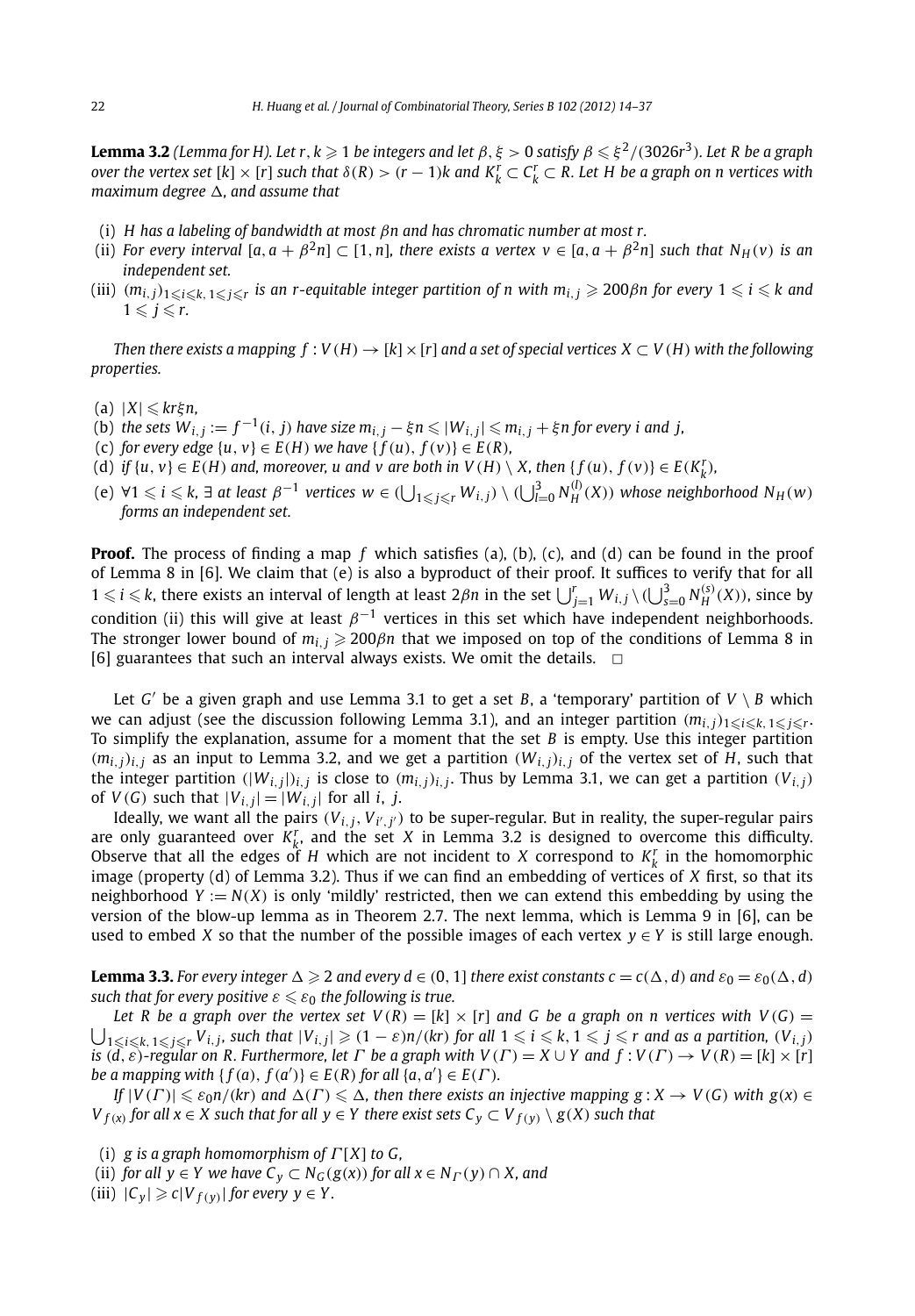**Lemma 3.2** (Lemma for H). Let  $r$ ,  $k\geqslant 1$  be integers and let  $\beta$ ,  $\xi>0$  satisfy  $\beta\leqslant \xi^2/(3026r^3)$ . Let R be a graph *over the vertex set*  $[k] \times [r]$  *such that*  $\delta(R) > (r - 1)k$  *and*  $K_k^r \subset C_k^r \subset R$ . Let  $H$  be a graph on  $n$  vertices with *maximum degree -, and assume that*

- (i) *H has a labeling of bandwidth at most βn and has chromatic number at most r.*
- (ii) For every interval  $[a, a + \beta^2 n] \subset [1, n]$ , there exists a vertex  $v \in [a, a + \beta^2 n]$  such that  $N_H(v)$  is an *independent set.*
- (iii)  $(m_{i,j})_{1\leqslant i\leqslant k,\,1\leqslant j\leqslant r}$  is an r-equitable integer partition of n with  $m_{i,\,j}\geqslant 200\beta$ n for every  $1\leqslant i\leqslant k$  and  $1 \leqslant j \leqslant r$ .

*Then there exists a mapping*  $f: V(H) \to [k] \times [r]$  *and a set of special vertices*  $X \subset V(H)$  *with the following properties.*

- (a) |*X*| *krξn,*
- (b) the sets  $W_{i,j}:=f^{-1}(i,j)$  have size  $m_{i,j}-\xi n\leqslant |W_{i,j}|\leqslant m_{i,j}+\xi n$  for every  $i$  and  $j,$
- (c) *for every edge*  $\{u, v\} \in E(H)$  *we have*  $\{f(u), f(v)\} \in E(R)$ *,*
- (d) if  $\{u, v\} \in E(H)$  and, moreover, u and v are both in  $V(H) \setminus X$ , then  $\{f(u), f(v)\} \in E(K_k^r)$ ,
- (e)  $\forall 1 \leq i \leq k$ ,  $\exists$  at least  $\beta^{-1}$  vertices  $w \in (\bigcup_{1 \leq j \leq r} W_{i,j}) \setminus (\bigcup_{l=0}^{3} N_H^{(l)}(X))$  whose neighborhood  $N_H(w)$ *forms an independent set.*

**Proof.** The process of finding a map f which satisfies (a), (b), (c), and (d) can be found in the proof of Lemma 8 in [6]. We claim that (e) is also a byproduct of their proof. It suffices to verify that for all  $1 \leq i \leq k$ , there exists an interval of length at least  $2\beta n$  in the set  $\bigcup_{j=1}^{r} W_{i,j} \setminus (\bigcup_{s=0}^{3} N_H^{(s)}(X))$ , since by condition (ii) this will give at least  $\beta^{-1}$  vertices in this set which have independent neighborhoods. The stronger lower bound of  $m_{i,j} \geq 200\beta n$  that we imposed on top of the conditions of Lemma 8 in [6] guarantees that such an interval always exists. We omit the details.  $\Box$ 

Let *G'* be a given graph and use Lemma 3.1 to get a set *B*, a 'temporary' partition of  $V \setminus B$  which we can adjust (see the discussion following Lemma 3.1), and an integer partition  $(m_{i,j})_{1\leqslant i\leqslant k,\,1\leqslant j\leqslant r}.$ To simplify the explanation, assume for a moment that the set *B* is empty. Use this integer partition  $(m_{i,j})_{i,j}$  as an input to Lemma 3.2, and we get a partition  $(W_{i,j})_{i,j}$  of the vertex set of *H*, such that the integer partition  $(|W_{i,j}|)_{i,j}$  is close to  $(m_{i,j})_{i,j}$ . Thus by Lemma 3.1, we can get a partition  $(V_{i,j})$ of  $V(G)$  such that  $|V_{i,j}| = |W_{i,j}|$  for all *i*, *j*.

Ideally, we want all the pairs *(Vi,j, Vi ,j)* to be super-regular. But in reality, the super-regular pairs are only guaranteed over  $K_k^r$ , and the set  $X$  in Lemma 3.2 is designed to overcome this difficulty. Observe that all the edges of *H* which are not incident to *X* correspond to  $K_k^r$  in the homomorphic image (property (d) of Lemma 3.2). Thus if we can find an embedding of vertices of *X* first, so that its neighborhood  $Y := N(X)$  is only 'mildly' restricted, then we can extend this embedding by using the version of the blow-up lemma as in Theorem 2.7. The next lemma, which is Lemma 9 in [6], can be used to embed *X* so that the number of the possible images of each vertex  $y \in Y$  is still large enough.

**Lemma 3.3.** For every integer  $\Delta \ge 2$  and every  $d \in (0, 1]$  there exist constants  $c = c(\Delta, d)$  and  $\varepsilon_0 = \varepsilon_0(\Delta, d)$  $\mathit{such}\;$  that for every positive  $\varepsilon\leqslant\varepsilon_0$  the following is true.

 $\bigcup_{1 \leq i \leq k, 1 \leq j \leq r} V_{i,j}$ , such that  $|V_{i,j}| \geq (1 - \varepsilon)n/(kr)$  for all  $1 \leq i \leq k, 1 \leq j \leq r$  and as a partition,  $(V_{i,j})$ *Let R be a graph over the vertex set*  $V(R) = [k] \times [r]$  *and G be a graph on n vertices with*  $V(G)$  *=* is  $(d, \varepsilon)$ -regular on R. Furthermore, let  $\Gamma$  be a graph with  $V(\Gamma) = X \cup Y$  and  $f: V(\Gamma) \to V(R) = [k] \times [r]$ *be a mapping with*  $\{f(a), f(a')\} \in E(R)$  *for all*  $\{a, a'\} \in E(\Gamma)$ *.* 

If  $|V(\Gamma)| \leq \varepsilon_0 n/(kr)$  and  $\Delta(\Gamma) \leq \Delta$ , then there exists an injective mapping  $g: X \to V(G)$  with  $g(x) \in$  $V_{f(x)}$  for all  $x \in X$  such that for all  $y \in Y$  there exist sets  $C_y \subset V_{f(y)} \setminus g(X)$  such that

- (i) *g is a graph homomorphism of Γ* [*X*] *to G,*
- (ii) *for all y*  $\in$  *Y we have*  $C_v \subset N_G(g(x))$  *for all*  $x \in N_f(y) \cap X$ *, and*
- (iii)  $|C_v| \ge c|V_{f(v)}|$  for every  $y \in Y$ .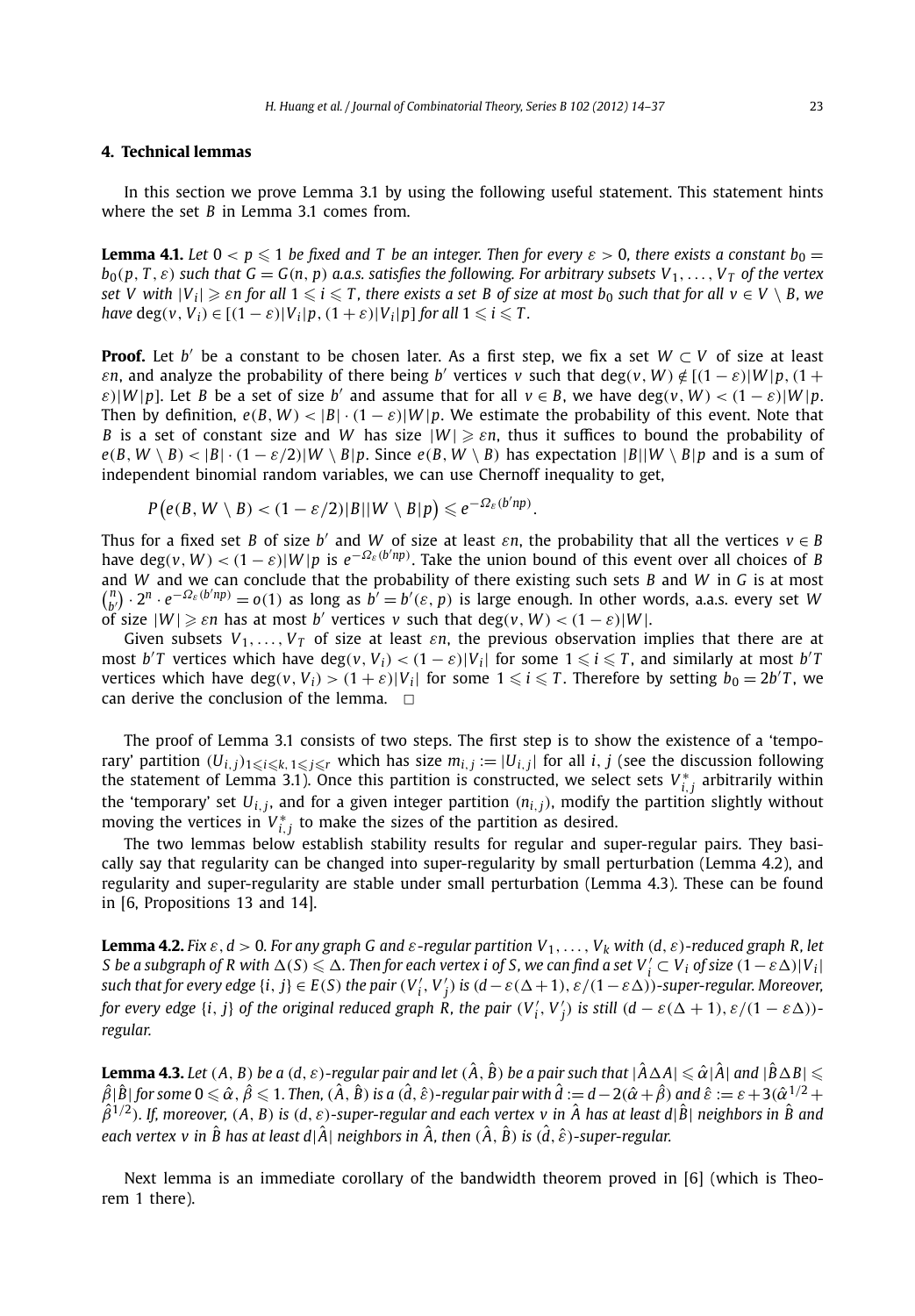#### **4. Technical lemmas**

In this section we prove Lemma 3.1 by using the following useful statement. This statement hints where the set *B* in Lemma 3.1 comes from.

**Lemma 4.1.** Let  $0 < p \leqslant 1$  be fixed and T be an integer. Then for every  $\varepsilon > 0$ , there exists a constant  $b_0 =$  $b_0(p, T, \varepsilon)$  such that  $G = G(n, p)$  a.a.s. satisfies the following. For arbitrary subsets  $V_1, \ldots, V_T$  of the vertex  $\mathsf{Set}$   $V$  with  $|V_i| \geqslant \varepsilon$ n for all  $1 \leqslant i \leqslant T$ , there exists a set  $B$  of size at most  $b_0$  such that for all  $v \in V \setminus B$ , we *have*  $\deg(v, V_i) \in [(1 - \varepsilon)|V_i|p, (1 + \varepsilon)|V_i|p]$  for all  $1 \leq i \leq T$ .

**Proof.** Let *b'* be a constant to be chosen later. As a first step, we fix a set  $W \subset V$  of size at least *εn*, and analyze the probability of there being *b'* vertices *v* such that deg(*v*, *W*)  $\notin$   $[(1 - \varepsilon)|W|p$ ,  $(1 +$  $\varepsilon$ )|*W*|p]. Let *B* be a set of size *b'* and assume that for all  $v \in B$ , we have deg $(v, W) < (1 - \varepsilon) |W| p$ . Then by definition,  $e(B, W) < |B| \cdot (1 - \varepsilon)|W|p$ . We estimate the probability of this event. Note that *B* is a set of constant size and *W* has size |*W* | *εn*, thus it suffices to bound the probability of  $e(B, W \setminus B) < |B| \cdot (1 - \varepsilon/2)|W \setminus B|p$ . Since  $e(B, W \setminus B)$  has expectation  $|B||W \setminus B|p$  and is a sum of independent binomial random variables, we can use Chernoff inequality to get,

$$
P(e(B, W \setminus B) < (1 - \varepsilon/2)|B||W \setminus B|p) \leq e^{-\Omega_{\varepsilon}(b'np)}
$$

Thus for a fixed set *B* of size *b'* and *W* of size at least  $\epsilon n$ , the probability that all the vertices  $v \in B$ have  $deg(v, W) < (1 - \varepsilon)|W|p$  is  $e^{-\Omega_{\varepsilon}(b'np)}$ . Take the union bound of this event over all choices of *B* and *W* and we can conclude that the probability of there existing such sets *B* and *W* in *G* is at most  $\binom{n}{b'} \cdot 2^n \cdot e^{-\Omega_{\varepsilon}(b'np)} = o(1)$  as long as  $b' = b'(\varepsilon, p)$  is large enough. In other words, a.a.s. every set W of size  $|W| \ge \varepsilon n$  has at most *b'* vertices *v* such that deg $(v, W) < (1 - \varepsilon)|W|$ .

*.*

Given subsets  $V_1, \ldots, V_T$  of size at least *εn*, the previous observation implies that there are at most  $b'T$  vertices which have  $\deg(v, V_i) < (1 - \varepsilon)|V_i|$  for some  $1 \leqslant i \leqslant T$ , and similarly at most  $b'T$ vertices which have  $deg(v, V_i) > (1 + \varepsilon)|V_i|$  for some  $1 \leq i \leq T$ . Therefore by setting  $b_0 = 2b'T$ , we can derive the conclusion of the lemma.  $\Box$ 

The proof of Lemma 3.1 consists of two steps. The first step is to show the existence of a 'temporary' partition  $(U_{i,j})_{1\leqslant i\leqslant k,\,1\leqslant j\leqslant r}$  which has size  $m_{i,j}:=|U_{i,j}|$  for all  $i,j$  (see the discussion following the statement of Lemma 3.1). Once this partition is constructed, we select sets  $V_{i,j}^*$  arbitrarily within the 'temporary' set  $U_{i,j}$ , and for a given integer partition  $(n_{i,j})$ , modify the partition slightly without moving the vertices in  $V_{i,j}^*$  to make the sizes of the partition as desired.

The two lemmas below establish stability results for regular and super-regular pairs. They basically say that regularity can be changed into super-regularity by small perturbation (Lemma 4.2), and regularity and super-regularity are stable under small perturbation (Lemma 4.3). These can be found in [6, Propositions 13 and 14].

**Lemma 4.2.** Fix  $\varepsilon$ ,  $d > 0$ . For any graph G and  $\varepsilon$ -regular partition  $V_1, \ldots, V_k$  with  $(d, \varepsilon)$ -reduced graph R, let *S* be a subgraph of R with  $\Delta(S) \leq \Delta$ . Then for each vertex i of S, we can find a set  $V'_i \subset V_i$  of size  $(1 - \varepsilon \Delta) |V_i|$ such that for every edge  $\{i,j\}\in E(S)$  the pair  $(V'_i,V'_j)$  is  $(d-\varepsilon(\Delta+1),\varepsilon/(1-\varepsilon\Delta))$ -super-regular. Moreover, for every edge {i, j} of the original reduced graph  $\mathsf{\tilde{R}}$ , the pair  $(V'_i,V'_j)$  is still  $(d-\varepsilon(\Delta+1),\varepsilon/(1-\varepsilon\Delta))$ *regular.*

**Lemma 4.3.** Let  $(A, B)$  be a  $(d, \varepsilon)$ -regular pair and let  $(\hat{A}, \hat{B})$  be a pair such that  $|\hat{A}\Delta A|\leqslant \hat{\alpha}|\hat{A}|$  and  $|\hat{B}\Delta B|\leqslant$  $\hat{\beta}|\hat{B}|$  for some  $0\leqslant\hat{\alpha}$  ,  $\hat{\beta}\leqslant1$  . Then,  $(\hat{A},\hat{B})$  is a  $(\hat{d},\hat{\varepsilon})$ -regular pair with  $\hat{d}:=d-2(\hat{\alpha}+\hat{\beta})$  and  $\hat{\varepsilon}:=\varepsilon+3(\hat{\alpha}^{1/2}+1)$  $\hat{\beta}^{1/2}$ ). If, moreover, (A, B) is (d,  $\varepsilon$ )-super-regular and each vertex v in  $\hat{A}$  has at least d| $\hat{B}$ | neighbors in  $\hat{B}$  and *each vertex v in*  $\hat{B}$  *has at least d*| $\hat{A}$ | *neighbors in*  $\hat{A}$ *, then*  $(\hat{A}, \hat{B})$  *is*  $(\hat{d}, \hat{\varepsilon})$ *-super-regular.* 

Next lemma is an immediate corollary of the bandwidth theorem proved in [6] (which is Theorem 1 there).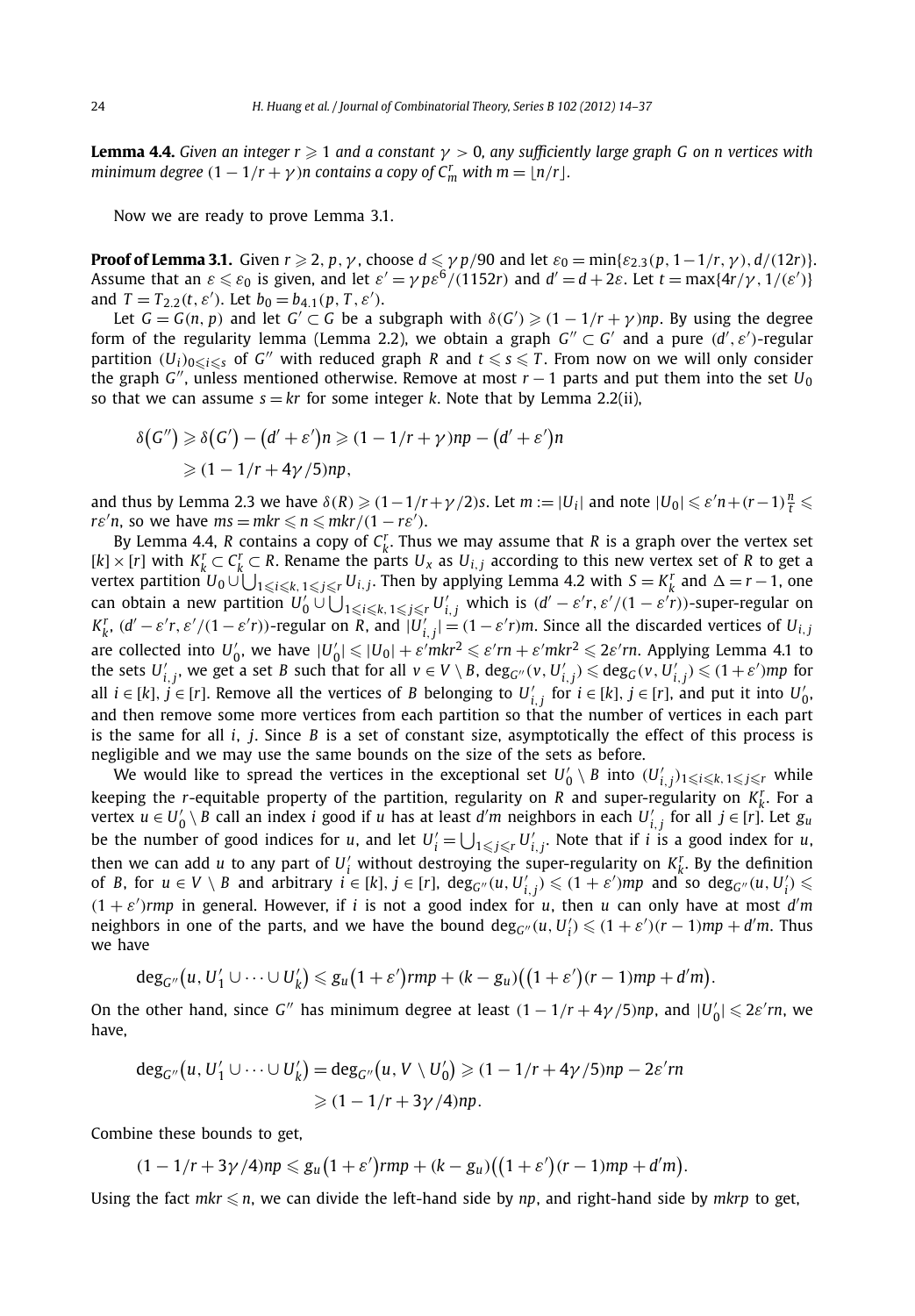**Lemma 4.4.** *Given an integer r*  $\geq 1$  *and a constant*  $\gamma > 0$ *, any sufficiently large graph G on n vertices with minimum degree*  $(1 - 1/r + \gamma)n$  *contains a copy of*  $C_m^r$  *with m* =  $\lfloor n/r \rfloor$ *.* 

Now we are ready to prove Lemma 3.1.

**Proof of Lemma 3.1.** Given  $r \geqslant 2$ ,  $p, \gamma$ , choose  $d \leqslant \gamma p/90$  and let  $\varepsilon_0 = \min\{\varepsilon_{2,3}(p, 1 - 1/r, \gamma), d/(12r)\}.$ Assume that an  $\varepsilon \leqslant \varepsilon_0$  is given, and let  $\varepsilon' = \gamma p \varepsilon^6/(1152r)$  and  $d' = d + 2\varepsilon$ . Let  $t = \max\{4r/\gamma, 1/(\varepsilon')\}$ and  $T = T_{2,2}(t, \varepsilon')$ . Let  $b_0 = b_{4,1}(p, T, \varepsilon')$ .

Let  $G = G(n, p)$  and let  $G' \subset G$  be a subgraph with  $\delta(G') \geq (1 - 1/r + \gamma)np$ . By using the degree form of the regularity lemma (Lemma 2.2), we obtain a graph  $G''\subset G'$  and a pure  $(d',\varepsilon')$ -regular partition  $(U_i)_{0\leqslant i\leqslant s}$  of  $G''$  with reduced graph  $R$  and  $t\leqslant s\leqslant T$ . From now on we will only consider the graph *G*<sup>"</sup>, unless mentioned otherwise. Remove at most  $r - 1$  parts and put them into the set  $U_0$ so that we can assume  $s = kr$  for some integer *k*. Note that by Lemma 2.2(ii),

$$
\delta(G'') \geq \delta(G') - (d' + \varepsilon')n \geq (1 - 1/r + \gamma)np - (d' + \varepsilon')n
$$
  
 
$$
\geq (1 - 1/r + 4\gamma/5)np,
$$

and thus by Lemma 2.3 we have  $\delta(R) \geqslant (1 - 1/r + \gamma/2)$ s. Let  $m := |U_i|$  and note  $|U_0| \leqslant \varepsilon'n + (r - 1)\frac{n}{t} \leqslant$ *rε*'*n*, so we have  $ms = mkr \leq n \leq mkr/(1 - r\epsilon')$ .

By Lemma 4.4, *R* contains a copy of  $C_k^r$ . Thus we may assume that *R* is a graph over the vertex set  $[k] \times [r]$  with  $K_k^r \subset C_k^r \subset R$ . Rename the parts  $U_x$  as  $U_{i,j}$  according to this new vertex set of *R* to get a  $V$ ertex partition  $U_0 \cup \bigcup_{1 \leqslant i \leqslant k, 1 \leqslant j \leqslant r} U_{i,j}$ . Then by applying Lemma 4.2 with  $S = K^r_k$  and  $\Delta = r - 1$ , one can obtain a new partition  $U_0'\cup\bigcup_{1\leqslant i\leqslant k,\,1\leqslant j\leqslant r}U_{i,j}'$  which is  $(d'-\varepsilon' r,\varepsilon'/(1-\varepsilon' r))$ -super-regular on  $K_k^r$ ,  $(d'-\varepsilon'r,\varepsilon'/(1-\varepsilon'r))$ -regular on R, and  $|U'_{i,j}| = (1-\varepsilon'r)m$ . Since all the discarded vertices of  $U_{i,j}$ are collected into  $U'_0$ , we have  $|U'_0| \leq |U_0| + \varepsilon' m k r^2 \leqslant \varepsilon' r n + \varepsilon' m k r^2 \leqslant 2\varepsilon' r n$ . Applying Lemma 4.1 to the sets  $U'_{i,j}$ , we get a set B such that for all  $v\in V\setminus B$ ,  $\deg_{G''}(v,U'_{i,j})$   $\leqslant$   $\deg_G(v,U'_{i,j})$   $\leqslant$   $(1+\varepsilon')mp$  for all *i* ∈ [*k*],  $j$  ∈ [*r*]. Remove all the vertices of *B* belonging to  $U'_{i,j}$  for  $i \in [k]$ ,  $j \in [r]$ , and put it into  $U'_{0}$ , and then remove some more vertices from each partition so that the number of vertices in each part is the same for all *i*, *j*. Since *B* is a set of constant size, asymptotically the effect of this process is negligible and we may use the same bounds on the size of the sets as before.

We would like to spread the vertices in the exceptional set  $U'_0 \setminus B$  into  $(U'_{i,j})_{1 \leqslant i \leqslant k, 1 \leqslant j \leqslant r}$  while keeping the *r*-equitable property of the partition, regularity on *R* and super-regularity on *K<sup>r</sup> <sup>k</sup>*. For a  $w$ ertex  $u \in U'_0 \setminus B$  call an index  $i$  good if  $u$  has at least  $d'm$  neighbors in each  $U'_{i,j}$  for all  $j \in [r]$ . Let  $g_u$ be the number of good indices for *u*, and let  $U'_i = \bigcup_{1 \leq j \leq r} U'_{i,j}$ . Note that if *i* is a good index for *u*, then we can add *u* to any part of  $U_i'$  without destroying the super-regularity on  $K_k^r$ . By the definition of B, for  $u \in V \setminus B$  and arbitrary  $i \in [k]$ ,  $j \in [r]$ ,  $\deg_{G''}(u, U'_{i,j}) \leq (1 + \varepsilon') mp$  and so  $\deg_{G''}(u, U'_i) \leq$  $(1 + \varepsilon')$ *rmp* in general. However, if *i* is not a good index for *u*, then *u* can only have at most *d'm* neighbors in one of the parts, and we have the bound  $deg_{G''}(u, U'_i) \leq (1 + \varepsilon')(r - 1)mp + d'm$ . Thus we have

$$
\deg_{G''}(u, U'_1 \cup \cdots \cup U'_k) \leq g_u(1+\varepsilon')rmp + (k-g_u)\big((1+\varepsilon')(r-1)mp + d'm\big).
$$

On the other hand, since *G*<sup>*n*</sup> has minimum degree at least  $(1 - 1/r + 4\gamma/5)np$ , and  $|U'_0| \leq 2\varepsilon/n$ , we have,

$$
\deg_{G''}(u, U'_1 \cup \dots \cup U'_k) = \deg_{G''}(u, V \setminus U'_0) \geqslant (1 - 1/r + 4\gamma/5)np - 2\varepsilon'rn
$$
  
 
$$
\geqslant (1 - 1/r + 3\gamma/4)np.
$$

Combine these bounds to get,

$$
(1-1/r+3\gamma/4)np \leq g_u(1+\varepsilon')rmp+(k-g_u)\big((1+\varepsilon')(r-1)mp+d'm\big).
$$

Using the fact  $mkr \leqslant n$ , we can divide the left-hand side by  $np$ , and right-hand side by  $mkrp$  to get,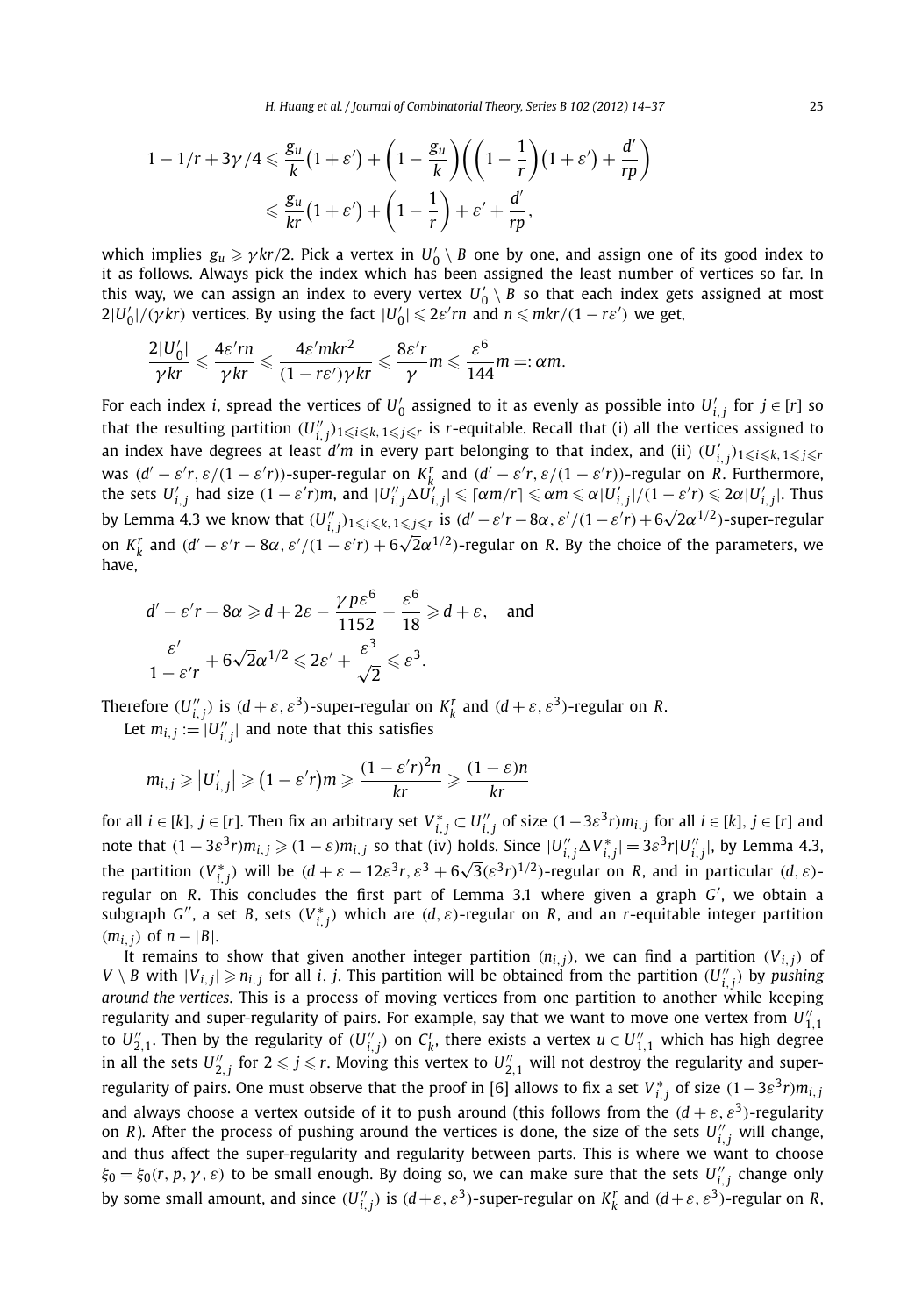$$
1 - 1/r + 3\gamma/4 \le \frac{g_u}{k} \left(1 + \varepsilon'\right) + \left(1 - \frac{g_u}{k}\right) \left(\left(1 - \frac{1}{r}\right) \left(1 + \varepsilon'\right) + \frac{d'}{rp}\right)
$$
  

$$
\le \frac{g_u}{kr} \left(1 + \varepsilon'\right) + \left(1 - \frac{1}{r}\right) + \varepsilon' + \frac{d'}{rp},
$$

which implies  $g_u \ge \gamma k r/2$ . Pick a vertex in  $U'_0 \setminus B$  one by one, and assign one of its good index to it as follows. Always pick the index which has been assigned the least number of vertices so far. In this way, we can assign an index to every vertex  $U_0' \setminus B$  so that each index gets assigned at most  $2|U'_0|/(\gamma k r)$  vertices. By using the fact  $|U'_0| \leqslant 2\varepsilon' r n$  and  $n \leqslant m k r/(1-r \varepsilon')$  we get,

$$
\frac{2|U_0'|}{\gamma kr} \leqslant \frac{4\varepsilon' rn}{\gamma kr} \leqslant \frac{4\varepsilon' mkr^2}{(1-r\varepsilon')\gamma kr} \leqslant \frac{8\varepsilon'r}{\gamma} m \leqslant \frac{\varepsilon^6}{144}m =: \alpha m.
$$

For each index *i*, spread the vertices of  $U'_0$  assigned to it as evenly as possible into  $U'_{i,j}$  for  $j \in [r]$  so that the resulting partition  $(U''_{i,j})_{1\leqslant i\leqslant k, 1\leqslant j\leqslant r}$  is *r*-equitable. Recall that (i) all the vertices assigned to an index have degrees at least  $d'm$  in every part belonging to that index, and (ii)  $(U'_{i,j})_{1\leqslant i\leqslant k,\,1\leqslant j\leqslant r}$ was  $(d'-\varepsilon' r,\varepsilon/(1-\varepsilon' r))$ -super-regular on  $K_k^r$  and  $(d'-\varepsilon' r,\varepsilon/(1-\varepsilon' r))$ -regular on R. Furthermore, the sets  $U'_{i,j}$  had size  $(1-\varepsilon' r)m$ , and  $|U''_{i,j}\Delta \tilde{U'_{i,j}}|\leqslant \lceil\alpha m/r\rceil\leqslant \alpha m\leqslant \alpha |U'_{i,j}|/(1-\varepsilon' r)\leqslant 2\alpha |U'_{i,j}|.$  Thus by Lemma 4.3 we know that  $(U''_{i,j})_{1\leqslant i\leqslant k, 1\leqslant j\leqslant r}$  is  $(d'-\varepsilon'r-8\alpha, \varepsilon'/(1-\varepsilon'r)+6\sqrt{2}\alpha^{1/2})$ -super-regular on  $K_k^r$  and  $(d'-\varepsilon'r - 8\alpha, \varepsilon'/(1-\varepsilon'r) + 6\sqrt{2}\alpha^{1/2})$ -regular on *R*. By the choice of the parameters, we have,

$$
d' - \varepsilon' r - 8\alpha \ge d + 2\varepsilon - \frac{\gamma p \varepsilon^6}{1152} - \frac{\varepsilon^6}{18} \ge d + \varepsilon, \text{ and}
$$
  

$$
\frac{\varepsilon'}{1 - \varepsilon' r} + 6\sqrt{2}\alpha^{1/2} \le 2\varepsilon' + \frac{\varepsilon^3}{\sqrt{2}} \le \varepsilon^3.
$$

Therefore  $(U''_{i,j})$  is  $(d+\varepsilon,\varepsilon^3)$ -super-regular on  $K^r_k$  and  $(d+\varepsilon,\varepsilon^3)$ -regular on R.

Let  $m_{i,j} := |U''_{i,j}|$  and note that this satisfies

$$
m_{i,j} \ge |U'_{i,j}| \ge (1 - \varepsilon' r)m \ge \frac{(1 - \varepsilon' r)^2 n}{kr} \ge \frac{(1 - \varepsilon)n}{kr}
$$

for all  $i\in[k],\,j\in[r].$  Then fix an arbitrary set  $V_{i,\,j}^*\subset U_{i,\,j}''$  of size  $(1-3\varepsilon^3r)m_{i,\,j}$  for all  $i\in[k],\,j\in[r]$  and note that  $(1-3\varepsilon^3r)m_{i,j}\geqslant (1-\varepsilon)m_{i,j}$  so that (iv) holds. Since  $|U_{i,j}''\Delta V_{i,j}^*|=3\varepsilon^3r|U_{i,j}''|$ , by Lemma 4.3, the partition  $(V_{i,j}^*)$  will be  $(d+\varepsilon-12\varepsilon^3r,\varepsilon^3+6\sqrt{3}(\varepsilon^3r)^{1/2})$ -regular on R, and in particular  $(d,\varepsilon)$ -<br>the partition  $(V_{i,j}^*)$  will be  $(d+\varepsilon-12\varepsilon^3r,\varepsilon^3+6\sqrt{3}(\varepsilon^3r)^{1/2})$ -regular on R, and in particul regular on *R*. This concludes the first part of Lemma 3.1 where given a graph *G* , we obtain a subgraph *G*<sup>*''*</sup>, a set *B*, sets  $(V_{i,j}^*)$  which are  $(d, \varepsilon)$ -regular on *R*, and an *r*-equitable integer partition *(m<sub>i, j</sub>)* of *n* − |*B*|.

It remains to show that given another integer partition  $(n_{i,j})$ , we can find a partition  $(V_{i,j})$  of  $V \setminus B$  with  $|V_{i,j}| \geqslant n_{i,j}$  for all i, j. This partition will be obtained from the partition  $(U''_{i,j})$  by pushing *around the vertices*. This is a process of moving vertices from one partition to another while keeping regularity and super-regularity of pairs. For example, say that we want to move one vertex from  $U_{1,1}''$ to  $U_{2,1}''$ . Then by the regularity of  $(U_{i,j}'')$  on  $C_k^r$ , there exists a vertex  $u \in U_{1,1}''$  which has high degree in all the sets  $U_{2,j}''$  for  $2\leqslant j\leqslant r.$  Moving this vertex to  $U_{2,1}''$  will not destroy the regularity and superregularity of pairs. One must observe that the proof in [6] allows to fix a set  $V_{i,j}^*$  of size  $(1-3\varepsilon^3r)m_{i,j}$ and always choose a vertex outside of it to push around (this follows from the  $(d + \varepsilon, \varepsilon^3)$ -regularity on *R*). After the process of pushing around the vertices is done, the size of the sets  $U''_{i,j}$  will change, and thus affect the super-regularity and regularity between parts. This is where we want to choose  $\xi_0 = \xi_0(r, p, \gamma, \varepsilon)$  to be small enough. By doing so, we can make sure that the sets  $U''_{i,j}$  change only by some small amount, and since  $(U''_{i,j})$  is  $(d+\varepsilon,\varepsilon^3)$ -super-regular on  $K^r_k$  and  $(d+\varepsilon,\varepsilon^3)$ -regular on R,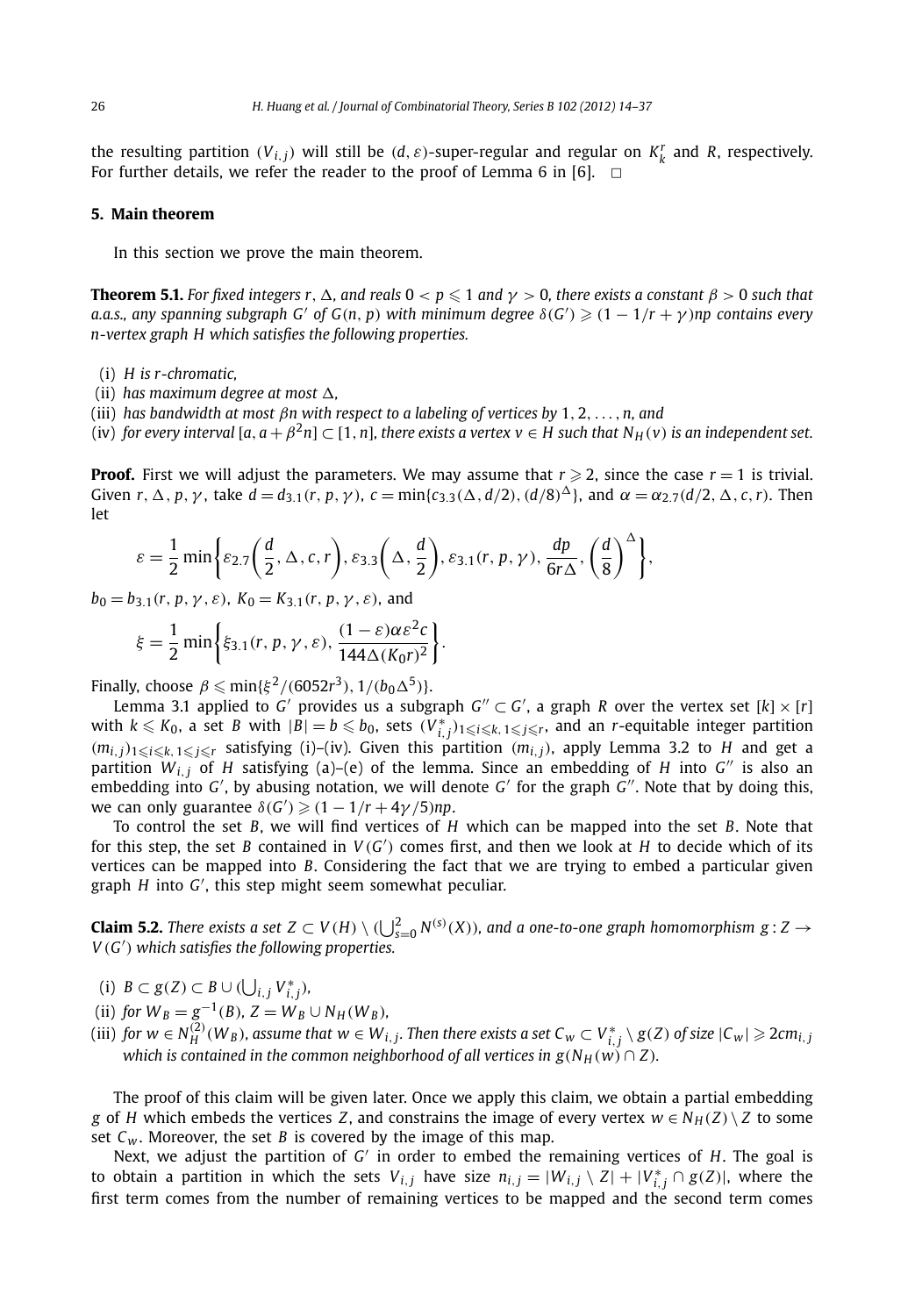the resulting partition  $(V_{i,j})$  will still be  $(d, \varepsilon)$ -super-regular and regular on  $K_k^r$  and  $R$ , respectively. For further details, we refer the reader to the proof of Lemma 6 in [6].  $\Box$ 

### **5. Main theorem**

In this section we prove the main theorem.

**Theorem 5.1.** For fixed integers  $r$  ,  $\Delta$  , and reals  $0 < p \leqslant 1$  and  $\gamma > 0$ , there exists a constant  $\beta > 0$  such that  $a.a.s.,$   $any$   $spanning$   $subgraph$   $G'$   $of$   $G(n,p)$   $with$   $minimum$   $degree$   $\delta(G') \geqslant (1-1/r+\gamma)np$   $contains$   $every$ *n-vertex graph H which satisfies the following properties.*

- (i) *H is r-chromatic,*
- (ii) has maximum degree at most  $\Delta$ ,
- (iii) *has bandwidth at most βn with respect to a labeling of vertices by* 1*,* 2*,...,n, and*

(iv) *for every interval* [ $a$ ,  $a + \beta^2 n$ ] ⊂ [1,  $n$ ], *there exists a vertex v* ∈ *H* such that  $N_H(v)$  *is an independent set.* 

**Proof.** First we will adjust the parameters. We may assume that  $r \ge 2$ , since the case  $r = 1$  is trivial. Given  $r, \Delta, p, \gamma$ , take  $d = d_{3.1}(r, p, \gamma)$ ,  $c = \min\{c_{3.3}(\Delta, d/2), (d/8)^{\Delta}\}\$ , and  $\alpha = \alpha_{2.7}(d/2, \Delta, c, r)$ . Then let

$$
\varepsilon = \frac{1}{2} \min \bigg\{ \varepsilon_{2.7} \bigg( \frac{d}{2}, \Delta, c, r \bigg), \varepsilon_{3.3} \bigg( \Delta, \frac{d}{2} \bigg), \varepsilon_{3.1} (r, p, \gamma), \frac{dp}{6r\Delta}, \left( \frac{d}{8} \right)^{\Delta} \bigg\},
$$

 $b_0 = b_{3,1}(r, p, \gamma, \varepsilon)$ ,  $K_0 = K_{3,1}(r, p, \gamma, \varepsilon)$ , and

$$
\xi = \frac{1}{2} \min \bigg\{ \xi_{3,1}(r, p, \gamma, \varepsilon), \frac{(1 - \varepsilon) \alpha \varepsilon^2 c}{144 \Delta (K_0 r)^2} \bigg\}.
$$

 $\text{Finally, choose } \beta \leqslant \min\{\xi^2/(6052r^3), 1/(b_0\Delta^5)\}.$ 

Lemma 3.1 applied to *G'* provides us a subgraph  $G'' \subset G'$ , a graph *R* over the vertex set  $[k] \times [r]$ with  $k \leqslant K_0$ , a set B with  $|B|=b \leqslant b_0$ , sets  $(V_{i,j}^*)_{1\leqslant i\leqslant k, 1\leqslant j\leqslant r}$ , and an r-equitable integer partition  $(m_{i,j})_{1\leqslant i\leqslant k, 1\leqslant j\leqslant r}$  satisfying (i)–(iv). Given this partition  $(m_{i,j})$ , apply Lemma 3.2 to *H* and get a partition  $W_{i,j}$  of *H* satisfying (a)–(e) of the lemma. Since an embedding of *H* into *G*<sup>*n*</sup> is also an embedding into *G'*, by abusing notation, we will denote *G'* for the graph *G*". Note that by doing this, we can only guarantee  $\delta(G') \geq (1 - 1/r + 4\gamma/5)np$ .

To control the set *B*, we will find vertices of *H* which can be mapped into the set *B*. Note that for this step, the set *B* contained in  $V(G')$  comes first, and then we look at *H* to decide which of its vertices can be mapped into *B*. Considering the fact that we are trying to embed a particular given graph *H* into *G* , this step might seem somewhat peculiar.

**Claim 5.2.** There exists a set  $Z \subset V(H) \setminus (\bigcup_{S=0}^{2} N^{(S)}(X))$ , and a one-to-one graph homomorphism  $g: Z \to$ *V (G ) which satisfies the following properties.*

(i) *B* ⊂ *g*(*Z*) ⊂ *B* ∪ ( $\bigcup_{i,j} V^*_{i,j}$ )*,* 

- (ii) *for*  $W_B = g^{-1}(B)$ *,*  $Z = W_B \cup N_H(W_B)$ *,*
- (iii) for  $w\in N_H^{(2)}(W_B)$ , assume that  $w\in W_{i,j}.$  Then there exists a set  $C_w\subset V_{i,j}^*\setminus g(Z)$  of size  $|C_w|\geqslant 2cm_{i,j}$ *which is contained in the common neighborhood of all vertices in*  $g(N_H(w) \cap Z)$ *.*

The proof of this claim will be given later. Once we apply this claim, we obtain a partial embedding *g* of *H* which embeds the vertices *Z*, and constrains the image of every vertex  $w \in N_H(Z) \setminus Z$  to some set  $C_w$ . Moreover, the set *B* is covered by the image of this map.

Next, we adjust the partition of *G* in order to embed the remaining vertices of *H*. The goal is to obtain a partition in which the sets  $V_{i,j}$  have size  $n_{i,j} = |W_{i,j} \setminus Z| + |V^*_{i,j} \cap g(Z)|$ , where the first term comes from the number of remaining vertices to be mapped and the second term comes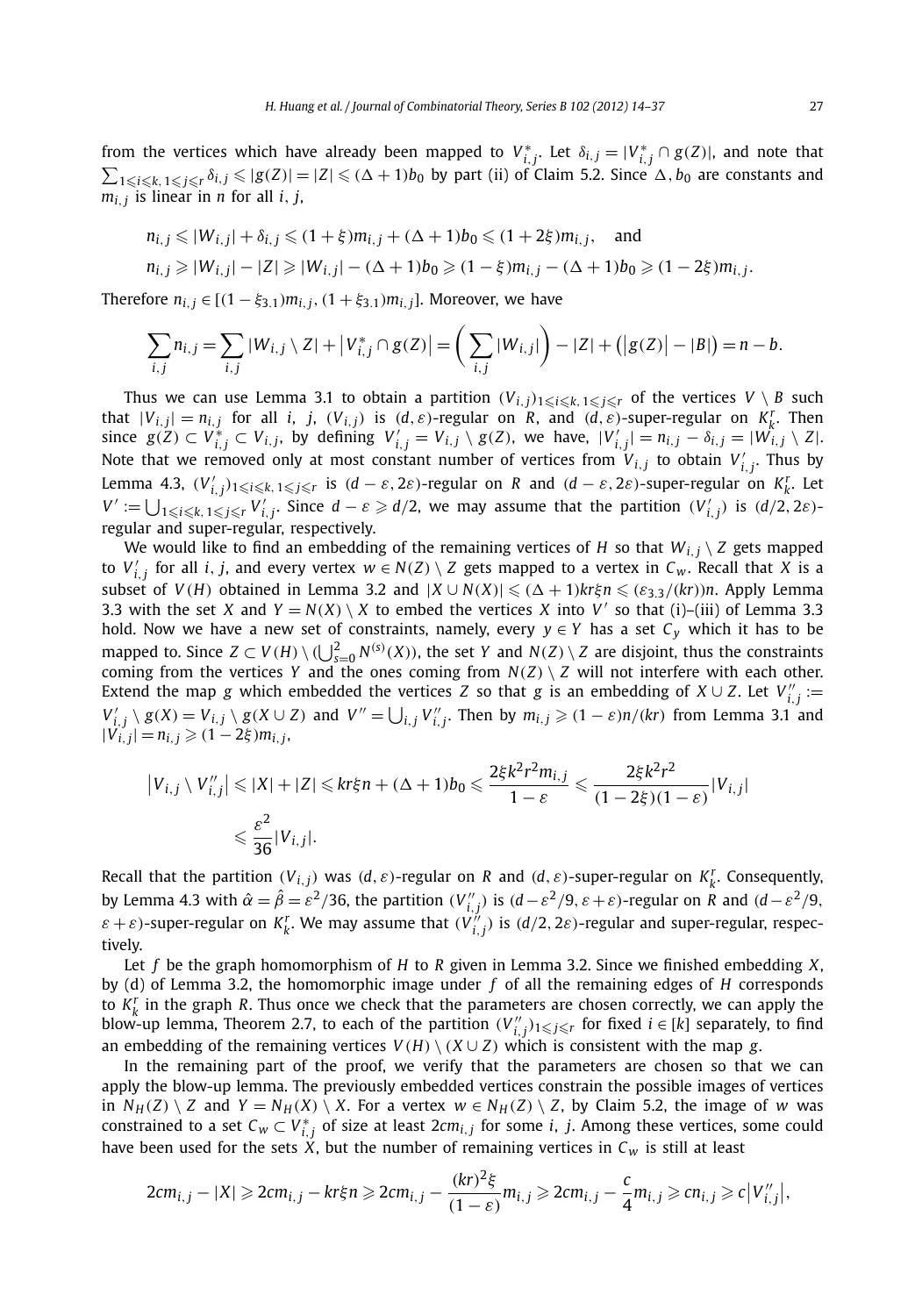from the vertices which have already been mapped to  $V_{i,j}^*$ . Let  $\delta_{i,j} = |V_{i,j}^* \cap g(Z)|$ , and note that  $\sum_{1\leqslant i\leqslant k,\,1\leqslant j\leqslant r}\delta_{i,\,j}\leqslant |g(Z)|=|Z|\leqslant (\Delta+1)b_0$  by part (ii) of Claim 5.2. Since  $\Delta, b_0$  are constants and  $m_i$ <sup>*j*</sup> is linear in *n* for all *i*, *j*,

$$
n_{i,j} \le |W_{i,j}| + \delta_{i,j} \le (1+\xi)m_{i,j} + (\Delta+1)b_0 \le (1+2\xi)m_{i,j}, \text{ and}
$$
  
\n
$$
n_{i,j} \ge |W_{i,j}| - |Z| \ge |W_{i,j}| - (\Delta+1)b_0 \ge (1-\xi)m_{i,j} - (\Delta+1)b_0 \ge (1-2\xi)m_{i,j}.
$$

Therefore  $n_{i,j} \in [(1 - \xi_{3,1})m_{i,j}, (1 + \xi_{3,1})m_{i,j}]$ . Moreover, we have

$$
\sum_{i,j} n_{i,j} = \sum_{i,j} |W_{i,j} \setminus Z| + |V_{i,j}^* \cap g(Z)| = \left(\sum_{i,j} |W_{i,j}|\right) - |Z| + (|g(Z)| - |B|) = n - b.
$$

Thus we can use Lemma 3.1 to obtain a partition  $(V_{i,j})_{1\leqslant i\leqslant k, 1\leqslant j\leqslant r}$  of the vertices  $V\setminus B$  such that  $|V_{i,j}| = n_{i,j}$  for all *i*, *j*,  $(V_{i,j})$  is  $(d, \varepsilon)$ -regular on *R*, and  $(d, \varepsilon)$ -super-regular on  $K_k^r$ . Then since  $g(Z) \subset V_{i,j}^* \subset V_{i,j}$ , by defining  $V_{i,j}' = V_{i,j} \setminus g(Z)$ , we have,  $|V_{i,j}'| = n_{i,j} - \delta_{i,j} = |W_{i,j} \setminus Z|$ . Note that we removed only at most constant number of vertices from  $V_{i,j}$  to obtain  $V'_{i,j}$ . Thus by Lemma 4.3,  $(V'_{i,j})_{1\leqslant i\leqslant k,~1\leqslant j\leqslant r}$  is  $(d-\varepsilon,2\varepsilon)$ -regular on  $R$  and  $(d-\varepsilon,2\varepsilon)$ -super-regular on  $K_k^r$ . Let  $V' := \bigcup_{1 \leq i \leq k, 1 \leq j \leq r} V'_{i,j}$ . Since  $d - \varepsilon \geq d/2$ , we may assume that the partition  $(V'_{i,j})$  is  $(d/2, 2\varepsilon)$ regular and super-regular, respectively.

We would like to find an embedding of the remaining vertices of *H* so that  $W_{i,i} \setminus Z$  gets mapped to  $V'_{i,j}$  for all *i*, *j*, and every vertex  $w \in N(Z) \setminus Z$  gets mapped to a vertex in  $C_w$ . Recall that *X* is a subset of  $V(H)$  obtained in Lemma 3.2 and  $|X \cup N(X)| \leq (\Delta + 1)kr\xi n \leq (\varepsilon_{3,3}/(kr))n$ . Apply Lemma 3.3 with the set *X* and  $Y = N(X) \setminus X$  to embed the vertices *X* into *V'* so that (i)–(iii) of Lemma 3.3 hold. Now we have a new set of constraints, namely, every  $y \in Y$  has a set  $C_y$  which it has to be mapped to. Since  $Z \subset V(H) \setminus (\bigcup_{s=0}^{2} N^{(s)}(X))$ , the set Y and  $N(Z) \setminus Z$  are disjoint, thus the constraints coming from the vertices *Y* and the ones coming from  $N(Z) \setminus Z$  will not interfere with each other. Extend the map *g* which embedded the vertices *Z* so that *g* is an embedding of  $X \cup Z$ . Let  $V''_{i,j} :=$  $V'_{i,j} \setminus g(X) = V_{i,j} \setminus g(X \cup Z)$  and  $V'' = \bigcup_{i,j} V''_{i,j}$ . Then by  $m_{i,j} \ge (1 - \varepsilon)n/(kr)$  from Lemma 3.1 and  $|V_i^{\prime\prime}(i,j)| = n_{i,j} \geqslant (1-2\xi)m_{i,j}$ 

$$
\begin{aligned} \left| V_{i,j} \setminus V_{i,j}'' \right| &\leq |X| + |Z| \leq k r \xi n + (\Delta + 1) b_0 \leq \frac{2 \xi k^2 r^2 m_{i,j}}{1 - \varepsilon} \leq \frac{2 \xi k^2 r^2}{(1 - 2 \xi)(1 - \varepsilon)} |V_{i,j}| \\ &\leq \frac{\varepsilon^2}{36} |V_{i,j}|. \end{aligned}
$$

Recall that the partition  $(V_{i,j})$  was  $(d, \varepsilon)$ -regular on R and  $(d, \varepsilon)$ -super-regular on  $K_k^r$ . Consequently, by Lemma 4.3 with  $\hat{\alpha}=\hat{\beta}=\varepsilon^2/36$ , the partition  $(V_{i,j}'')$  is  $(d-\varepsilon^2/9,\varepsilon+\varepsilon)$ -regular on R and  $(d-\varepsilon^2/9,\varepsilon+\varepsilon)$  $\varepsilon + \varepsilon$ )-super-regular on  $K_k^r$ . We may assume that  $(V_{i,j}^{r})$  is  $(d/2, 2\varepsilon)$ -regular and super-regular, respectively.

Let *f* be the graph homomorphism of *H* to *R* given in Lemma 3.2. Since we finished embedding *X*, by (d) of Lemma 3.2, the homomorphic image under *f* of all the remaining edges of *H* corresponds to  $K_k^r$  in the graph R. Thus once we check that the parameters are chosen correctly, we can apply the blow-up lemma, Theorem 2.7, to each of the partition  $(V''_{i,j})_{1\leqslant j\leqslant r}$  for fixed  $i\in [k]$  separately, to find an embedding of the remaining vertices  $V(H) \setminus (X \cup Z)$  which is consistent with the map *g*.

In the remaining part of the proof, we verify that the parameters are chosen so that we can apply the blow-up lemma. The previously embedded vertices constrain the possible images of vertices in  $N_H(Z) \setminus Z$  and  $Y = N_H(X) \setminus X$ . For a vertex  $w \in N_H(Z) \setminus Z$ , by Claim 5.2, the image of *w* was constrained to a set  $C_w \subset V^*_{i,j}$  of size at least  $2cm_{i,j}$  for some *i*, *j*. Among these vertices, some could have been used for the sets  $\hat{X}$ , but the number of remaining vertices in  $C_W$  is still at least

$$
2cm_{i,j}-|X|\geqslant 2cm_{i,j}-kr\xi n\geqslant 2cm_{i,j}-\frac{(kr)^2\xi}{(1-\varepsilon)}m_{i,j}\geqslant 2cm_{i,j}-\frac{c}{4}m_{i,j}\geqslant cn_{i,j}\geqslant c|V''_{i,j}|,
$$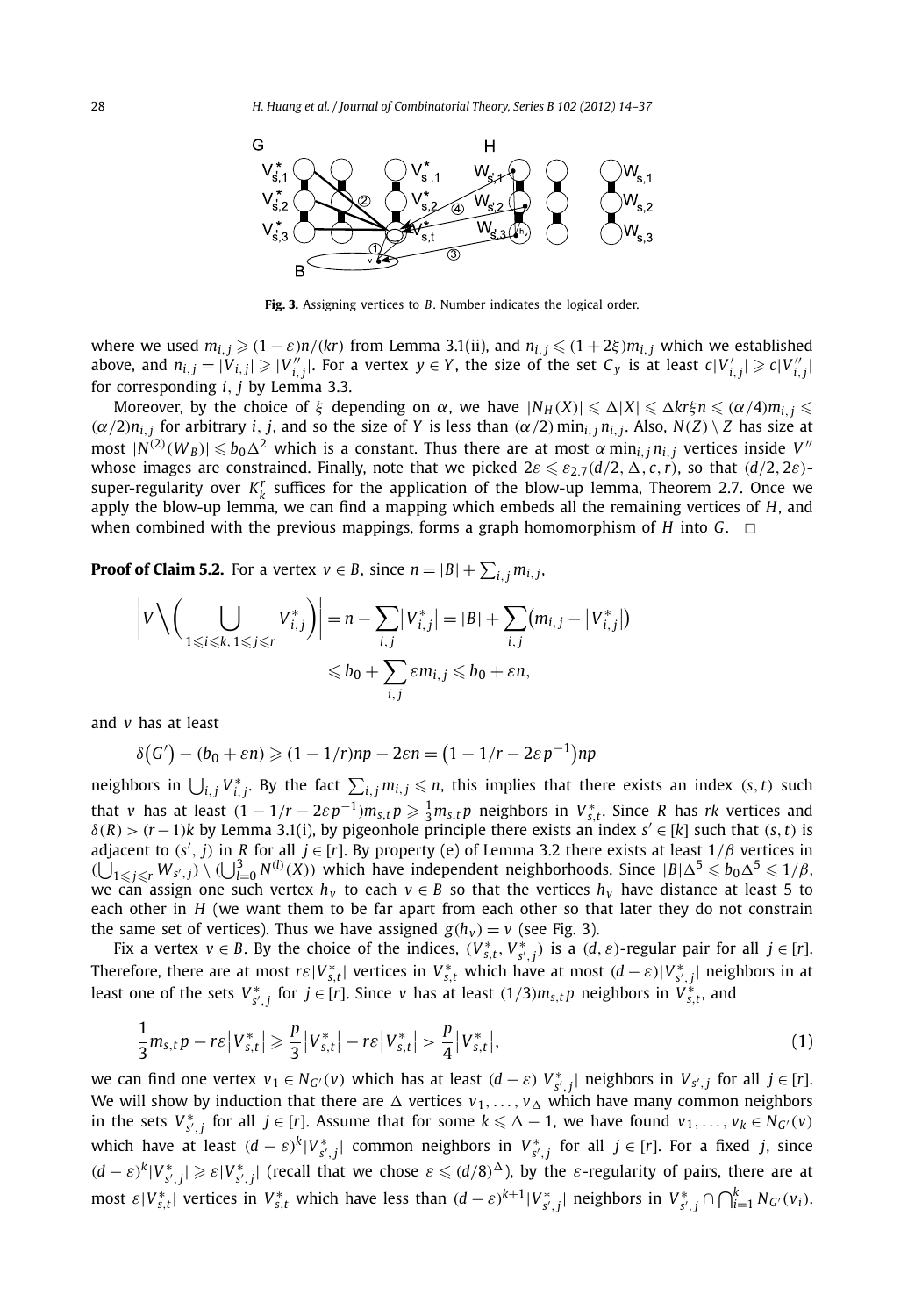

**Fig. 3.** Assigning vertices to *B*. Number indicates the logical order.

where we used  $m_{i,j} \geqslant (1 - \varepsilon)n/(kr)$  from Lemma 3.1(ii), and  $n_{i,j} \leqslant (1 + 2\xi)m_{i,j}$  which we established above, and  $n_{i,j}=|V_{i,j}|\geqslant |V_{i,j}''|$ . For a vertex  $y\in Y$ , the size of the set  $C_y$  is at least  $c|V_{i,j}'|\geqslant c|V_{i,j}''|$ for corresponding *i, j* by Lemma 3.3.

 $M$ oreover, by the choice of *ξ* depending on  $\alpha$ , we have  $|N_H(X)| \leq \Delta |X| \leq \Delta k$ rξ $n \leq (\alpha/4)m_{i,j} \leq \alpha$  $(\alpha/2)n_{i,i}$  for arbitrary *i*, *j*, and so the size of *Y* is less than  $(\alpha/2)$  min<sub>i, *j*</sub> n<sub>i, *j*</sub>. Also,  $N(Z) \setminus Z$  has size at  $\max(|N^{(2)}(W_B)| \leqslant b_0 \Delta^2$  which is a constant. Thus there are at most  $\alpha \min_{i,j} n_{i,j}$  vertices inside  $V''$ whose images are constrained. Finally, note that we picked  $2\varepsilon \leqslant \varepsilon_{2.7}(d/2,\Delta,c,r)$ , so that  $(d/2,2\varepsilon)$ super-regularity over  $K_k^r$  suffices for the application of the blow-up lemma, Theorem 2.7. Once we apply the blow-up lemma, we can find a mapping which embeds all the remaining vertices of *H*, and when combined with the previous mappings, forms a graph homomorphism of *H* into *G*.  $\Box$ 

**Proof of Claim 5.2.** For a vertex  $v \in B$ , since  $n = |B| + \sum_{i,j} m_{i,j}$ ,

$$
\left|V\setminus \left(\bigcup_{1\leq i\leq k,\ 1\leq j\leq r}V_{i,j}^*\right)\right|=n-\sum_{i,j}|V_{i,j}^*|=|B|+\sum_{i,j}(m_{i,j}-|V_{i,j}^*|)
$$
  

$$
\leq b_0+\sum_{i,j}\varepsilon m_{i,j}\leq b_0+\varepsilon n,
$$

and *v* has at least

$$
\delta(G') - (b_0 + \varepsilon n) \geqslant (1 - 1/r)np - 2\varepsilon n = (1 - 1/r - 2\varepsilon p^{-1})np
$$

neighbors in  $\bigcup_{i,j} V^*_{i,j}$ . By the fact  $\sum_{i,j} m_{i,j} \leq n$ , this implies that there exists an index  $(s, t)$  such that v has at least  $(1 - 1/r - 2\varepsilon p^{-1})m_{s,t}p \ge \frac{1}{3}m_{s,t}p$  neighbors in  $V_{s,t}^*$ . Since R has rk vertices and  $\delta(R)$  >  $(r-1)$ *k* by Lemma 3.1(i), by pigeonhole principle there exists an index  $s' \in [k]$  such that  $(s, t)$  is adjacent to *(s , j)* in *R* for all *j* ∈ [*r*]. By property (e) of Lemma 3.2 there exists at least 1*/β* vertices in  $(\bigcup_{1\leq j\leq r}W_{S',j})\setminus(\bigcup_{l=0}^3N^{(l)}(X))$  which have independent neighborhoods. Since  $|B|\Delta^5\leq b_0\Delta^5\leq 1/\beta$ , we can assign one such vertex  $h<sub>v</sub>$  to each  $v \in B$  so that the vertices  $h<sub>v</sub>$  have distance at least 5 to each other in *H* (we want them to be far apart from each other so that later they do not constrain the same set of vertices). Thus we have assigned  $g(h_v) = v$  (see Fig. 3).

Fix a vertex  $v \in B$ . By the choice of the indices,  $(V_{s,t}^*, V_{s',j}^*)$  is a  $(d, \varepsilon)$ -regular pair for all  $j \in [r]$ . Therefore, there are at most  $r \in |V^*_{s,t}|$  vertices in  $V^*_{s,t}$  which have at most  $(d-\varepsilon)|V^*_{s',j}|$  neighbors in at least one of the sets  $V_{s',j}^*$  for  $j \in [r]$ . Since v has at least  $(1/3)m_{s,t}p$  neighbors in  $V_{s,t}^*$ , and

$$
\frac{1}{3}m_{s,t}p - r\varepsilon |V_{s,t}^{*}| \geqslant \frac{p}{3}|V_{s,t}^{*}| - r\varepsilon |V_{s,t}^{*}| > \frac{p}{4}|V_{s,t}^{*}|,\tag{1}
$$

we can find one vertex  $v_1 \in N_{G'}(v)$  which has at least  $(d-\varepsilon)|V^*_{S',j}|$  neighbors in  $V_{S',j}$  for all  $j \in [r]$ . We will show by induction that there are  $\Delta$  vertices  $v_1,\ldots,v_\Delta$  which have many common neighbors in the sets  $V_{s',j}^*$  for all  $j \in [r]$ . Assume that for some  $k \leq \Delta - 1$ , we have found  $v_1, \ldots, v_k \in N_{G'}(v)$ which have at least  $(d-\varepsilon)^k|V^*_{s',j}|$  common neighbors in  $V^*_{s',j}$  for all  $j \in [r]$ . For a fixed *j*, since  $(d-\varepsilon)^k|V^*_{s',j}|\geqslant \varepsilon|V^*_{s',j}|$  (recall that we chose  $\varepsilon\leqslant (d/8)^\Delta$ ), by the  $\varepsilon$ -regularity of pairs, there are at most  $\varepsilon|V_{s,t}^*|$  vertices in  $V_{s,t}^*$  which have less than  $(d-\varepsilon)^{k+1}|V_{s',j}^*|$  neighbors in  $V_{s',j}^*\cap\bigcap_{i=1}^k N_{G'}(v_i)$ .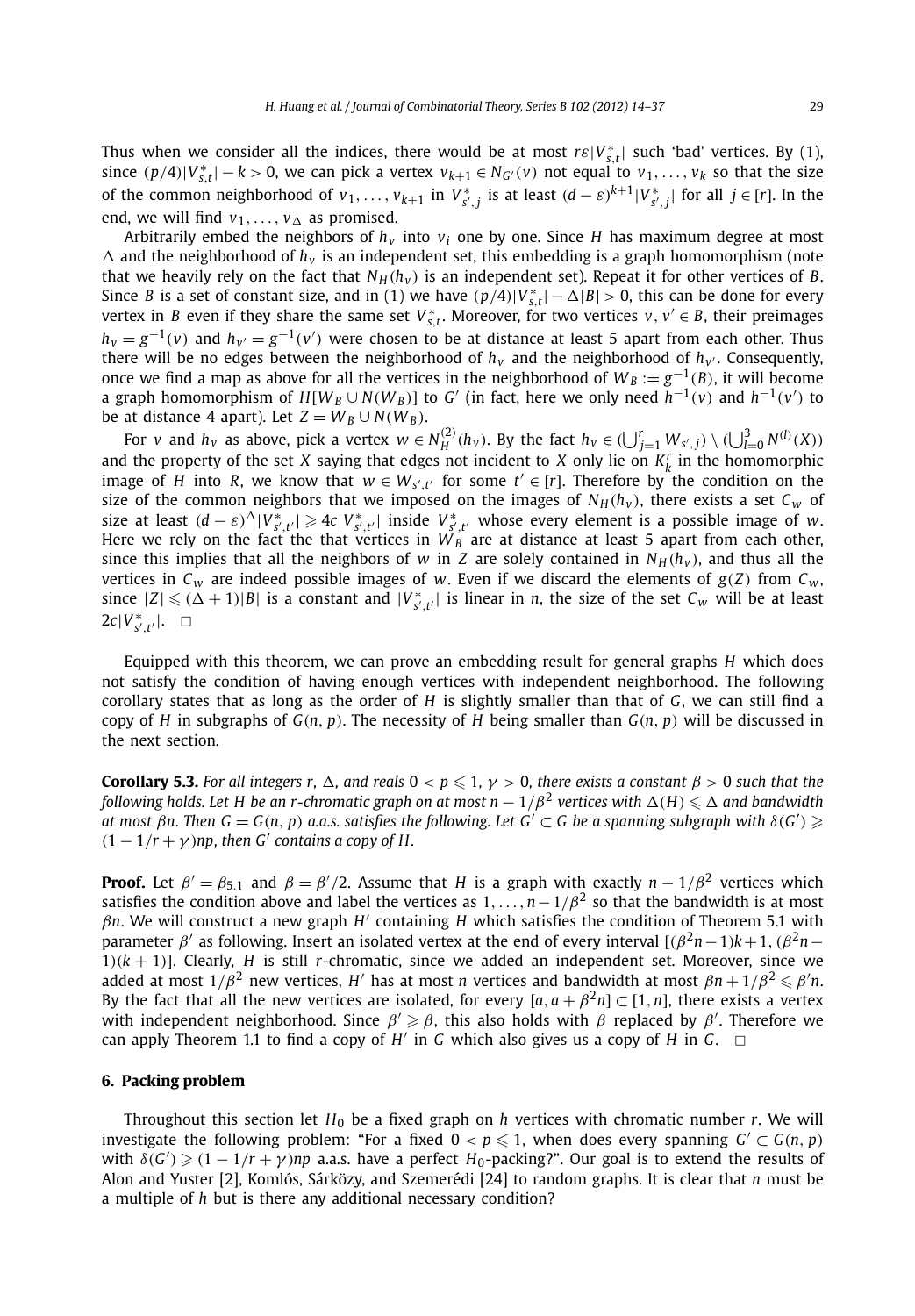Thus when we consider all the indices, there would be at most  $r\epsilon|V_{s,t}^*|$  such 'bad' vertices. By (1), since  $(p/4)|V_{s,t}^*|-k>0$ , we can pick a vertex  $v_{k+1} \in N_{G'}(v)$  not equal to  $v_1, \ldots, v_k$  so that the size of the common neighborhood of  $v_1, \ldots, v_{k+1}$  in  $V_{s',j}^*$  is at least  $(d-\varepsilon)^{k+1}|V_{s',j}^*|$  for all  $j \in [r]$ . In the end, we will find  $v_1, \ldots, v_\Delta$  as promised.

Arbitrarily embed the neighbors of *hv* into *vi* one by one. Since *H* has maximum degree at most  $\Delta$  and the neighborhood of  $h_v$  is an independent set, this embedding is a graph homomorphism (note that we heavily rely on the fact that  $N_H(h_v)$  is an independent set). Repeat it for other vertices of *B*. Since *B* is a set of constant size, and in (1) we have  $(p/4)|V_{s,t}^*| - \Delta|B| > 0$ , this can be done for every vertex in *B* even if they share the same set  $V_{s,t}^*$ . Moreover, for two vertices  $v, v' \in B$ , their preimages *h*<sub>*v*</sub> =  $g^{-1}(v)$  and *h<sub>v'</sub>* =  $g^{-1}(v')$  were chosen to be at distance at least 5 apart from each other. Thus there will be no edges between the neighborhood of  $h<sub>v</sub>$  and the neighborhood of  $h<sub>v'</sub>$ . Consequently, once we find a map as above for all the vertices in the neighborhood of  $W_B := g^{-1}(B)$ , it will become a graph homomorphism of  $H[W_B \cup N(W_B)]$  to  $G'$  (in fact, here we only need  $h^{-1}(v)$  and  $h^{-1}(v')$  to be at distance 4 apart). Let  $Z = W_B \cup N(W_B)$ .

For v and  $h_v$  as above, pick a vertex  $w \in N_H^{(2)}(h_v)$ . By the fact  $h_v \in (\bigcup_{j=1}^r W_{s',j}) \setminus (\bigcup_{l=0}^3 N^{(l)}(X))$ and the property of the set *X* saying that edges not incident to *X* only lie on  $K_k^r$  in the homomorphic image of *H* into *R*, we know that  $w \in W_{s',t'}$  for some  $t' \in [r]$ . Therefore by the condition on the size of the common neighbors that we imposed on the images of  $N_H(h_v)$ , there exists a set  $C_w$  of size at least  $(d - \varepsilon)^{\Delta} |V^*_{s',t'}| \ge 4c|V^*_{s',t'}|$  inside  $V^*_{s',t'}$  whose every element is a possible image of w. Here we rely on the fact the that vertices in  $W_B$  are at distance at least 5 apart from each other, since this implies that all the neighbors of *w* in *Z* are solely contained in  $N_H(h_v)$ , and thus all the vertices in  $C_w$  are indeed possible images of *w*. Even if we discard the elements of  $g(Z)$  from  $C_w$ , since  $|Z| \leq ( \Delta + 1) |B|$  is a constant and  $|V^*_{s',t'}|$  is linear in *n*, the size of the set  $C_w$  will be at least  $2c|V^*_{s',t'}|$ . □

Equipped with this theorem, we can prove an embedding result for general graphs *H* which does not satisfy the condition of having enough vertices with independent neighborhood. The following corollary states that as long as the order of *H* is slightly smaller than that of *G*, we can still find a copy of *H* in subgraphs of  $G(n, p)$ . The necessity of *H* being smaller than  $G(n, p)$  will be discussed in the next section.

**Corollary 5.3.** *For all integers r,*  $\Delta$ *, and reals*  $0 < p \leqslant 1, \gamma > 0$ , *there exists a constant*  $\beta > 0$  *such that the*  $f$ ollowing holds. Let H be an r-chromatic graph on at most  $n-1/\beta^2$  vertices with  $\Delta(H)\leqslant\Delta$  and bandwidth  $\alpha$  *at most*  $\beta$ *n. Then*  $G = G(n, p)$  $a.a.s.$  *satisfies the following. Let*  $G' \subset G$  *be a spanning subgraph with*  $\delta(G') \geqslant$  $(1 - 1/r + \gamma)$ *np, then G' contains a copy of H.* 

**Proof.** Let  $\beta' = \beta_{5.1}$  and  $\beta = \beta'/2$ . Assume that *H* is a graph with exactly  $n - 1/\beta^2$  vertices which satisfies the condition above and label the vertices as 1*,...,n*−1*/β*<sup>2</sup> so that the bandwidth is at most *βn*. We will construct a new graph *H* containing *H* which satisfies the condition of Theorem 5.1 with parameter *β'* as following. Insert an isolated vertex at the end of every interval  $[(\beta^2n-1)k+1, (\beta^2n-1)k]$ 1) $(k + 1)$ ]. Clearly, *H* is still *r*-chromatic, since we added an independent set. Moreover, since we added at most  $1/\beta^2$  new vertices,  $H'$  has at most  $n$  vertices and bandwidth at most  $\beta n+1/\beta^2\leqslant\beta'n.$ By the fact that all the new vertices are isolated, for every  $[a, a + \beta^2 n] \subset [1, n]$ , there exists a vertex with independent neighborhood. Since *β β*, this also holds with *β* replaced by *β* . Therefore we can apply Theorem 1.1 to find a copy of  $H'$  in *G* which also gives us a copy of *H* in *G*.  $\Box$ 

#### **6. Packing problem**

Throughout this section let  $H_0$  be a fixed graph on *h* vertices with chromatic number *r*. We will investigate the following problem: "For a fixed  $0 < p \leqslant 1$ , when does every spanning  $G' \subset G(n, p)$ with  $\delta(G') \geq (1 - 1/r + \gamma)$ *np* a.a.s. have a perfect  $H_0$ -packing?". Our goal is to extend the results of Alon and Yuster [2], Komlós, Sárközy, and Szemerédi [24] to random graphs. It is clear that *n* must be a multiple of *h* but is there any additional necessary condition?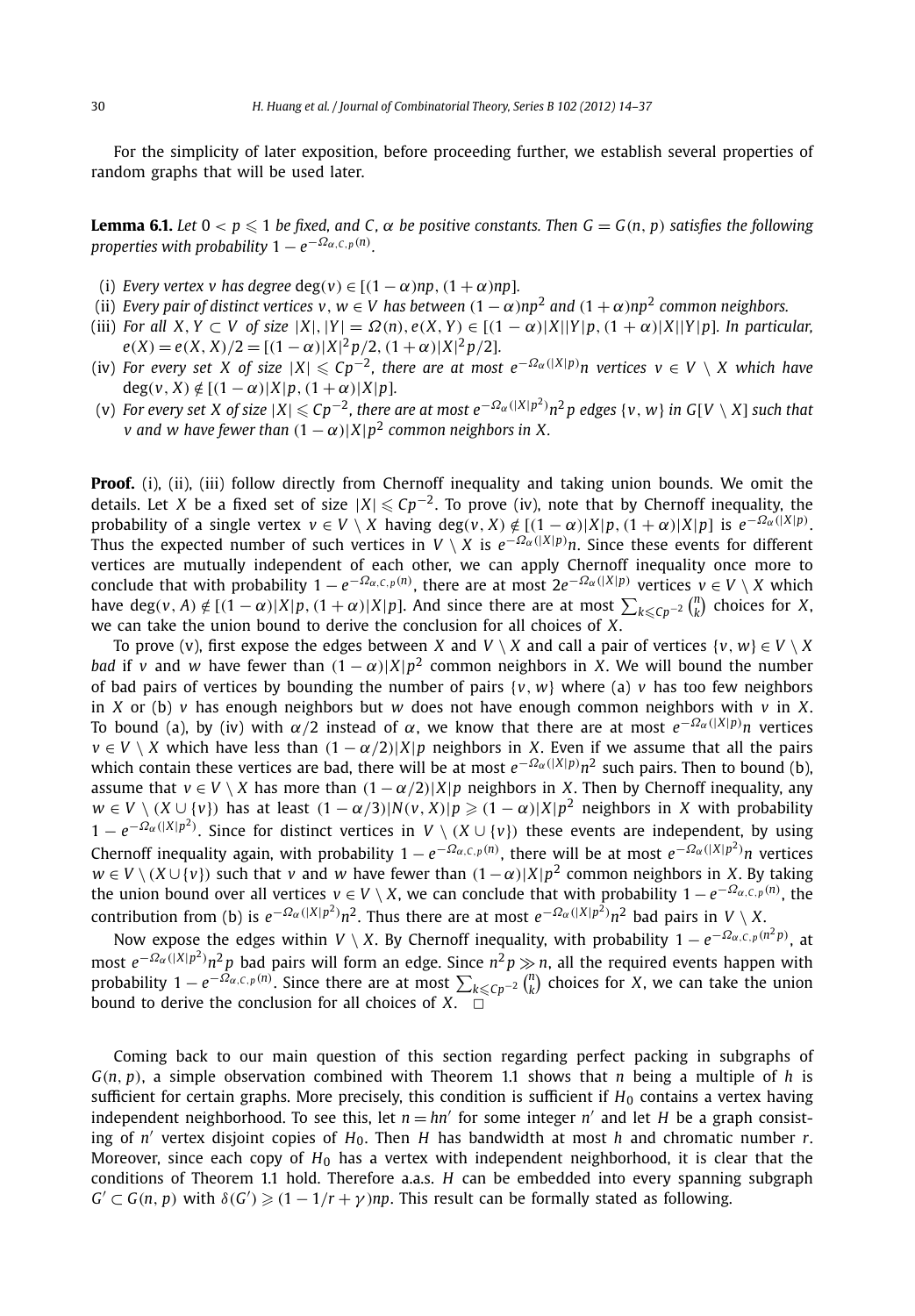For the simplicity of later exposition, before proceeding further, we establish several properties of random graphs that will be used later.

**Lemma 6.1.** Let  $0 < p \le 1$  be fixed, and C,  $\alpha$  be positive constants. Then  $G = G(n, p)$  satisfies the following *properties with probability*  $1 - e^{-\Omega_{\alpha, \mathsf{C}, p}(n)}.$ 

- (i) *Every vertex v has degree*  $deg(v) \in [(1 \alpha)np, (1 + \alpha)np]$ .
- (ii) *Every pair of distinct vertices v<sub><i>, W*</sub>  $\in$  *V* has between  $(1 \alpha)np^2$  and  $(1 + \alpha)np^2$  common neighbors.
- (iii) For all X, Y 
c V of size  $|X|, |Y| = \Omega(n), e(X, Y) \in [(1 \alpha)|X||Y|p, (1 + \alpha)|X||Y|p]$ . In particular,  $e(X) = e(X, X)/2 = [(1 - \alpha)|X|^2 p/2, (1 + \alpha)|X|^2 p/2].$
- (iv) For every set X of size  $|X| \leqslant C p^{-2}$ , there are at most  $e^{-\Omega_\alpha(|X|p)}n$  vertices  $v \in V\setminus X$  which have  $deg(v, X) \notin [(1 - \alpha)|X|p, (1 + \alpha)|X|p].$
- (v) For every set X of size  $|X|\leqslant Cp^{-2}$ , there are at most  $e^{-\Omega_\alpha(|X|p^2)}n^2p$  edges  $\{v,w\}$  in G[V  $\setminus$  X] such that *v* and *w* have fewer than  $(1 - \alpha)|X|p^2$  common neighbors in X.

**Proof.** (i), (ii), (iii) follow directly from Chernoff inequality and taking union bounds. We omit the details. Let *X* be a fixed set of size  $|X| \leqslant C p^{-2}$ . To prove (iv), note that by Chernoff inequality, the probability of a single vertex  $v \in V \setminus X$  having  $deg(v, X) \notin [(1-\alpha)|X|p, (1+\alpha)|X|p]$  is  $e^{-\Omega_{\alpha}(|X|p)}$ . Thus the expected number of such vertices in  $V \setminus X$  is  $e^{-\Omega a(|X|p)}n$ . Since these events for different vertices are mutually independent of each other, we can apply Chernoff inequality once more to conclude that with probability  $1 - e^{-\Omega_{\alpha,C,p}(n)}$ , there are at most  $2e^{-\Omega_{\alpha}(|X|p)}$  vertices  $v \in V \setminus X$  which have deg(v, A)  $\notin$   $[(1-\alpha)|X|p, (1+\alpha)|X|p]$ . And since there are at most  $\sum_{k \leq Cp^{-2}} {n \choose k}$  choices for X, we can take the union bound to derive the conclusion for all choices of *X*.

To prove (v), first expose the edges between *X* and  $V \setminus X$  and call a pair of vertices  $\{v, w\} \in V \setminus X$ *bad* if *v* and *w* have fewer than  $(1 - \alpha)$ |*X*| $p^2$  common neighbors in *X*. We will bound the number of bad pairs of vertices by bounding the number of pairs  $\{v, w\}$  where (a)  $v$  has too few neighbors in *X* or (b)  $\nu$  has enough neighbors but  $\nu$  does not have enough common neighbors with  $\nu$  in *X*. To bound (a), by (iv) with *α/*2 instead of *α*, we know that there are at most *e*−*Ωα(*|*X*|*p) n* vertices  $v \in V \setminus X$  which have less than  $(1 - \alpha/2) |X|p$  neighbors in X. Even if we assume that all the pairs which contain these vertices are bad, there will be at most *e*−*Ωα(*|*X*|*p) n*<sup>2</sup> such pairs. Then to bound (b), assume that  $v \in V \setminus X$  has more than  $(1 - \alpha/2) |X|p$  neighbors in *X*. Then by Chernoff inequality, any  $w \in V \setminus (X \cup \{v\})$  has at least  $(1 - \alpha/3)|N(v, X)|p \geq (1 - \alpha)|X|p^2$  neighbors in X with probability 1 − *e*−*Ωα(*|*X*|*p*2*)* . Since for distinct vertices in *V* \ *(X* ∪ {*v*}*)* these events are independent, by using Chernoff inequality again, with probability 1 − *e*−*Ωα,C,<sup>p</sup> (n)* , there will be at most *e*−*Ωα(*|*X*|*p*2*) n* vertices *w* ∈ *V*  $\setminus$  (*X* ∪ {*v*}) such that *v* and *w* have fewer than  $(1-\alpha)$ |*X*| $p^2$  common neighbors in *X*. By taking the union bound over all vertices  $v \in V \setminus X$ , we can conclude that with probability  $1 - e^{-\Omega_{\alpha,C,p}(n)}$ , the contribution from (b) is  $e^{-\Omega_a(|X|p^2)}n^2$ . Thus there are at most  $e^{-\Omega_a(|X|p^2)}n^2$  bad pairs in  $V\setminus X$ .

Now expose the edges within *V* \ *X*. By Chernoff inequality, with probability  $1 - e^{-\Omega_{\alpha,\text{C},p}(n^2p)}$ , at most *e*−*Ωα(*|*X*|*p*2*) n*<sup>2</sup> *p* bad pairs will form an edge. Since *n*<sup>2</sup> *p n*, all the required events happen with probability  $1 - e^{-\Omega_{\alpha,C,p}(n)}$ . Since there are at most  $\sum_{k \leq Cp^{-2}} {n \choose k}$  choices for *X*, we can take the union bound to derive the conclusion for all choices of  $X$ .  $\Box$ 

Coming back to our main question of this section regarding perfect packing in subgraphs of *G(n, p)*, a simple observation combined with Theorem 1.1 shows that *n* being a multiple of *h* is sufficient for certain graphs. More precisely, this condition is sufficient if  $H_0$  contains a vertex having independent neighborhood. To see this, let  $n = hn'$  for some integer  $n'$  and let *H* be a graph consisting of *<sup>n</sup>* vertex disjoint copies of *<sup>H</sup>*0. Then *<sup>H</sup>* has bandwidth at most *<sup>h</sup>* and chromatic number *<sup>r</sup>*. Moreover, since each copy of  $H_0$  has a vertex with independent neighborhood, it is clear that the conditions of Theorem 1.1 hold. Therefore a.a.s. *H* can be embedded into every spanning subgraph  $G' \subset G(n, p)$  with  $\delta(G') \geq (1 - 1/r + \gamma)np$ . This result can be formally stated as following.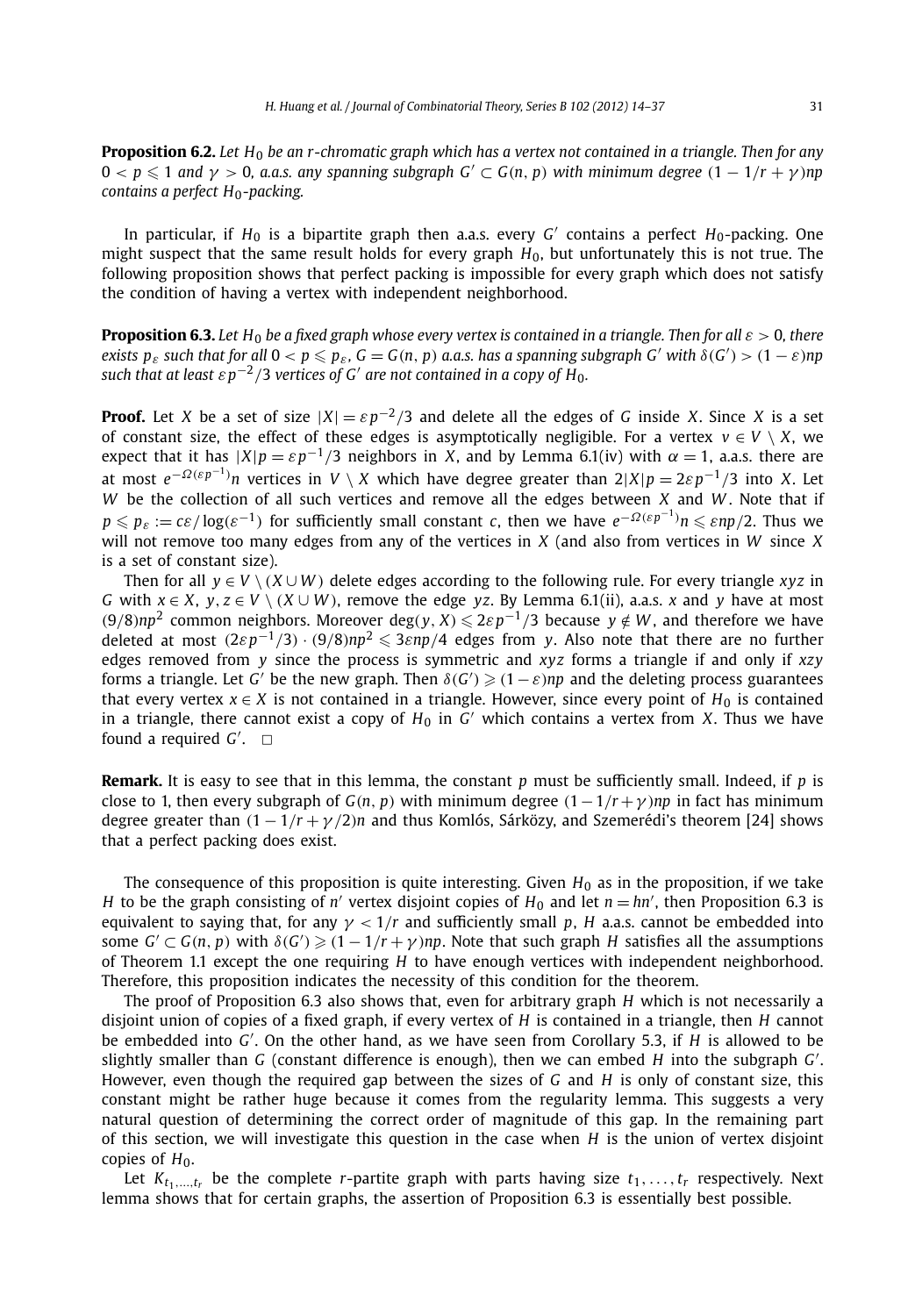**Proposition 6.2.** *Let H*<sup>0</sup> *be an r-chromatic graph which has a vertex not contained in a triangle. Then for any*  $0 < p \leqslant 1$  and  $\gamma > 0$ , a.a.s. any spanning subgraph  $G' \subset G(n, p)$  with minimum degree  $(1 - 1/r + \gamma)$ np *contains a perfect H*<sub>0</sub>-packing.

In particular, if  $H_0$  is a bipartite graph then a.a.s. every *G'* contains a perfect  $H_0$ -packing. One might suspect that the same result holds for every graph *H*0, but unfortunately this is not true. The following proposition shows that perfect packing is impossible for every graph which does not satisfy the condition of having a vertex with independent neighborhood.

**Proposition 6.3.** Let H<sub>0</sub> be a fixed graph whose every vertex is contained in a triangle. Then for all  $\varepsilon > 0$ , there exists  $p_{\varepsilon}$  such that for all  $0 < p \leqslant p_{\varepsilon}$ ,  $G = G(n, p)$  a.a.s. has a spanning subgraph G' with  $\delta(G') > (1 - \varepsilon)np$ *such that at least*  $\epsilon p^{-2}/3$  *vertices of G' are not contained in a copy of H<sub>0</sub>.* 

**Proof.** Let *X* be a set of size  $|X| = \varepsilon p^{-2}/3$  and delete all the edges of *G* inside *X*. Since *X* is a set of constant size, the effect of these edges is asymptotically negligible. For a vertex  $v \in V \setminus X$ , we expect that it has  $|X|p = \varepsilon p^{-1}/3$  neighbors in *X*, and by Lemma 6.1(iv) with  $\alpha = 1$ , a.a.s. there are at most *<sup>e</sup>*−*Ω(εp*−1*) n* vertices in *V* \ *X* which have degree greater than 2|*X*|*p* = 2*εp*−<sup>1</sup>*/*3 into *X*. Let *W* be the collection of all such vertices and remove all the edges between *X* and *W* . Note that if  $p \leqslant p_\varepsilon := c \varepsilon/\log(\varepsilon^{-1})$  for sufficiently small constant  $c$ , then we have  $e^{-\varOmega(\varepsilon p^{-1})} n \leqslant \varepsilon n p/2.$  Thus we will not remove too many edges from any of the vertices in *X* (and also from vertices in *W* since *X* is a set of constant size).

Then for all  $y \in V \setminus (X \cup W)$  delete edges according to the following rule. For every triangle *xyz* in *G* with  $x \in X$ ,  $y, z \in V \setminus (X \cup W)$ , remove the edge *yz*. By Lemma 6.1(ii), a.a.s. *x* and *y* have at most *(*9/8) $np^2$  common neighbors. Moreover deg(*y*, *X*) ≤ 2 $ε$ *p*<sup>−1</sup>/3 because *y* ∉ *W*, and therefore we have deleted at most  $(2\varepsilon p^{-1}/3) \cdot (9/8)np^2 \leqslant 3\varepsilon np/4$  edges from *y*. Also note that there are no further edges removed from *y* since the process is symmetric and *xyz* forms a triangle if and only if *xzy* forms a triangle. Let  $G'$  be the new graph. Then  $\delta(G') \geqslant (1-\varepsilon) n p$  and the deleting process guarantees that every vertex  $x \in X$  is not contained in a triangle. However, since every point of  $H_0$  is contained in a triangle, there cannot exist a copy of  $H_0$  in  $G'$  which contains a vertex from *X*. Thus we have found a required  $G'$ .  $\Box$ 

**Remark.** It is easy to see that in this lemma, the constant *p* must be sufficiently small. Indeed, if *p* is close to 1, then every subgraph of  $G(n, p)$  with minimum degree  $(1 - 1/r + \gamma)np$  in fact has minimum degree greater than  $(1 - 1/r + \gamma/2)n$  and thus Komlós, Sárközy, and Szemerédi's theorem [24] shows that a perfect packing does exist.

The consequence of this proposition is quite interesting. Given  $H_0$  as in the proposition, if we take *H* to be the graph consisting of *n'* vertex disjoint copies of  $H_0$  and let  $n = h n'$ , then Proposition 6.3 is equivalent to saying that, for any  $\gamma$  < 1/*r* and sufficiently small *p*, *H* a.a.s. cannot be embedded into some  $G' \subset G(n, p)$  with  $\delta(G') \geq (1 - 1/r + \gamma)np$ . Note that such graph *H* satisfies all the assumptions of Theorem 1.1 except the one requiring *H* to have enough vertices with independent neighborhood. Therefore, this proposition indicates the necessity of this condition for the theorem.

The proof of Proposition 6.3 also shows that, even for arbitrary graph *H* which is not necessarily a disjoint union of copies of a fixed graph, if every vertex of *H* is contained in a triangle, then *H* cannot be embedded into *G* . On the other hand, as we have seen from Corollary 5.3, if *H* is allowed to be slightly smaller than *G* (constant difference is enough), then we can embed *H* into the subgraph *G* . However, even though the required gap between the sizes of *G* and *H* is only of constant size, this constant might be rather huge because it comes from the regularity lemma. This suggests a very natural question of determining the correct order of magnitude of this gap. In the remaining part of this section, we will investigate this question in the case when *H* is the union of vertex disjoint copies of H<sub>0</sub>.

Let  $K_{t_1,\ldots,t_r}$  be the complete *r*-partite graph with parts having size  $t_1,\ldots,t_r$  respectively. Next lemma shows that for certain graphs, the assertion of Proposition 6.3 is essentially best possible.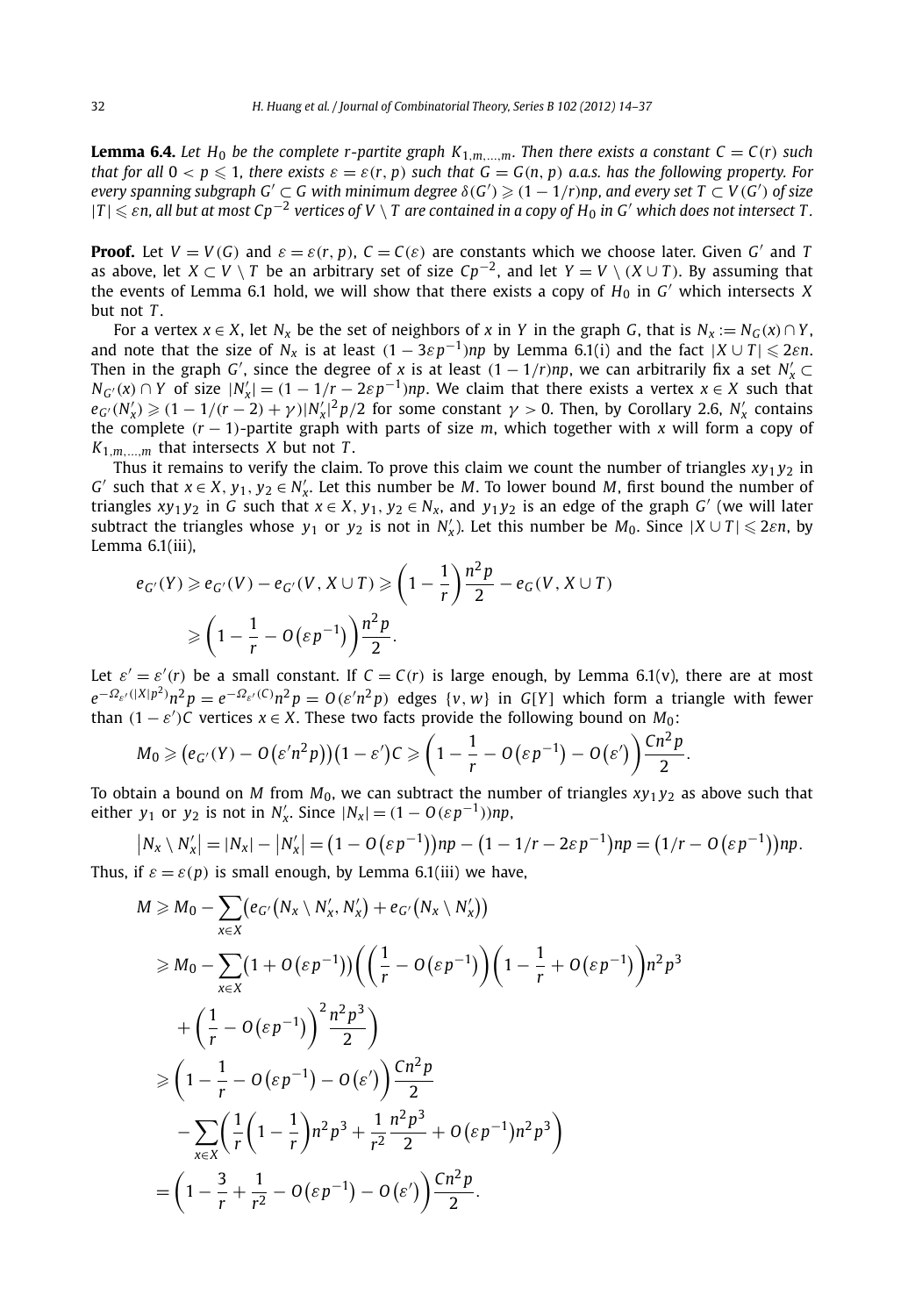**Lemma 6.4.** Let H<sub>0</sub> be the complete r-partite graph  $K_{1,m,\dots,m}$ . Then there exists a constant  $C = C(r)$  such that for all  $0 < p \le 1$ , there exists  $\varepsilon = \varepsilon(r, p)$  such that  $G = G(n, p)$  a.a.s. has the following property. For  $e$  *every spanning subgraph G'*  $\subset$   $G$  *with minimum degree*  $\delta(G') \geqslant (1-1/r)$ np, and  $e$ very set T  $\subset$  V (G') of size |*T* | - *εn, all but at most Cp*−<sup>2</sup> *vertices of V* \ *T are contained in a copy of H*<sup>0</sup> *in G which does not intersect T .*

**Proof.** Let  $V = V(G)$  and  $\varepsilon = \varepsilon(r, p)$ ,  $C = C(\varepsilon)$  are constants which we choose later. Given *G'* and *T* as above, let  $X \subset V \setminus T$  be an arbitrary set of size  $Cp^{-2}$ , and let  $Y = V \setminus (X \cup T)$ . By assuming that the events of Lemma 6.1 hold, we will show that there exists a copy of  $H_0$  in  $G'$  which intersects *X* but not *T* .

For a vertex  $x \in X$ , let  $N_x$  be the set of neighbors of x in Y in the graph *G*, that is  $N_x := N_G(x) \cap Y$ , and note that the size of  $N_x$  is at least  $(1-3\varepsilon p^{-1})np$  by Lemma 6.1 $(i)$  and the fact  $|X\cup T|\leqslant 2\varepsilon n$ . Then in the graph *G'*, since the degree of *x* is at least  $(1 - 1/r)np$ , we can arbitrarily fix a set  $N'_x \subset$  $N_{G'}(x) \cap Y$  of size  $|N'_x| = (1 - 1/r - 2\varepsilon p^{-1})$ *np*. We claim that there exists a vertex  $x \in X$  such that  $e_{G'}(N'_x) \geqslant (1 - 1/(r-2) + \gamma)|N'_x|^2 p/2$  for some constant  $\gamma > 0$ . Then, by Corollary 2.6,  $N'_x$  contains the complete *(r* − 1*)*-partite graph with parts of size *m*, which together with *x* will form a copy of  $K_{1,m,\dots,m}$  that intersects *X* but not *T*.

Thus it remains to verify the claim. To prove this claim we count the number of triangles  $xy_1y_2$  in *G*<sup> $′$ </sup> such that *x* ∈ *X*, *y*<sub>1</sub>, *y*<sub>2</sub> ∈ *N*<sub> $x$ </sub><sup> $′$ </sup>. Let this number be *M*. To lower bound *M*, first bound the number of triangles  $xy_1y_2$  in *G* such that  $x \in X$ ,  $y_1, y_2 \in N_x$ , and  $y_1y_2$  is an edge of the graph *G'* (we will later subtract the triangles whose  $y_1$  or  $y_2$  is not in  $N'_x$ ). Let this number be  $M_0$ . Since  $|X \cup T| \leq 2\varepsilon n$ , by Lemma 6.1(iii),

$$
e_{G'}(Y) \ge e_{G'}(V) - e_{G'}(V, X \cup T) \ge \left(1 - \frac{1}{r}\right) \frac{n^2 p}{2} - e_G(V, X \cup T)
$$
  
 
$$
\ge \left(1 - \frac{1}{r} - O\left(\varepsilon p^{-1}\right)\right) \frac{n^2 p}{2}.
$$

Let  $\varepsilon' = \varepsilon'(r)$  be a small constant. If  $C = C(r)$  is large enough, by Lemma 6.1(v), there are at most  $e^{-\Omega_{\varepsilon'}(|X|p^2)}n^2p=e^{-\Omega_{\varepsilon'}(C)}n^2p=O(\varepsilon'n^2p)$  edges  $\{v,w\}$  in  $G[Y]$  which form a triangle with fewer than  $(1 - \varepsilon')C$  vertices  $x \in X$ . These two facts provide the following bound on  $M_0$ :

$$
M_0 \geq (e_{G'}(Y) - O(\varepsilon'n^2p))(1-\varepsilon')C \geq \left(1-\frac{1}{r} - O(\varepsilon p^{-1}) - O(\varepsilon')\right)\frac{Cn^2p}{2}.
$$

To obtain a bound on *M* from  $M_0$ , we can subtract the number of triangles  $xy_1y_2$  as above such that either *y*<sub>1</sub> or *y*<sub>2</sub> is not in *N*<sub>*x*</sub></sub>. Since  $|N_x| = (1 - O(\varepsilon p^{-1}))$ *np*,

$$
|N_x \setminus N'_x| = |N_x| - |N'_x| = (1 - O(\varepsilon p^{-1}))np - (1 - 1/r - 2\varepsilon p^{-1})np = (1/r - O(\varepsilon p^{-1}))np.
$$

Thus, if  $\varepsilon = \varepsilon(p)$  is small enough, by Lemma 6.1(iii) we have,

$$
M \geq M_0 - \sum_{x \in X} (e_{G'}(N_x \setminus N'_x, N'_x) + e_{G'}(N_x \setminus N'_x))
$$
  
\n
$$
\geq M_0 - \sum_{x \in X} (1 + O(\varepsilon p^{-1})) \left( \left( \frac{1}{r} - O(\varepsilon p^{-1}) \right) \left( 1 - \frac{1}{r} + O(\varepsilon p^{-1}) \right) n^2 p^3 + \left( \frac{1}{r} - O(\varepsilon p^{-1}) \right)^2 \frac{n^2 p^3}{2} \right)
$$
  
\n
$$
\geq \left( 1 - \frac{1}{r} - O(\varepsilon p^{-1}) - O(\varepsilon') \right) \frac{Cn^2 p}{2}
$$
  
\n
$$
- \sum_{x \in X} \left( \frac{1}{r} \left( 1 - \frac{1}{r} \right) n^2 p^3 + \frac{1}{r^2} \frac{n^2 p^3}{2} + O(\varepsilon p^{-1}) n^2 p^3 \right)
$$
  
\n
$$
= \left( 1 - \frac{3}{r} + \frac{1}{r^2} - O(\varepsilon p^{-1}) - O(\varepsilon') \right) \frac{Cn^2 p}{2}.
$$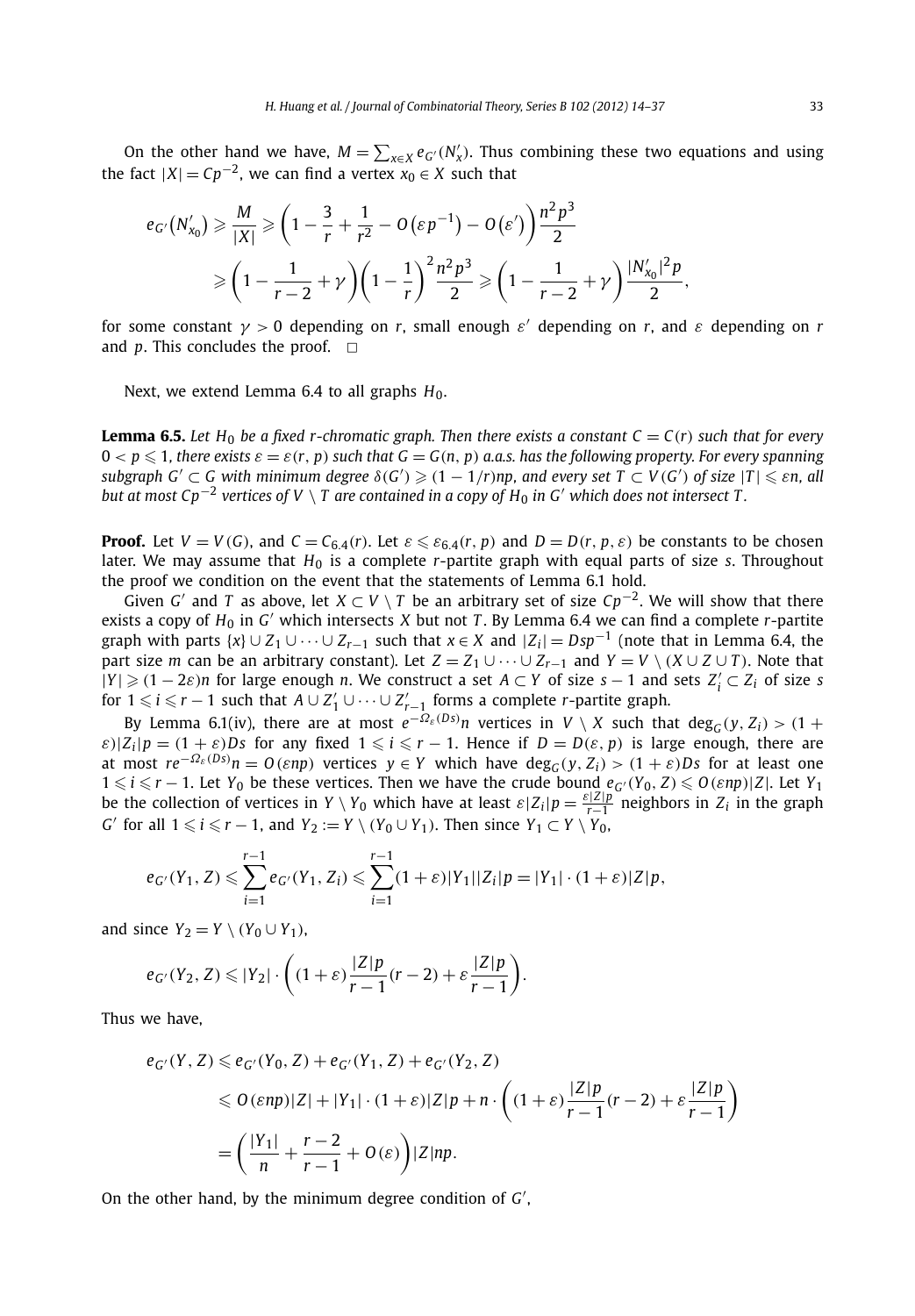On the other hand we have,  $M = \sum_{x \in X} e_G (N'_x)$ . Thus combining these two equations and using the fact  $|X| = Cp^{-2}$ , we can find a vertex  $x_0 \in X$  such that

$$
e_{G'}(N'_{x_0}) \geq \frac{M}{|X|} \geq \left(1 - \frac{3}{r} + \frac{1}{r^2} - O(\varepsilon p^{-1}) - O(\varepsilon')\right) \frac{n^2 p^3}{2}
$$
  
 
$$
\geq \left(1 - \frac{1}{r-2} + \gamma\right) \left(1 - \frac{1}{r}\right)^2 \frac{n^2 p^3}{2} \geq \left(1 - \frac{1}{r-2} + \gamma\right) \frac{|N'_{x_0}|^2 p}{2},
$$

for some constant  $\gamma > 0$  depending on *r*, small enough  $\varepsilon'$  depending on *r*, and  $\varepsilon$  depending on *r* and  $p$ . This concludes the proof.  $\Box$ 

Next, we extend Lemma 6.4 to all graphs  $H_0$ .

**Lemma 6.5.** Let H<sub>0</sub> be a fixed r-chromatic graph. Then there exists a constant  $C = C(r)$  such that for every  $0 < p \leqslant 1$ , there exists  $\varepsilon = \varepsilon(r,\, p)$  such that  $G = G(n,\, p)$  a.a.s. has the following property. For every spanning subgraph  $G'\subset G$  with minimum degree  $\delta(G')\geqslant (1-1/r)$ np, and every set  $T\subset V(G')$  of size  $|T|\leqslant \varepsilon$ n, all *but at most Cp<sup>−2</sup> vertices of V* \ *T* are contained in a copy of  $H_0$  in G' which does not intersect T.

**Proof.** Let  $V = V(G)$ , and  $C = C_{6,4}(r)$ . Let  $\varepsilon \leq \varepsilon_{6,4}(r, p)$  and  $D = D(r, p, \varepsilon)$  be constants to be chosen later. We may assume that *H*<sub>0</sub> is a complete *r*-partite graph with equal parts of size *s*. Throughout the proof we condition on the event that the statements of Lemma 6.1 hold.

Given *G'* and *T* as above, let  $X \subset V \setminus T$  be an arbitrary set of size  $Cp^{-2}$ . We will show that there exists a copy of *<sup>H</sup>*<sup>0</sup> in *<sup>G</sup>* which intersects *<sup>X</sup>* but not *<sup>T</sup>* . By Lemma 6.4 we can find a complete *<sup>r</sup>*-partite graph with parts  $\{x\} \cup Z_1 \cup \cdots \cup Z_{r-1}$  such that  $x \in X$  and  $|Z_i| = Dsp^{-1}$  (note that in Lemma 6.4, the part size *m* can be an arbitrary constant). Let  $Z = Z_1 \cup \cdots \cup Z_{r-1}$  and  $Y = V \setminus (X \cup Z \cup T)$ . Note that  $|Y|$  ≥  $(1 – 2\varepsilon)n$  for large enough *n*. We construct a set *A* ⊂ *Y* of size *s* − 1 and sets *Z*<sup>*i*</sup> ⊂ *Z<sub>i</sub>* of size *s* for  $1 \leq i \leq r - 1$  such that  $A \cup Z'_1 \cup \cdots \cup Z'_{r-1}$  forms a complete *r*-partite graph.

By Lemma 6.1(iv), there are at most  $e^{-\Omega_{\varepsilon}(Ds)}n$  vertices in  $V \setminus X$  such that  $deg_G(y, Z_i) > (1 +$  $\varepsilon$ )| $Z_i$ | $p = (1 + \varepsilon)Ds$  for any fixed  $1 \le i \le r - 1$ . Hence if  $D = D(\varepsilon, p)$  is large enough, there are at most  $re^{-\Omega_{\varepsilon}(Ds)}n=O(\varepsilon np)$  vertices  $y\in Y$  which have  $deg_G(y,Z_i)>(1+\varepsilon)Ds$  for at least one  $1 \le i \le r - 1$ . Let  $Y_0$  be these vertices. Then we have the crude bound  $e_{G'}(Y_0, Z) \le O(\varepsilon np) |Z|$ . Let  $Y_1$ be the collection of vertices in *Y* \ *Y*<sub>0</sub> which have at least  $\varepsilon|Z_i|p = \frac{\varepsilon|Z|p}{r-1}$  neighbors in  $Z_i$  in the graph *G*' for all  $1 \le i \le r - 1$ , and  $Y_2 := Y \setminus (Y_0 \cup Y_1)$ . Then since  $Y_1 \subset Y \setminus Y_0$ ,

$$
e_{G'}(Y_1, Z) \leq \sum_{i=1}^{r-1} e_{G'}(Y_1, Z_i) \leq \sum_{i=1}^{r-1} (1+\varepsilon)|Y_1||Z_i|p = |Y_1| \cdot (1+\varepsilon)|Z|p,
$$

and since  $Y_2 = Y \setminus (Y_0 \cup Y_1)$ ,

$$
e_{G'}(Y_2,Z) \leqslant |Y_2| \cdot \bigg((1+\varepsilon)\frac{|Z|p}{r-1}(r-2) + \varepsilon\frac{|Z|p}{r-1}\bigg).
$$

Thus we have,

$$
e_{G'}(Y, Z) \le e_{G'}(Y_0, Z) + e_{G'}(Y_1, Z) + e_{G'}(Y_2, Z)
$$
  
\n
$$
\le O(\varepsilon np)|Z| + |Y_1| \cdot (1 + \varepsilon)|Z|p + n \cdot \left( (1 + \varepsilon) \frac{|Z|p}{r - 1}(r - 2) + \varepsilon \frac{|Z|p}{r - 1} \right)
$$
  
\n
$$
= \left( \frac{|Y_1|}{n} + \frac{r - 2}{r - 1} + O(\varepsilon) \right) |Z|np.
$$

On the other hand, by the minimum degree condition of *G* ,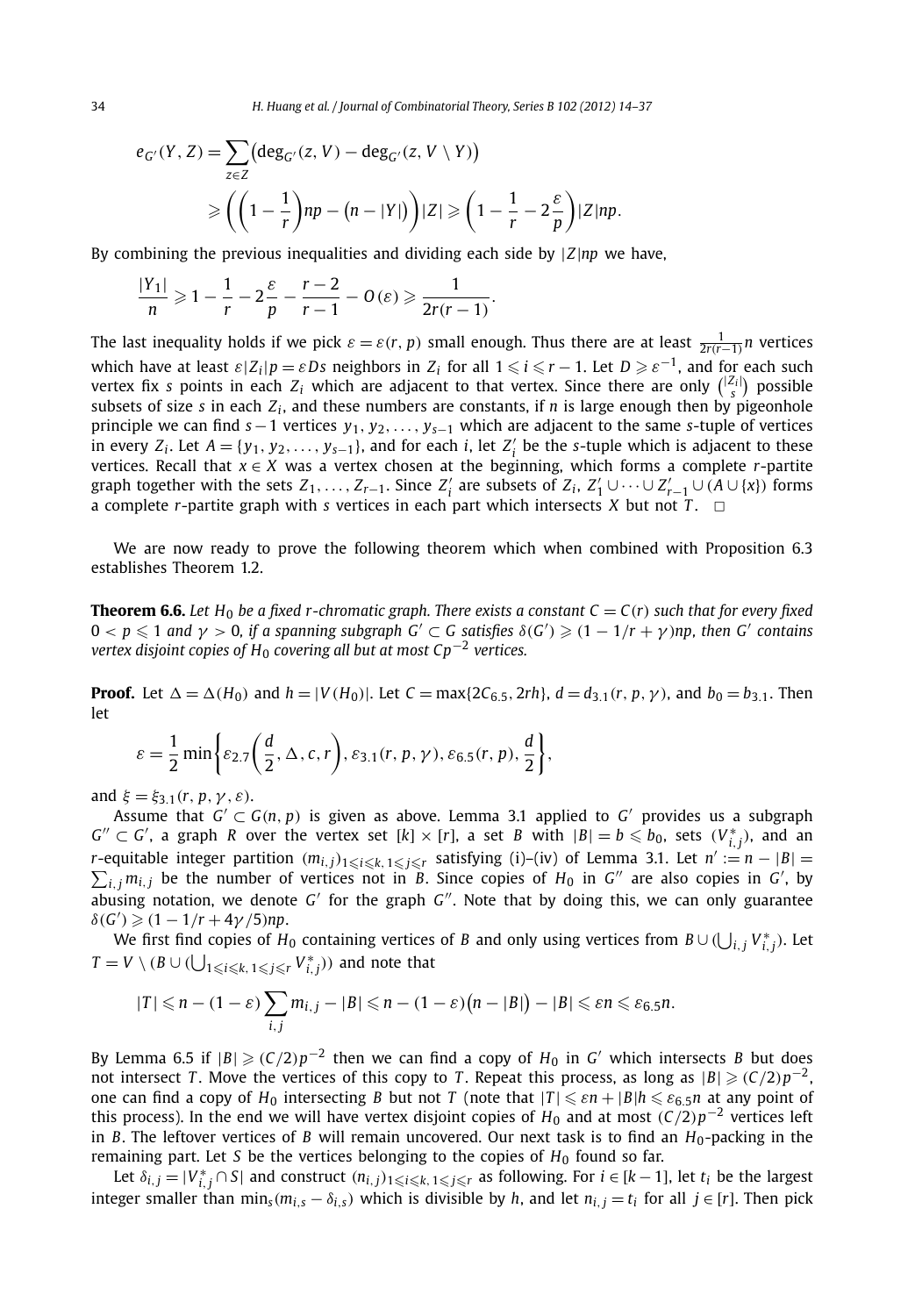$$
e_{G'}(Y, Z) = \sum_{z \in Z} (\deg_{G'}(z, V) - \deg_{G'}(z, V \setminus Y))
$$
  
\n
$$
\geqslant \left( \left( 1 - \frac{1}{r} \right) np - (n - |Y|) \right) |Z| \geqslant \left( 1 - \frac{1}{r} - 2 \frac{\varepsilon}{p} \right) |Z| np.
$$

By combining the previous inequalities and dividing each side by |*Z*|*np* we have,

$$
\frac{|Y_1|}{n} \geqslant 1 - \frac{1}{r} - 2\frac{\varepsilon}{p} - \frac{r-2}{r-1} - O(\varepsilon) \geqslant \frac{1}{2r(r-1)}.
$$

The last inequality holds if we pick  $\varepsilon = \varepsilon(r, p)$  small enough. Thus there are at least  $\frac{1}{2r(r-1)}n$  vertices which have at least  $\varepsilon|Z_i|p = \varepsilon Ds$  neighbors in  $Z_i$  for all  $1 \leq i \leq r-1$ . Let  $D \geq \varepsilon^{-1}$ , and for each such vertex fix *s* points in each  $Z_i$  which are adjacent to that vertex. Since there are only  $\binom{|Z_i|}{s}$  possible subsets of size *s* in each  $Z_i$ , and these numbers are constants, if *n* is large enough then by pigeonhole principle we can find *s*−1 vertices *y*1*, y*2*,..., ys*−<sup>1</sup> which are adjacent to the same *s*-tuple of vertices in every *Z<sub>i</sub>*. Let  $A = \{y_1, y_2, \ldots, y_{s-1}\}$ , and for each *i*, let *Z<sub>i</sub>* be the *s*-tuple which is adjacent to these vertices. Recall that  $x \in X$  was a vertex chosen at the beginning, which forms a complete *r*-partite graph together with the sets  $Z_1, \ldots, Z_{r-1}$ . Since  $Z'_i$  are subsets of  $Z_i$ ,  $Z'_1 \cup \cdots \cup Z'_{r-1} \cup (A \cup \{x\})$  forms a complete *r*-partite graph with *s* vertices in each part which intersects *X* but not *T*.  $\Box$ 

We are now ready to prove the following theorem which when combined with Proposition 6.3 establishes Theorem 1.2.

**Theorem 6.6.** Let  $H_0$  be a fixed r-chromatic graph. There exists a constant  $C = C(r)$  such that for every fixed  $0 < p \leqslant 1$  and  $\gamma > 0$ , if a spanning subgraph  $G' \subset G$  satisfies  $\delta(G') \geqslant (1 - 1/r + \gamma)$ np, then  $G'$  contains *vertex disjoint copies of H*<sup>0</sup> *covering all but at most Cp*−<sup>2</sup> *vertices.*

**Proof.** Let  $\Delta = \Delta(H_0)$  and  $h = |V(H_0)|$ . Let  $C = \max\{2C_{6.5}, 2rh\}$ ,  $d = d_{3.1}(r, p, \gamma)$ , and  $b_0 = b_{3.1}$ . Then let

$$
\varepsilon = \frac{1}{2} \min \bigg\{ \varepsilon_{2.7} \bigg( \frac{d}{2}, \Delta, c, r \bigg), \varepsilon_{3.1} (r, p, \gamma), \varepsilon_{6.5} (r, p), \frac{d}{2} \bigg\},\
$$

and  $\xi = \xi_{3,1}(r, p, \gamma, \varepsilon)$ .

Assume that  $G' \subset G(n, p)$  is given as above. Lemma 3.1 applied to  $G'$  provides us a subgraph  $G'' \subset G'$ , a graph *R* over the vertex set  $[k] \times [r]$ , a set *B* with  $|B| = b \leq b_0$ , sets  $(V_{i,j}^*)$ , and an *r*-equitable integer partition  $(m_{i,j})_{1 \leq i \leq k, 1 \leq j \leq r}$  satisfying (i)–(iv) of Lemma 3.1. Let *n*<sup>*'*</sup> *r*-equitable integer partition  $(m_{i,j})_{1 \leq i \leq k, 1 \leq j \leq r}$  satisfying (i)–(iv) of Lemma 3.1. Let  $n' := n - |B| = \sum_{i,j} m_{i,j}$  be the number of vertices not in *B*. Since copies of  $H_0$  in *G*" are also copies in *G*', by abusing notation, we denote  $G'$  for the graph  $G''$ . Note that by doing this, we can only guarantee  $\delta(G') \geq (1 - 1/r + 4\gamma/5)$ *np*.

We first find copies of  $H_0$  containing vertices of *B* and only using vertices from  $B \cup (\bigcup_{i,j} V_{i,j}^*)$ . Let  $T = V \setminus (B \cup (\bigcup_{1 \leq i \leq k, 1 \leq j \leq r} V_{i,j}^*)$  and note that

$$
|T| \leq n - (1 - \varepsilon) \sum_{i,j} m_{i,j} - |B| \leq n - (1 - \varepsilon) (n - |B|) - |B| \leq \varepsilon n \leq \varepsilon_{6.5} n.
$$

By Lemma 6.5 if  $|B| \geqslant (C/2)p^{-2}$  then we can find a copy of  $H_0$  in *G'* which intersects *B* but does not intersect *T*. Move the vertices of this copy to *T*. Repeat this process, as long as  $|B| \geq (C/2)p^{-2}$ , one can find a copy of  $H_0$  intersecting *B* but not *T* (note that  $|T| \leqslant \varepsilon n + |B| h \leqslant \varepsilon_{6.5} n$  at any point of this process). In the end we will have vertex disjoint copies of  $H_0$  and at most  $(C/2)p^{-2}$  vertices left in *B*. The leftover vertices of *B* will remain uncovered. Our next task is to find an  $H_0$ -packing in the remaining part. Let *S* be the vertices belonging to the copies of *H*<sup>0</sup> found so far.

Let  $\delta_{i,j} = |V^*_{i,j} \cap S|$  and construct  $(n_{i,j})_{1 \leq i \leq k, 1 \leq j \leq r}$  as following. For  $i \in [k-1]$ , let  $t_i$  be the largest integer smaller than  $\min_s(m_{i,s} - \delta_{i,s})$  which is divisible by h, and let  $n_{i,j} = t_i$  for all  $j \in [r]$ . Then pick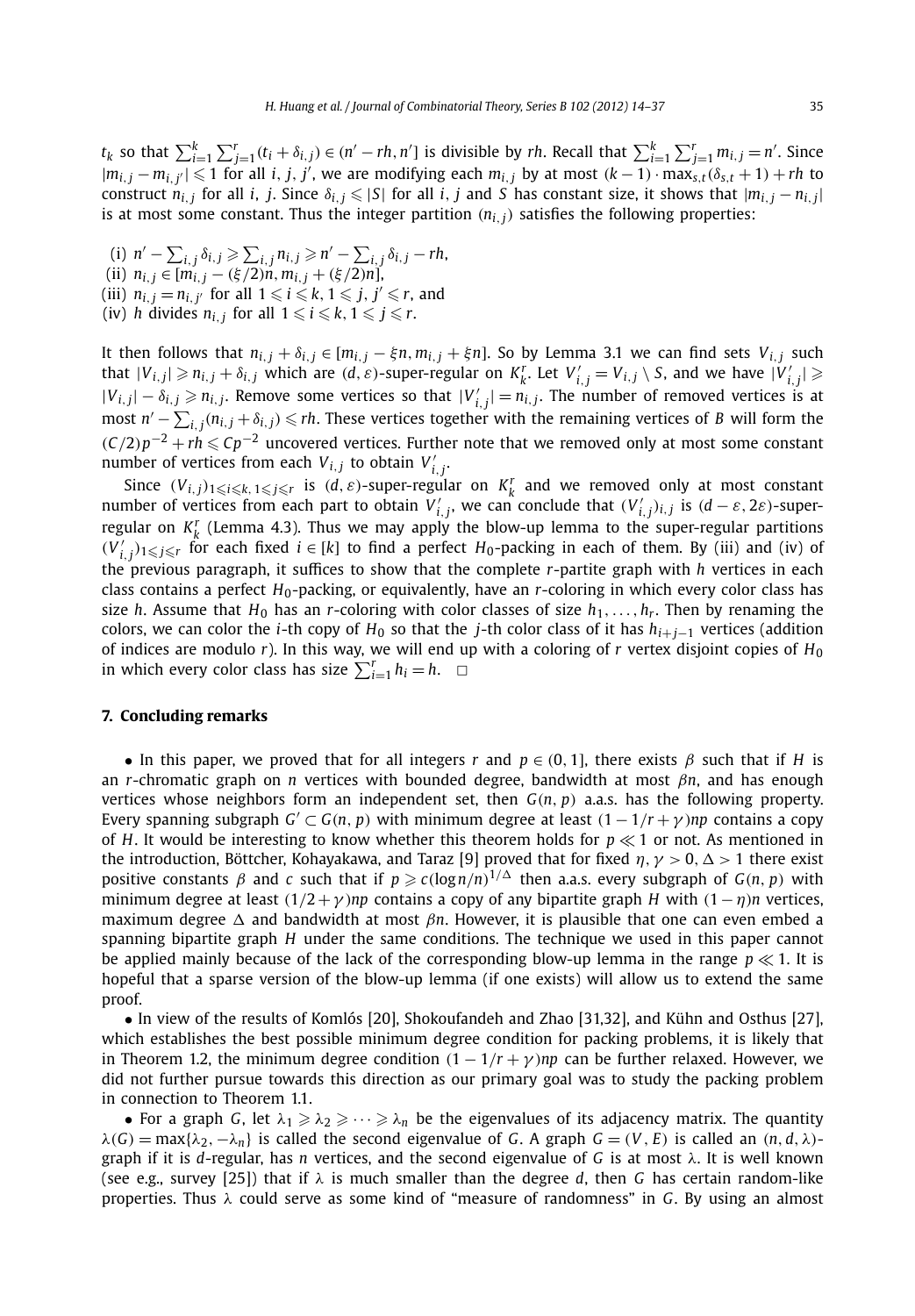$t_k$  so that  $\sum_{i=1}^k \sum_{j=1}^r (t_i + \delta_{i,j}) \in (n' - rh, n')$  is divisible by rh. Recall that  $\sum_{i=1}^k \sum_{j=1}^r m_{i,j} = n'$ . Since  $|m_{i,j}-m_{i,j'}|\leqslant 1$  for all i, j, j', we are modifying each  $m_{i,j}$  by at most  $(k-1)\cdot \max_{s,t}(\delta_{s,t}+1)+rh$  to construct  $n_{i,j}$  for all i, j. Since  $\delta_{i,j} \leqslant |S|$  for all i, j and S has constant size, it shows that  $|m_{i,j}-n_{i,j}|$ is at most some constant. Thus the integer partition  $(n_{i,j})$  satisfies the following properties:

 $\sum_{i,j} \delta_{i,j} \ge \sum_{i,j} n_{i,j} \ge n' - \sum_{i,j} \delta_{i,j} - rh$  $(n_i, j \in [m_{i,j} - (\xi/2)n, m_{i,j} + (\xi/2)n]$ , (iii)  $n_{i,j} = n_{i,j'}$  for all  $1 \leqslant i \leqslant k, 1 \leqslant j, j' \leqslant r$ , and (iv) *h* divides  $n_{i,j}$  for all  $1 \leqslant i \leqslant k, 1 \leqslant j \leqslant r.$ 

It then follows that  $n_{i,j} + \delta_{i,j} \in [m_{i,j} - \xi n, m_{i,j} + \xi n]$ . So by Lemma 3.1 we can find sets  $V_{i,j}$  such that  $|V_{i,j}| \geq n_{i,j} + \delta_{i,j}$  which are  $(d,\varepsilon)$ -super-regular on  $K_k^r$ . Let  $V'_{i,j} = V_{i,j} \setminus S$ , and we have  $|V'_{i,j}| \geq$  $|V_{i,j}| − \delta_{i,j} \ge n_{i,j}$ . Remove some vertices so that  $|V'_{i,j}| = n_{i,j}$ . The number of removed vertices is at  $i$ <sub>*m*</sub> *n*<sup>*'*</sup> −  $\sum$ <sub>*i*</sub><sub>*, j*</sub>(*n<sub>i</sub>*,*j* + *δ<sub>i</sub>*,*j*) ≤ *rh*. These vertices together with the remaining vertices of *B* will form the *(*C/2) $p^{-2}$  + *rh* ≤ C $p^{-2}$  uncovered vertices. Further note that we removed only at most some constant number of vertices from each  $V_{i,j}$  to obtain  $V'_{i,j}$ .

Since  $(V_{i,j})_{1\leq i\leq k, 1\leq j\leq r}$  is  $(d, \varepsilon)$ -super-regular on  $K_k^r$  and we removed only at most constant number of vertices from each part to obtain  $V'_{i,j}$ , we can conclude that  $(V'_{i,j})_{i,j}$  is  $(d-\varepsilon, 2\varepsilon)$ -superregular on  $K_k^r$  (Lemma 4.3). Thus we may apply the blow-up lemma to the super-regular partitions  $(V'_{i,j})_{1\leqslant j\leqslant r}$  for each fixed  $i\in[k]$  to find a perfect  $H_0$ -packing in each of them. By (iii) and (iv) of the previous paragraph, it suffices to show that the complete *r*-partite graph with *h* vertices in each class contains a perfect *H*0-packing, or equivalently, have an *r*-coloring in which every color class has size *h*. Assume that  $H_0$  has an *r*-coloring with color classes of size  $h_1, \ldots, h_r$ . Then by renaming the colors, we can color the *i*-th copy of  $H_0$  so that the *j*-th color class of it has  $h_{i+j-1}$  vertices (addition of indices are modulo *r*). In this way, we will end up with a coloring of *r* vertex disjoint copies of *H*<sup>0</sup> in which every color class has size  $\sum_{i=1}^{r} h_i = h$ .  $\Box$ 

#### **7. Concluding remarks**

• In this paper, we proved that for all integers *r* and  $p \in (0,1]$ , there exists  $\beta$  such that if *H* is an *r*-chromatic graph on *n* vertices with bounded degree, bandwidth at most *βn*, and has enough vertices whose neighbors form an independent set, then *G(n, p)* a.a.s. has the following property. Every spanning subgraph  $G' \subset G(n, p)$  with minimum degree at least  $(1 - 1/r + \gamma)np$  contains a copy of *H*. It would be interesting to know whether this theorem holds for  $p \ll 1$  or not. As mentioned in the introduction, Böttcher, Kohayakawa, and Taraz [9] proved that for fixed  $\eta, \gamma > 0, \Delta > 1$  there exist positive constants  $\beta$  and  $c$  such that if  $p \geqslant c(\log n/n)^{1/\Delta}$  then a.a.s. every subgraph of  $G(n,p)$  with minimum degree at least  $(1/2 + \gamma)np$  contains a copy of any bipartite graph *H* with  $(1 - \eta)n$  vertices, maximum degree Δ and bandwidth at most *βn*. However, it is plausible that one can even embed a spanning bipartite graph *H* under the same conditions. The technique we used in this paper cannot be applied mainly because of the lack of the corresponding blow-up lemma in the range  $p \ll 1$ . It is hopeful that a sparse version of the blow-up lemma (if one exists) will allow us to extend the same proof.

• In view of the results of Komlós [20], Shokoufandeh and Zhao [31,32], and Kühn and Osthus [27], which establishes the best possible minimum degree condition for packing problems, it is likely that in Theorem 1.2, the minimum degree condition  $(1 - 1/r + \gamma)np$  can be further relaxed. However, we did not further pursue towards this direction as our primary goal was to study the packing problem in connection to Theorem 1.1.

• For a graph *G*, let  $\lambda_1 \geq \lambda_2 \geq \cdots \geq \lambda_n$  be the eigenvalues of its adjacency matrix. The quantity  $\lambda(G)$  = max{ $\lambda_2, -\lambda_n$ } is called the second eigenvalue of G. A graph  $G = (V, E)$  is called an  $(n, d, \lambda)$ graph if it is *d*-regular, has *n* vertices, and the second eigenvalue of *G* is at most *λ*. It is well known (see e.g., survey [25]) that if *λ* is much smaller than the degree *d*, then *G* has certain random-like properties. Thus *λ* could serve as some kind of "measure of randomness" in *G*. By using an almost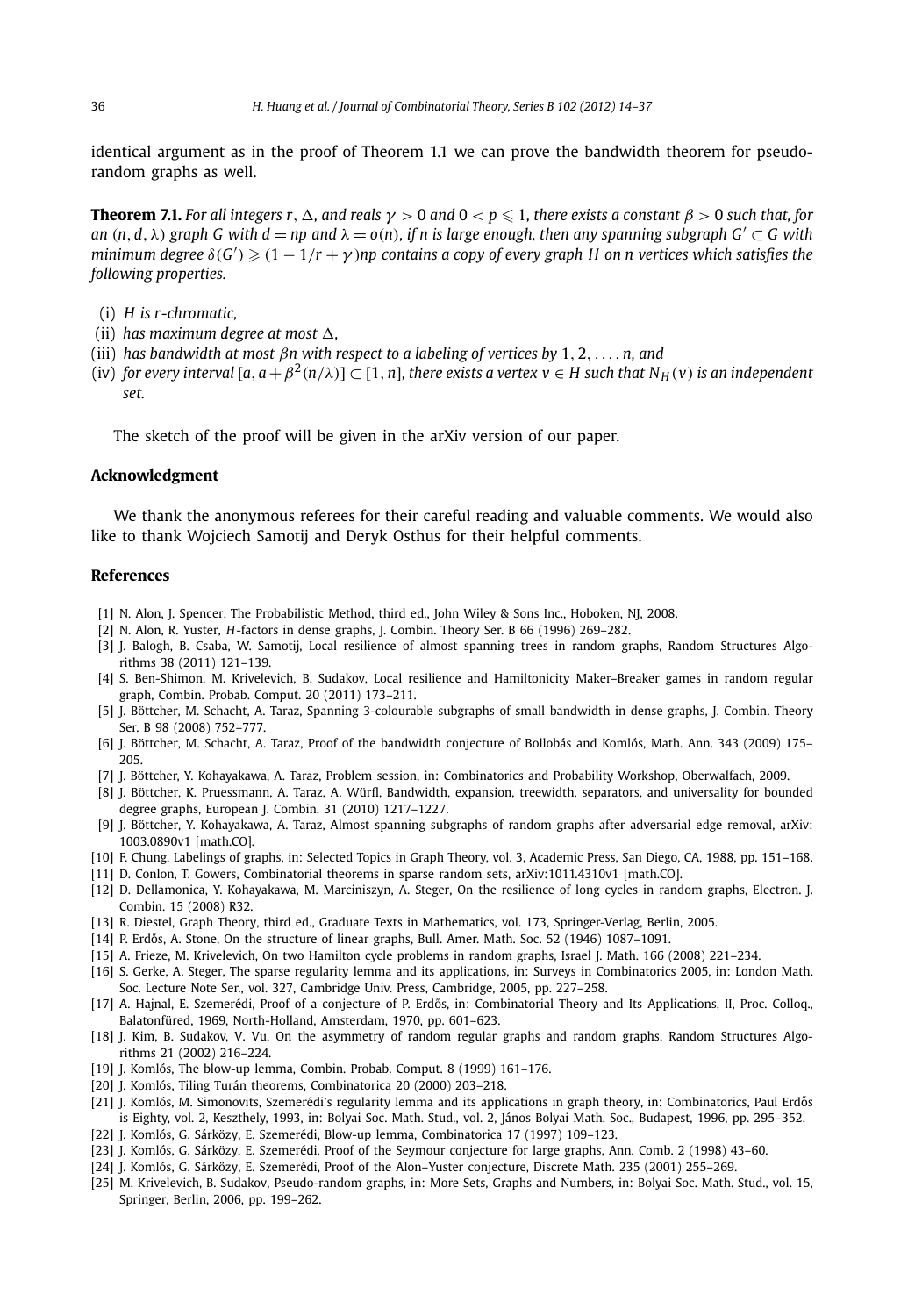identical argument as in the proof of Theorem 1.1 we can prove the bandwidth theorem for pseudorandom graphs as well.

**Theorem 7.1.** For all integers  $r$  ,  $\Delta$ , and reals  $\gamma > 0$  and  $0 < p \leqslant 1$ , there exists a constant  $\beta > 0$  such that, for *an*  $(n, d, \lambda)$  *graph G* with  $d = np$  *and*  $\lambda = o(n)$ *, if n is large enough, then any spanning subgraph*  $G' \subset G$  with  $m$ inimum degree  $\delta(G')\geqslant (1-1/r+\gamma)$ np contains a copy of every graph H on n vertices which satisfies the *following properties.*

- (i) *H is r-chromatic,*
- (ii) *has maximum degree at most*  $\Delta$ *,*
- (iii) *has bandwidth at most βn with respect to a labeling of vertices by* 1*,* 2*,...,n, and*
- (iv) *for every interval*  $[a, a + \beta^2(n/\lambda)] \subset [1, n]$ *, there exists a vertex v*  $\in$  *H* such that N<sub>H</sub>(*v*) *is an independent set.*

The sketch of the proof will be given in the arXiv version of our paper.

#### **Acknowledgment**

We thank the anonymous referees for their careful reading and valuable comments. We would also like to thank Wojciech Samotij and Deryk Osthus for their helpful comments.

#### **References**

- [1] N. Alon, J. Spencer, The Probabilistic Method, third ed., John Wiley & Sons Inc., Hoboken, NJ, 2008.
- [2] N. Alon, R. Yuster, *H*-factors in dense graphs, J. Combin. Theory Ser. B 66 (1996) 269–282.
- [3] J. Balogh, B. Csaba, W. Samotij, Local resilience of almost spanning trees in random graphs, Random Structures Algorithms 38 (2011) 121–139.
- [4] S. Ben-Shimon, M. Krivelevich, B. Sudakov, Local resilience and Hamiltonicity Maker–Breaker games in random regular graph, Combin. Probab. Comput. 20 (2011) 173–211.
- [5] J. Böttcher, M. Schacht, A. Taraz, Spanning 3-colourable subgraphs of small bandwidth in dense graphs, J. Combin. Theory Ser. B 98 (2008) 752–777.
- [6] J. Böttcher, M. Schacht, A. Taraz, Proof of the bandwidth conjecture of Bollobás and Komlós, Math. Ann. 343 (2009) 175– 205.
- [7] J. Böttcher, Y. Kohayakawa, A. Taraz, Problem session, in: Combinatorics and Probability Workshop, Oberwalfach, 2009.
- [8] J. Böttcher, K. Pruessmann, A. Taraz, A. Würfl, Bandwidth, expansion, treewidth, separators, and universality for bounded degree graphs, European J. Combin. 31 (2010) 1217–1227.
- [9] J. Böttcher, Y. Kohayakawa, A. Taraz, Almost spanning subgraphs of random graphs after adversarial edge removal, arXiv: 1003.0890v1 [math.CO].
- [10] F. Chung, Labelings of graphs, in: Selected Topics in Graph Theory, vol. 3, Academic Press, San Diego, CA, 1988, pp. 151–168.
- [11] D. Conlon, T. Gowers, Combinatorial theorems in sparse random sets, arXiv:1011.4310v1 [math.CO].
- [12] D. Dellamonica, Y. Kohayakawa, M. Marciniszyn, A. Steger, On the resilience of long cycles in random graphs, Electron. J. Combin. 15 (2008) R32.
- [13] R. Diestel, Graph Theory, third ed., Graduate Texts in Mathematics, vol. 173, Springer-Verlag, Berlin, 2005.
- [14] P. Erdős, A. Stone, On the structure of linear graphs, Bull. Amer. Math. Soc. 52 (1946) 1087–1091.
- [15] A. Frieze, M. Krivelevich, On two Hamilton cycle problems in random graphs, Israel J. Math. 166 (2008) 221–234.
- [16] S. Gerke, A. Steger, The sparse regularity lemma and its applications, in: Surveys in Combinatorics 2005, in: London Math. Soc. Lecture Note Ser., vol. 327, Cambridge Univ. Press, Cambridge, 2005, pp. 227–258.
- [17] A. Hajnal, E. Szemerédi, Proof of a conjecture of P. Erdős, in: Combinatorial Theory and Its Applications, II, Proc. Colloq., Balatonfüred, 1969, North-Holland, Amsterdam, 1970, pp. 601–623.
- [18] J. Kim, B. Sudakov, V. Vu, On the asymmetry of random regular graphs and random graphs, Random Structures Algorithms 21 (2002) 216–224.
- [19] J. Komlós, The blow-up lemma, Combin. Probab. Comput. 8 (1999) 161-176.
- [20] J. Komlós, Tiling Turán theorems, Combinatorica 20 (2000) 203–218.
- [21] J. Komlós, M. Simonovits, Szemerédi's regularity lemma and its applications in graph theory, in: Combinatorics, Paul Erdős is Eighty, vol. 2, Keszthely, 1993, in: Bolyai Soc. Math. Stud., vol. 2, János Bolyai Math. Soc., Budapest, 1996, pp. 295–352.
- [22] J. Komlós, G. Sárközy, E. Szemerédi, Blow-up lemma, Combinatorica 17 (1997) 109–123.
- [23] J. Komlós, G. Sárközy, E. Szemerédi, Proof of the Seymour conjecture for large graphs, Ann. Comb. 2 (1998) 43–60.
- [24] J. Komlós, G. Sárközy, E. Szemerédi, Proof of the Alon–Yuster conjecture, Discrete Math. 235 (2001) 255–269.
- [25] M. Krivelevich, B. Sudakov, Pseudo-random graphs, in: More Sets, Graphs and Numbers, in: Bolyai Soc. Math. Stud., vol. 15, Springer, Berlin, 2006, pp. 199–262.